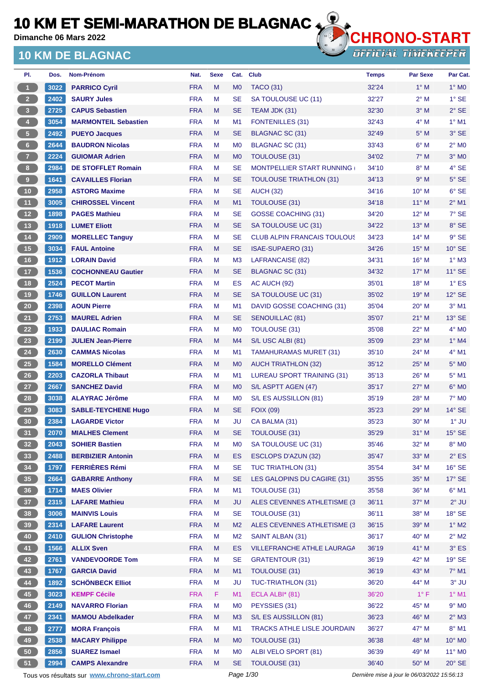**Dimanche 06 Mars 2022**

### **10 KM DE BLAGNAC**



**OFFICIAL TIMEKEEPER** 

| PI.                     | Dos. | Nom-Prénom                  | Nat.       | <b>Sexe</b> | Cat.           | <b>Club</b>                        | <b>Temps</b> | Par Sexe       | Par Cat.        |
|-------------------------|------|-----------------------------|------------|-------------|----------------|------------------------------------|--------------|----------------|-----------------|
| $\overline{1}$          | 3022 | <b>PARRICO Cyril</b>        | <b>FRA</b> | M           | M <sub>0</sub> | <b>TACO (31)</b>                   | 32'24        | $1^\circ$ M    | $1^\circ$ MO    |
| 2 <sup>2</sup>          | 2402 | <b>SAURY Jules</b>          | <b>FRA</b> | M           | <b>SE</b>      | SA TOULOUSE UC (11)                | 32'27        | $2^{\circ}$ M  | $1^\circ$ SE    |
| $\overline{\mathbf{3}}$ | 2725 | <b>CAPUS Sebastien</b>      | <b>FRA</b> | M           | SE             | TEAM JDK (31)                      | 32'30        | $3^\circ$ M    | $2°$ SE         |
| $\overline{4}$          | 3054 | <b>MARMONTEIL Sebastien</b> | <b>FRA</b> | M           | M1             | <b>FONTENILLES (31)</b>            | 32'43        | $4^\circ$ M    | $1^\circ$ M1    |
| 5 <sub>1</sub>          | 2492 | <b>PUEYO Jacques</b>        | <b>FRA</b> | M           | <b>SE</b>      | BLAGNAC SC (31)                    | 32'49        | $5^\circ$ M    | $3°$ SE         |
| $6 -$                   | 2644 | <b>BAUDRON Nicolas</b>      | <b>FRA</b> | M           | M <sub>0</sub> | BLAGNAC SC (31)                    | 33'43        | $6^\circ$ M    | $2^{\circ}$ MO  |
| $\overline{7}$          | 2224 | <b>GUIOMAR Adrien</b>       | <b>FRA</b> | M           | M <sub>0</sub> | <b>TOULOUSE (31)</b>               | 34'02        | $7^\circ$ M    | $3°$ MO         |
| $\,$ 8                  | 2984 | <b>DE STOFFLET Romain</b>   | <b>FRA</b> | M           | SE             | <b>MONTPELLIER START RUNNING</b>   | 34'10        | $8^\circ$ M    | $4^\circ$ SE    |
| $\overline{9}$          | 1641 | <b>CAVAILLES Florian</b>    | <b>FRA</b> | M           | <b>SE</b>      | <b>TOULOUSE TRIATHLON (31)</b>     | 34'13        | 9° M           | $5^\circ$ SE    |
| $10$                    | 2958 | <b>ASTORG Maxime</b>        | <b>FRA</b> | M           | SE             | <b>AUCH (32)</b>                   | 34'16        | $10^{\circ}$ M | $6°$ SE         |
| 11                      | 3005 | <b>CHIROSSEL Vincent</b>    | <b>FRA</b> | M           | M1             | TOULOUSE (31)                      | 34'18        | $11^{\circ}$ M | $2^{\circ}$ M1  |
| 12                      | 1898 | <b>PAGES Mathieu</b>        | <b>FRA</b> | M           | <b>SE</b>      | <b>GOSSE COACHING (31)</b>         | 34'20        | $12^{\circ}$ M | $7°$ SE         |
| 13                      | 1918 | <b>LUMET Eliott</b>         | <b>FRA</b> | M           | SE             | SA TOULOUSE UC (31)                | 34'22        | $13^{\circ}$ M | 8° SE           |
| 14                      | 2909 | <b>MORELLEC Tanguy</b>      | <b>FRA</b> | M           | SE             | <b>CLUB ALPIN FRANCAIS TOULOUS</b> | 34'23        | $14^{\circ}$ M | $9^{\circ}$ SE  |
| 15                      | 3034 | <b>FAUL Antoine</b>         | <b>FRA</b> | M           | SE             | ISAE-SUPAERO (31)                  | 34'26        | $15^{\circ}$ M | $10^{\circ}$ SE |
| 16                      | 1912 | <b>LORAIN David</b>         | <b>FRA</b> | M           | M <sub>3</sub> | LAFRANCAISE (82)                   | 34'31        | 16° M          | $1^\circ$ M3    |
| 17 <sup>°</sup>         | 1536 | <b>COCHONNEAU Gautier</b>   | <b>FRA</b> | M           | SE             | <b>BLAGNAC SC (31)</b>             | 34'32        | $17^\circ$ M   | $11^{\circ}$ SE |
| <b>18</b>               | 2524 | <b>PECOT Martin</b>         | <b>FRA</b> | M           | <b>ES</b>      | AC AUCH (92)                       | 35'01        | 18° M          | $1^\circ$ ES    |
| 19                      | 1746 | <b>GUILLON Laurent</b>      | <b>FRA</b> | M           | <b>SE</b>      | SA TOULOUSE UC (31)                | 35'02        | $19^{\circ}$ M | $12^{\circ}$ SE |
| $20\,$                  | 2398 | <b>AOUN Pierre</b>          | <b>FRA</b> | M           | M1             | DAVID GOSSE COACHING (31)          | 35'04        | $20^\circ$ M   | $3^\circ$ M1    |
| 21                      | 2753 | <b>MAUREL Adrien</b>        | <b>FRA</b> | M           | SE             | <b>SENOUILLAC (81)</b>             | 35'07        | $21^{\circ}$ M | $13°$ SE        |
| 22                      | 1933 | <b>DAULIAC Romain</b>       | <b>FRA</b> | M           | M <sub>0</sub> | TOULOUSE (31)                      | 35'08        | 22° M          | $4^\circ$ MO    |
| 23                      | 2199 | <b>JULIEN Jean-Pierre</b>   | <b>FRA</b> | M           | M4             | S/L USC ALBI (81)                  | 35'09        | $23^\circ$ M   | $1^\circ$ M4    |
| 24                      | 2630 | <b>CAMMAS Nicolas</b>       | <b>FRA</b> | M           | M <sub>1</sub> | <b>TAMAHURAMAS MURET (31)</b>      | 35'10        | 24° M          | $4°$ M1         |
| 25                      | 1584 | <b>MORELLO Clément</b>      | <b>FRA</b> | M           | M <sub>0</sub> | <b>AUCH TRIATHLON (32)</b>         | 35'12        | $25^{\circ}$ M | $5^\circ$ MO    |
| 26                      | 2203 | <b>CAZORLA Thibaut</b>      | <b>FRA</b> | M           | M1             | LUREAU SPORT TRAINING (31)         | 35'13        | $26^{\circ}$ M | $5^\circ$ M1    |
| 27                      | 2667 | <b>SANCHEZ David</b>        | <b>FRA</b> | M           | M <sub>0</sub> | S/L ASPTT AGEN (47)                | 35'17        | 27° M          | $6°$ MO         |
| 28                      | 3038 | <b>ALAYRAC Jérôme</b>       | <b>FRA</b> | M           | M <sub>0</sub> | S/L ES AUSSILLON (81)              | 35'19        | $28^{\circ}$ M | $7^\circ$ MO    |
| 29                      | 3083 | <b>SABLE-TEYCHENE Hugo</b>  | <b>FRA</b> | M           | SE             | <b>FOIX (09)</b>                   | 35'23        | $29°$ M        | $14^\circ$ SE   |
| 30                      | 2384 | <b>LAGARDE Victor</b>       | <b>FRA</b> | M           | JU             | CA BALMA (31)                      | 35'23        | $30^\circ$ M   | $1^\circ$ JU    |
| 31                      | 2070 | <b>MIALHES Clement</b>      | <b>FRA</b> | M           | SE             | <b>TOULOUSE (31)</b>               | 35'29        | $31^\circ$ M   | $15^{\circ}$ SE |
| 32 <sup>°</sup>         | 2043 | <b>SOHIER Bastien</b>       | <b>FRA</b> | M           | M <sub>0</sub> | SA TOULOUSE UC (31)                | 35'46        | 32° M          | 8° MO           |
| 33                      | 2488 | <b>BERBIZIER Antonin</b>    | <b>FRA</b> | M           | ES             | <b>ESCLOPS D'AZUN (32)</b>         | 35'47        | 33° M          | $2^{\circ}$ ES  |
| 34                      | 1797 | <b>FERRIÈRES Rémi</b>       | <b>FRA</b> | M           | <b>SE</b>      | <b>TUC TRIATHLON (31)</b>          | 35'54        | $34^\circ$ M   | $16^\circ$ SE   |
| 35                      | 2664 | <b>GABARRE Anthony</b>      | <b>FRA</b> | M           | <b>SE</b>      | LES GALOPINS DU CAGIRE (31)        | 35'55        | 35° M          | $17^\circ$ SE   |
| 36                      | 1714 | <b>MAES Olivier</b>         | <b>FRA</b> | M           | M1             | TOULOUSE (31)                      | 35'58        | 36° M          | $6^{\circ}$ M1  |
| 37 <sup>°</sup>         | 2315 | <b>LAFARE Mathieu</b>       | <b>FRA</b> | M           | <b>JU</b>      | ALES CEVENNES ATHLETISME (3        | 36'11        | 37° M          | $2^{\circ}$ JU  |
| 38                      | 3006 | <b>MAINVIS Louis</b>        | <b>FRA</b> | M           | <b>SE</b>      | <b>TOULOUSE (31)</b>               | 36'11        | 38° M          | $18^\circ$ SE   |
| 39                      | 2314 | <b>LAFARE Laurent</b>       | <b>FRA</b> | M           | M <sub>2</sub> | ALES CEVENNES ATHLETISME (3)       | 36'15        | 39° M          | $1^\circ$ M2    |
| 40                      | 2410 | <b>GULION Christophe</b>    | <b>FRA</b> | M           | M <sub>2</sub> | SAINT ALBAN (31)                   | 36'17        | 40° M          | $2^{\circ}$ M2  |
| 41                      | 1566 | <b>ALLIX Sven</b>           | <b>FRA</b> | M           | <b>ES</b>      | VILLEFRANCHE ATHLE LAURAGA         | 36'19        | 41° M          | $3^\circ$ ES    |
| 42                      | 2761 | <b>VANDEVOORDE Tom</b>      | <b>FRA</b> | M           | <b>SE</b>      | <b>GRATENTOUR (31)</b>             | 36'19        | 42° M          | $19°$ SE        |
| 43                      | 1767 | <b>GARCIA David</b>         | <b>FRA</b> | M           | M1             | TOULOUSE (31)                      | 36'19        | 43° M          | 7° M1           |
| 44                      | 1892 | <b>SCHÖNBECK Elliot</b>     | <b>FRA</b> | M           | JU             | TUC-TRIATHLON (31)                 | 36'20        | 44° M          | $3^\circ$ JU    |
| 45                      | 3023 | <b>KEMPF Cécile</b>         | <b>FRA</b> | F           | M1             | ECLA ALBI* (81)                    | 36'20        | $1^{\circ}$ F  | $1^\circ$ M1    |
| 46                      | 2149 | <b>NAVARRO Florian</b>      | <b>FRA</b> | M           | M <sub>0</sub> | PEYSSIES (31)                      | 36'22        | 45° M          | $9°$ MO         |
| 47                      | 2341 | <b>MAMOU Abdelkader</b>     | <b>FRA</b> | M           | M3             | S/L ES AUSSILLON (81)              | 36'23        | 46° M          | $2^\circ$ M3    |
| 48                      | 2777 | <b>MORA François</b>        | <b>FRA</b> | M           | M <sub>1</sub> | TRACKS ATHLE LISLE JOURDAIN        | 36'27        | 47° M          | $8^\circ$ M1    |
| 49                      | 2538 | <b>MACARY Philippe</b>      | <b>FRA</b> | M           | M <sub>0</sub> | TOULOUSE (31)                      | 36'38        | 48° M          | 10° MO          |
| 50 <sub>o</sub>         | 2856 | <b>SUAREZ Ismael</b>        | <b>FRA</b> | M           | M <sub>0</sub> | ALBI VELO SPORT (81)               | 36'39        | 49° M          | $11^{\circ}$ MO |
| 51                      | 2994 | <b>CAMPS Alexandre</b>      | <b>FRA</b> | M           | <b>SE</b>      | TOULOUSE (31)                      | 36'40        | 50° M          | $20^\circ$ SE   |

Tous vos résultats sur **[www.chrono-start.com](https://www.chrono-start.com/)** Page 1/30 Page 1/30 Dernière mise à jour le 06/03/2022 15:56:13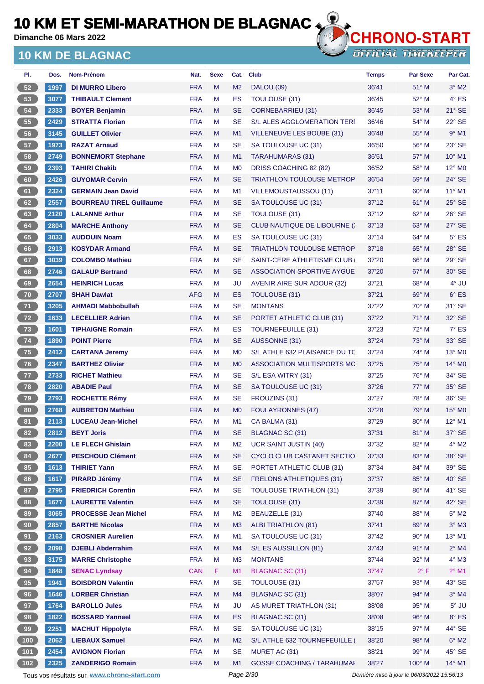**Dimanche 06 Mars 2022**

## **10 KM DE BLAGNAC**



| PI.             | Dos.                 | <b>Nom-Prénom</b>               | Nat.       | <b>Sexe</b> | Cat.           | <b>Club</b>                         | <b>Temps</b> | <b>Par Sexe</b> | Par Cat.                    |
|-----------------|----------------------|---------------------------------|------------|-------------|----------------|-------------------------------------|--------------|-----------------|-----------------------------|
| 52              | 1997                 | <b>DI MURRO Libero</b>          | <b>FRA</b> | M           | M <sub>2</sub> | <b>DALOU (09)</b>                   | 36'41        | $51^\circ$ M    | $3^\circ$ M2                |
| 53              | 3077                 | <b>THIBAULT Clement</b>         | <b>FRA</b> | M           | ES             | TOULOUSE (31)                       | 36'45        | $52^{\circ}$ M  | $4^{\circ}$ ES              |
| 54              | 2333                 | <b>BOYER Benjamin</b>           | <b>FRA</b> | M           | <b>SE</b>      | <b>CORNEBARRIEU (31)</b>            | 36'45        | $53^\circ$ M    | $21^\circ$ SE               |
| 55              | 2429                 | <b>STRATTA Florian</b>          | <b>FRA</b> | м           | <b>SE</b>      | <b>S/L ALES AGGLOMERATION TERI</b>  | 36'46        | $54^{\circ}$ M  | $22^{\circ}$ SE             |
| 56              | 3145                 | <b>GUILLET Olivier</b>          | <b>FRA</b> | M           | M <sub>1</sub> | VILLENEUVE LES BOUBE (31)           | 36'48        | $55^{\circ}$ M  | $9°$ M1                     |
| 57              | 1973                 | <b>RAZAT Arnaud</b>             | <b>FRA</b> | М           | <b>SE</b>      | SA TOULOUSE UC (31)                 | 36'50        | $56^{\circ}$ M  | $23^\circ$ SE               |
| 58              | 2749                 | <b>BONNEMORT Stephane</b>       | <b>FRA</b> | M           | M <sub>1</sub> | TARAHUMARAS (31)                    | 36'51        | $57^\circ$ M    | $10^{\circ}$ M1             |
| 59              | 2393                 | <b>TAHIRI Chakib</b>            | <b>FRA</b> | м           | M <sub>0</sub> | DRISS COACHING 82 (82)              | 36'52        | $58^{\circ}$ M  | $12^{\circ}$ M <sub>0</sub> |
| 60              | 2426                 | <b>GUYOMAR Cervin</b>           | <b>FRA</b> | M           | <b>SE</b>      | <b>TRIATHLON TOULOUSE METROP</b>    | 36'54        | 59° M           | 24° SE                      |
| 61              | 2324                 | <b>GERMAIN Jean David</b>       | <b>FRA</b> | М           | M1             | VILLEMOUSTAUSSOU (11)               | 37'11        | $60^{\circ}$ M  | $11^{\circ}$ M1             |
| 62              | 2557                 | <b>BOURREAU TIREL Guillaume</b> | <b>FRA</b> | м           | <b>SE</b>      | SA TOULOUSE UC (31)                 | 37'12        | $61^\circ$ M    | $25^\circ$ SE               |
| 63              | 2120                 | <b>LALANNE Arthur</b>           | <b>FRA</b> | M           | <b>SE</b>      | TOULOUSE (31)                       | 37'12        | $62^{\circ}$ M  | $26^\circ$ SE               |
| 64              | 2804                 | <b>MARCHE Anthony</b>           | <b>FRA</b> | M           | <b>SE</b>      | <b>CLUB NAUTIQUE DE LIBOURNE (:</b> | 37'13        | $63^\circ$ M    | $27^\circ$ SE               |
| 65              | 3033                 | <b>AUDOUIN Noam</b>             | <b>FRA</b> | М           | ES             | SA TOULOUSE UC (31)                 | 37'14        | 64° M           | $5^{\circ}$ ES              |
| 66              | 2913                 | <b>KOSYDAR Armand</b>           | <b>FRA</b> | M           | <b>SE</b>      | <b>TRIATHLON TOULOUSE METROP</b>    | 37'18        | $65^\circ$ M    | $28^\circ$ SE               |
| 67              | 3039                 | <b>COLOMBO Mathieu</b>          | <b>FRA</b> | м           | <b>SE</b>      | SAINT-CERE ATHLETISME CLUB          | 37'20        | $66^{\circ}$ M  | $29^{\circ}$ SE             |
| 68              | 2746                 | <b>GALAUP Bertrand</b>          | <b>FRA</b> | M           | <b>SE</b>      | <b>ASSOCIATION SPORTIVE AYGUE</b>   | 37'20        | $67^\circ$ M    | $30^\circ$ SE               |
| 69              | 2654                 | <b>HEINRICH Lucas</b>           | <b>FRA</b> | М           | JU             | <b>AVENIR AIRE SUR ADOUR (32)</b>   | 37'21        | $68^{\circ}$ M  | $4^\circ$ JU                |
| 70              | 2707                 | <b>SHAH Dawlat</b>              | <b>AFG</b> | м           | ES             | <b>TOULOUSE (31)</b>                | 37'21        | $69^\circ$ M    | $6^{\circ}$ ES              |
| 71              | 3205                 | <b>AHMADI Mabbobullah</b>       | <b>FRA</b> | М           | <b>SE</b>      | <b>MONTANS</b>                      | 37'22        | $70^\circ$ M    | 31° SE                      |
| 72              | 1633                 | <b>LECELLIER Adrien</b>         | <b>FRA</b> | M           | <b>SE</b>      | PORTET ATHLETIC CLUB (31)           | 37'22        | $71^\circ$ M    | $32^\circ$ SE               |
| 73              | 1601                 | <b>TIPHAIGNE Romain</b>         | <b>FRA</b> | м           | ES             | <b>TOURNEFEUILLE (31)</b>           | 37'23        | $72^{\circ}$ M  | $7^\circ$ ES                |
| 74              | 1890                 | <b>POINT Pierre</b>             | <b>FRA</b> | M           | <b>SE</b>      | AUSSONNE (31)                       | 37'24        | 73° M           | $33^\circ$ SE               |
| 75              | 2412                 | <b>CARTANA Jeremy</b>           | <b>FRA</b> | M           | M <sub>0</sub> | S/L ATHLE 632 PLAISANCE DU TC       | 37'24        | 74° M           | $13^\circ$ M <sub>0</sub>   |
| 76              | 2347                 | <b>BARTHEZ Olivier</b>          | <b>FRA</b> | M           | M <sub>0</sub> | ASSOCIATION MULTISPORTS MC          | 37'25        | $75^\circ$ M    | 14° MO                      |
| $\overline{77}$ | 2733                 | <b>RICHET Mathieu</b>           | <b>FRA</b> | М           | <b>SE</b>      | S/L ESA WITRY (31)                  | 37'25        | $76^{\circ}$ M  | $34^\circ$ SE               |
| 78              | 2820                 | <b>ABADIE Paul</b>              | <b>FRA</b> | M           | <b>SE</b>      | SA TOULOUSE UC (31)                 | 37'26        | $77^\circ$ M    | $35^\circ$ SE               |
| 79              | 2793                 | <b>ROCHETTE Rémy</b>            | <b>FRA</b> | М           | <b>SE</b>      | FROUZINS (31)                       | 37'27        | 78° M           | $36^\circ$ SE               |
| 80              | 2768                 | <b>AUBRETON Mathieu</b>         | <b>FRA</b> | M           | M <sub>0</sub> | <b>FOULAYRONNES (47)</b>            | 37'28        | $79^\circ$ M    | $15^\circ$ MO               |
| 81              | 2113                 | <b>LUCEAU Jean-Michel</b>       | <b>FRA</b> | M           | M1             | CA BALMA (31)                       | 37'29        | $80^\circ$ M    | $12^{\circ}$ M1             |
| 82)             | $\vert$ 2812 $\vert$ | <b>BEYT Joris</b>               | <b>FRA</b> | M           | <b>SE</b>      | BLAGNAC SC (31)                     | 37'31        | 81° M           | 37° SE                      |
| 83              | <b>2200</b>          | <b>LE FLECH Ghislain</b>        | <b>FRA</b> | M           | M <sub>2</sub> | <b>UCR SAINT JUSTIN (40)</b>        | 37'32        | $82^{\circ}$ M  | $4^\circ$ M2                |
| 84              | 2677                 | <b>PESCHOUD Clément</b>         | <b>FRA</b> | M           | <b>SE</b>      | CYCLO CLUB CASTANET SECTIO          | 37'33        | 83° M           | 38° SE                      |
| 85              | 1613                 | <b>THIRIET Yann</b>             | <b>FRA</b> | M           | <b>SE</b>      | PORTET ATHLETIC CLUB (31)           | 37'34        | 84° M           | 39° SE                      |
| 86              | 1617                 | <b>PIRARD Jérémy</b>            | <b>FRA</b> | Μ           | <b>SE</b>      | <b>FRELONS ATHLETIQUES (31)</b>     | 37'37        | 85° M           | $40^\circ$ SE               |
| 87              | 2795                 | <b>FRIEDRICH Corentin</b>       | <b>FRA</b> | М           | <b>SE</b>      | <b>TOULOUSE TRIATHLON (31)</b>      | 37'39        | 86° M           | 41° SE                      |
| 88              | 1677                 | <b>LAURETTE Valentin</b>        | <b>FRA</b> | Μ           | <b>SE</b>      | TOULOUSE (31)                       | 37'39        | 87° M           | $42^\circ$ SE               |
| 89              | 3065                 | <b>PROCESSE Jean Michel</b>     | <b>FRA</b> | M           | M <sub>2</sub> | BEAUZELLE (31)                      | 37'40        | 88° M           | $5^\circ$ M2                |
| 90 <sub>o</sub> | 2857                 | <b>BARTHE Nicolas</b>           | <b>FRA</b> | M           | M <sub>3</sub> | <b>ALBI TRIATHLON (81)</b>          | 37'41        | 89° M           | $3^\circ$ M3                |
| 91              | 2163                 | <b>CROSNIER Aurelien</b>        | <b>FRA</b> | M           | M1             | SA TOULOUSE UC (31)                 | 37'42        | $90^\circ$ M    | 13° M1                      |
| 92              | 2098                 | <b>DJEBLI Abderrahim</b>        | <b>FRA</b> | Μ           | M4             | S/L ES AUSSILLON (81)               | 37'43        | $91^\circ$ M    | $2^\circ$ M4                |
| 93              | 3175                 | <b>MARRE Christophe</b>         | <b>FRA</b> | M           | M <sub>3</sub> | <b>MONTANS</b>                      | 37'44        | 92° M           | $4^\circ$ M3                |
| 94              | 1848                 | <b>SENAC Lyndsay</b>            | <b>CAN</b> | F           | M <sub>1</sub> | BLAGNAC SC (31)                     | 37'47        | $2^{\circ}$ F   | $2^{\circ}$ M1              |
| 95              | 1941                 | <b>BOISDRON Valentin</b>        | <b>FRA</b> | M           | <b>SE</b>      | TOULOUSE (31)                       | 37'57        | $93^\circ$ M    | 43° SE                      |
| 96              | 1646                 | <b>LORBER Christian</b>         | <b>FRA</b> | M           | M4             | <b>BLAGNAC SC (31)</b>              | 38'07        | 94° M           | $3^\circ$ M4                |
| 97              | 1764                 | <b>BAROLLO Jules</b>            | <b>FRA</b> | М           | JU             | AS MURET TRIATHLON (31)             | 38'08        | $95^\circ$ M    | $5^\circ$ JU                |
| 98              | 1822                 | <b>BOSSARD Yannael</b>          | <b>FRA</b> | Μ           | ES             | <b>BLAGNAC SC (31)</b>              | 38'08        | 96° M           | $8^{\circ}$ ES              |
| 99              | 2251                 | <b>MACHUT Hippolyte</b>         | <b>FRA</b> | M           | <b>SE</b>      | SA TOULOUSE UC (31)                 | 38'15        | $97^\circ$ M    | 44° SE                      |
| (100)           | 2062                 | <b>LIEBAUX Samuel</b>           | <b>FRA</b> | M           | M <sub>2</sub> | S/L ATHLE 632 TOURNEFEUILLE         | 38'20        | 98° M           | $6^\circ$ M2                |
| $101$           | 2454                 | <b>AVIGNON Florian</b>          | <b>FRA</b> | M           | <b>SE</b>      | MURET AC (31)                       | 38'21        | 99° M           | $45^{\circ}$ SE             |
| $(102)$         | 2325                 | <b>ZANDERIGO Romain</b>         | <b>FRA</b> | M           | M <sub>1</sub> | <b>GOSSE COACHING / TARAHUMAI</b>   | 38'27        | 100° M          | 14° M1                      |

Tous vos résultats sur **[www.chrono-start.com](https://www.chrono-start.com/)** Page 2/30 Page 2/30 Dernière mise à jour le 06/03/2022 15:56:13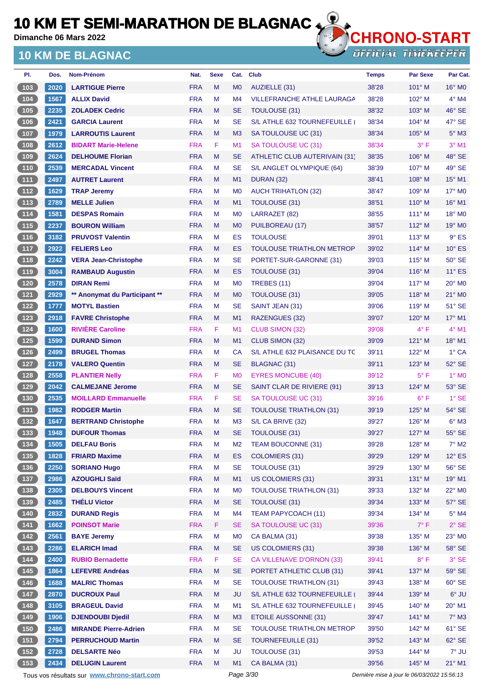**Dimanche 06 Mars 2022**

### **10 KM DE BLAGNAC**



**OFFICIAL TIMEKEEPER** 

| PI.                                            | Dos. | Nom-Prénom                    | Nat.       | <b>Sexe</b> | Cat.           | <b>Club</b>                       | <b>Temps</b> | Par Sexe        | Par Cat.        |
|------------------------------------------------|------|-------------------------------|------------|-------------|----------------|-----------------------------------|--------------|-----------------|-----------------|
| (103)                                          | 2020 | <b>LARTIGUE Pierre</b>        | <b>FRA</b> | M           | M <sub>0</sub> | AUZIELLE (31)                     | 38'28        | $101^\circ$ M   | $16^{\circ}$ MO |
| 104                                            | 1567 | <b>ALLIX David</b>            | <b>FRA</b> | M           | M <sub>4</sub> | <b>VILLEFRANCHE ATHLE LAURAGA</b> | 38'28        | $102^{\circ}$ M | $4^\circ$ M4    |
| (105)                                          | 2235 | <b>ZOLADEK Cedric</b>         | <b>FRA</b> | M           | <b>SE</b>      | <b>TOULOUSE (31)</b>              | 38'32        | $103^\circ$ M   | 46° SE          |
| $\boxed{106}$                                  | 2421 | <b>GARCIA Laurent</b>         | <b>FRA</b> | М           | <b>SE</b>      | S/L ATHLE 632 TOURNEFEUILLE (     | 38'34        | $104^\circ$ M   | 47° SE          |
| 107                                            | 1979 | <b>LARROUTIS Laurent</b>      | <b>FRA</b> | M           | M <sub>3</sub> | SA TOULOUSE UC (31)               | 38'34        | $105^\circ$ M   | $5^\circ$ M3    |
| 108                                            | 2612 | <b>BIDART Marie-Helene</b>    | <b>FRA</b> | F           | M1             | SA TOULOUSE UC (31)               | 38'34        | 3° F            | $3°$ M1         |
| (109                                           | 2624 | <b>DELHOUME Florian</b>       | <b>FRA</b> | M           | <b>SE</b>      | ATHLETIC CLUB AUTERIVAIN (31)     | 38'35        | $106^\circ$ M   | 48° SE          |
| (110)                                          | 2539 | <b>MERCADAL Vincent</b>       | <b>FRA</b> | М           | <b>SE</b>      | S/L ANGLET OLYMPIQUE (64)         | 38'39        | 107° M          | 49° SE          |
| (111)                                          | 2497 | <b>AUTRET Laurent</b>         | <b>FRA</b> | M           | M <sub>1</sub> | DURAN (32)                        | 38'41        | $108^\circ$ M   | $15^{\circ}$ M1 |
| 112                                            | 1629 | <b>TRAP Jeremy</b>            | <b>FRA</b> | М           | M <sub>0</sub> | <b>AUCH TRIHATLON (32)</b>        | 38'47        | $109^\circ$ M   | 17° M0          |
| (113)                                          | 2789 | <b>MELLE Julien</b>           | <b>FRA</b> | M           | M1             | TOULOUSE (31)                     | 38'51        | $110^\circ$ M   | 16° M1          |
| (114)                                          | 1581 | <b>DESPAS Romain</b>          | <b>FRA</b> | М           | M <sub>0</sub> | LARRAZET (82)                     | 38'55        | $111^\circ$ M   | 18° M0          |
| (115)                                          | 2237 | <b>BOURON William</b>         | <b>FRA</b> | M           | M <sub>0</sub> | PUILBOREAU (17)                   | 38'57        | $112^{\circ}$ M | $19^\circ$ MO   |
| (116)                                          | 3182 | <b>PRUVOST Valentin</b>       | <b>FRA</b> | М           | ES             | <b>TOULOUSE</b>                   | 39'01        | $113^\circ$ M   | $9°$ ES         |
| (117)                                          | 2922 | <b>FELIERS Leo</b>            | <b>FRA</b> | M           | ES             | TOULOUSE TRIATHLON METROP         | 39'02        | $114^\circ$ M   | $10^{\circ}$ ES |
| $118$                                          | 2242 | <b>VERA Jean-Christophe</b>   | <b>FRA</b> | М           | <b>SE</b>      | PORTET-SUR-GARONNE (31)           | 39'03        | $115^\circ$ M   | $50^\circ$ SE   |
| (119)                                          | 3004 | <b>RAMBAUD Augustin</b>       | <b>FRA</b> | M           | <b>ES</b>      | TOULOUSE (31)                     | 39'04        | $116^\circ$ M   | $11^{\circ}$ ES |
| 120                                            | 2578 | <b>DIRAN Remi</b>             | <b>FRA</b> | М           | M <sub>0</sub> | <b>TREBES (11)</b>                | 39'04        | $117^\circ$ M   | $20^\circ$ MO   |
| (121)                                          | 2929 | ** Anonymat du Participant ** | <b>FRA</b> | M           | M <sub>0</sub> | <b>TOULOUSE (31)</b>              | 39'05        | 118° M          | 21° MO          |
| $122$                                          | 1777 | <b>MOTYL Bastien</b>          | <b>FRA</b> | М           | <b>SE</b>      | SAINT JEAN (31)                   | 39'06        | $119^\circ$ M   | $51^\circ$ SE   |
| (123)                                          | 2918 | <b>FAVRE Christophe</b>       | <b>FRA</b> | M           | M1             | <b>RAZENGUES (32)</b>             | 39'07        | $120^\circ$ M   | 17° M1          |
| $\boxed{124}$                                  | 1600 | <b>RIVIÈRE Caroline</b>       | <b>FRA</b> | F           | M1             | <b>CLUB SIMON (32)</b>            | 39'08        | 4° F            | $4°$ M1         |
| (125)                                          | 1599 | <b>DURAND Simon</b>           | <b>FRA</b> | M           | M1             | CLUB SIMON (32)                   | 39'09        | $121^\circ$ M   | $18^{\circ}$ M1 |
| $126$                                          | 2499 | <b>BRUGEL Thomas</b>          | <b>FRA</b> | М           | <b>CA</b>      | S/L ATHLE 632 PLAISANCE DU TC     | 39'11        | $122^{\circ}$ M | 1° CA           |
| 127                                            | 2178 | <b>VALERO Quentin</b>         | <b>FRA</b> | M           | <b>SE</b>      | BLAGNAC (31)                      | 39'11        | $123^\circ$ M   | 52° SE          |
| 128                                            | 2558 | <b>PLANTIER Nelly</b>         | <b>FRA</b> | F           | M <sub>0</sub> | <b>EYRES MONCUBE (40)</b>         | 39'12        | $5^{\circ}$ F   | $1^\circ$ MO    |
| 129                                            | 2042 | <b>CALMEJANE Jerome</b>       | <b>FRA</b> | M           | <b>SE</b>      | SAINT CLAR DE RIVIERE (91)        | 39'13        | $124^\circ$ M   | 53° SE          |
| $130$                                          | 2535 | <b>MOILLARD Emmanuelle</b>    | <b>FRA</b> | F           | <b>SE</b>      | SA TOULOUSE UC (31)               | 39'16        | $6^{\circ}$ F   | $1°$ SE         |
| (131)                                          | 1982 | <b>RODGER Martin</b>          | <b>FRA</b> | M           | <b>SE</b>      | <b>TOULOUSE TRIATHLON (31)</b>    | 39'19        | $125^\circ$ M   | 54° SE          |
| $\begin{array}{c} \boxed{132} \end{array}$     | 1647 | <b>BERTRAND Christophe</b>    | <b>FRA</b> | М           | M <sub>3</sub> | S/L CA BRIVE (32)                 | 39'27        | $126^\circ$ M   | $6^\circ$ M3    |
| (133)                                          | 1948 | <b>DUFOUR Thomas</b>          | <b>FRA</b> | М           | <b>SE</b>      | <b>TOULOUSE (31)</b>              | 39'27        | $127^\circ$ M   | 55° SE          |
| $134$                                          | 1505 | <b>DELFAU Boris</b>           | <b>FRA</b> | M           | M <sub>2</sub> | <b>TEAM BOUCONNE (31)</b>         | 39'28        | 128° M          | $7^\circ$ M2    |
| (135)                                          | 1828 | <b>FRIARD Maxime</b>          | <b>FRA</b> | M           | ES             | <b>COLOMIERS (31)</b>             | 39'29        | 129° M          | $12^\circ$ ES   |
| $\begin{array}{c} \n \text{136}\n \end{array}$ | 2250 | <b>SORIANO Hugo</b>           | <b>FRA</b> | M           | <b>SE</b>      | TOULOUSE (31)                     | 39'29        | $130^\circ$ M   | 56° SE          |
| (137)                                          | 2986 | <b>AZOUGHLI Saïd</b>          | <b>FRA</b> | M           | M1             | <b>US COLOMIERS (31)</b>          | 39'31        | $131^\circ$ M   | 19° M1          |
| (138)                                          | 2305 | <b>DELBOUYS Vincent</b>       | <b>FRA</b> | М           | M <sub>0</sub> | <b>TOULOUSE TRIATHLON (31)</b>    | 39'33        | 132° M          | 22° MO          |
| (139)                                          | 2485 | <b>THÉLU Victor</b>           | <b>FRA</b> | Μ           | <b>SE</b>      | TOULOUSE (31)                     | 39'34        | $133^\circ$ M   | 57° SE          |
| $\begin{array}{c} \hline 140 \end{array}$      | 2832 | <b>DURAND Regis</b>           | <b>FRA</b> | M           | M4             | <b>TEAM PAPYCOACH (11)</b>        | 39'34        | 134° M          | $5^\circ$ M4    |
| (141)                                          | 1662 | <b>POINSOT Marie</b>          | <b>FRA</b> | F           | <b>SE</b>      | SA TOULOUSE UC (31)               | 39'36        | $7^\circ$ F     | $2^{\circ}$ SE  |
| $142$                                          | 2561 | <b>BAYE Jeremy</b>            | <b>FRA</b> | M           | M <sub>0</sub> | CA BALMA (31)                     | 39'38        | 135° M          | 23° MO          |
| (143)                                          | 2286 | <b>ELARICH Imad</b>           | <b>FRA</b> | M           | <b>SE</b>      | US COLOMIERS (31)                 | 39'38        | 136° M          | $58^\circ$ SE   |
| $\begin{array}{c} \hline 144 \end{array}$      | 2400 | <b>RUBIO Bernadette</b>       | <b>FRA</b> | F           | <b>SE</b>      | CA VILLENAVE D'ORNON (33)         | 39'41        | $8^{\circ}$ F   | $3^\circ$ SE    |
| (145)                                          | 1864 | <b>LEFEVRE Andréas</b>        | <b>FRA</b> | M           | <b>SE</b>      | PORTET ATHLETIC CLUB (31)         | 39'41        | 137° M          | 59° SE          |
| (146)                                          | 1688 | <b>MALRIC Thomas</b>          | <b>FRA</b> | M           | <b>SE</b>      | <b>TOULOUSE TRIATHLON (31)</b>    | 39'43        | 138° M          | $60^\circ$ SE   |
| (147)                                          | 2870 | <b>DUCROUX Paul</b>           | <b>FRA</b> | M           | <b>JU</b>      | S/L ATHLE 632 TOURNEFEUILLE       | 39'44        | 139° M          | $6^{\circ}$ JU  |
| $148$                                          | 3105 | <b>BRAGEUL David</b>          | <b>FRA</b> | M           | M1             | S/L ATHLE 632 TOURNEFEUILLE (     | 39'45        | $140^\circ$ M   | 20° M1          |
| (149)                                          | 1906 | <b>DJENDOUBI Djedil</b>       | <b>FRA</b> | M           | M3             | <b>ETOILE AUSSONNE (31)</b>       | 39'47        | $141^\circ$ M   | $7^\circ$ M3    |
| $150$                                          | 2486 | <b>MIRANDE Pierre-Adrien</b>  | <b>FRA</b> | M           | <b>SE</b>      | <b>TOULOUSE TRIATHLON METROP</b>  | 39'50        | 142° M          | $61^\circ$ SE   |
| (151)                                          | 2794 | <b>PERRUCHOUD Martin</b>      | <b>FRA</b> | M           | <b>SE</b>      | <b>TOURNEFEUILLE (31)</b>         | 39'52        | 143° M          | $62^\circ$ SE   |
| 152                                            | 2728 | <b>DELSARTE Néo</b>           | <b>FRA</b> | М           | <b>JU</b>      | <b>TOULOUSE (31)</b>              | 39'53        | 144° M          | 7° JU           |
| (153)                                          | 2434 | <b>DELUGIN Laurent</b>        | <b>FRA</b> | Μ           | M <sub>1</sub> | CA BALMA (31)                     | 39'56        | $145^\circ$ M   | $21^{\circ}$ M1 |
|                                                |      |                               |            |             |                |                                   |              |                 |                 |

Tous vos résultats sur **[www.chrono-start.com](https://www.chrono-start.com/)** Page 3/30 Page 3/30 Dernière mise à jour le 06/03/2022 15:56:13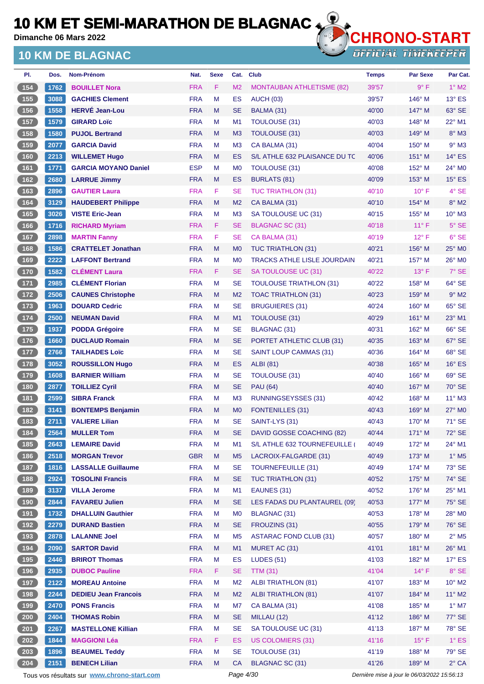**Dimanche 06 Mars 2022**

### **10 KM DE BLAGNAC**



| PI.                                               | Dos. | Nom-Prénom                                  | Nat.       | <b>Sexe</b> | Cat.           | <b>Club</b>                        | <b>Temps</b>                                | <b>Par Sexe</b> | Par Cat.                   |
|---------------------------------------------------|------|---------------------------------------------|------------|-------------|----------------|------------------------------------|---------------------------------------------|-----------------|----------------------------|
| (154)                                             | 1762 | <b>BOUILLET Nora</b>                        | <b>FRA</b> | F           | M <sub>2</sub> | <b>MONTAUBAN ATHLETISME (82)</b>   | 39'57                                       | $9^\circ$ F     | $1^\circ$ M2               |
| (155)                                             | 3088 | <b>GACHIES Clement</b>                      | <b>FRA</b> | M           | ES             | <b>AUCH (03)</b>                   | 39'57                                       | 146° M          | $13^\circ$ ES              |
| (156)                                             | 1558 | <b>HERVÉ Jean-Lou</b>                       | <b>FRA</b> | M           | SE             | BALMA (31)                         | 40'00                                       | $147^\circ$ M   | 63° SE                     |
| 157                                               | 1579 | <b>GIRARD Loïc</b>                          | <b>FRA</b> | M           | M1             | <b>TOULOUSE (31)</b>               | 40'03                                       | $148^\circ$ M   | $22^{\circ}$ M1            |
| (158)                                             | 1580 | <b>PUJOL Bertrand</b>                       | <b>FRA</b> | M           | M <sub>3</sub> | <b>TOULOUSE (31)</b>               | 40'03                                       | $149^\circ$ M   | $8^\circ$ M3               |
| 159                                               | 2077 | <b>GARCIA David</b>                         | <b>FRA</b> | M           | M <sub>3</sub> | CA BALMA (31)                      | 40'04                                       | $150^\circ$ M   | $9°$ M3                    |
| (160)                                             | 2213 | <b>WILLEMET Hugo</b>                        | <b>FRA</b> | M           | ES             | S/L ATHLE 632 PLAISANCE DU TC      | 40'06                                       | $151^\circ$ M   | $14^\circ$ ES              |
| $\boxed{161}$                                     | 1771 | <b>GARCIA MOYANO Daniel</b>                 | <b>ESP</b> | M           | M <sub>0</sub> | <b>TOULOUSE (31)</b>               | 40'08                                       | $152^{\circ}$ M | $24^\circ$ MO              |
| (162)                                             | 2680 | <b>LARRUE Jimmy</b>                         | <b>FRA</b> | M           | ES             | <b>BURLATS (81)</b>                | 40'09                                       | 153° M          | $15^\circ$ ES              |
| 163                                               | 2896 | <b>GAUTIER Laura</b>                        | <b>FRA</b> | F           | <b>SE</b>      | <b>TUC TRIATHLON (31)</b>          | 40'10                                       | $10^{\circ}$ F  | 4° SE                      |
| (164)                                             | 3129 | <b>HAUDEBERT Philippe</b>                   | <b>FRA</b> | M           | M <sub>2</sub> | CA BALMA (31)                      | 40'10                                       | $154^\circ$ M   | $8^\circ$ M2               |
| (165)                                             | 3026 | <b>VISTE Eric-Jean</b>                      | <b>FRA</b> | M           | M <sub>3</sub> | SA TOULOUSE UC (31)                | 40'15                                       | 155° M          | $10^{\circ}$ M3            |
| (166)                                             | 1716 | <b>RICHARD Myriam</b>                       | <b>FRA</b> | F           | SE             | <b>BLAGNAC SC (31)</b>             | 40'18                                       | $11^{\circ}$ F  | $5^\circ$ SE               |
| 167                                               | 2898 | <b>MARTIN Fanny</b>                         | <b>FRA</b> | F           | <b>SE</b>      | CA BALMA (31)                      | 40'19                                       | $12^{\circ}$ F  | $6°$ SE                    |
| 168                                               | 1586 | <b>CRATTELET Jonathan</b>                   | <b>FRA</b> | M           | M0             | <b>TUC TRIATHLON (31)</b>          | 40'21                                       | 156° M          | $25^\circ$ MO              |
| (169)                                             | 2222 | <b>LAFFONT Bertrand</b>                     | <b>FRA</b> | M           | M <sub>0</sub> | <b>TRACKS ATHLE LISLE JOURDAIN</b> | 40'21                                       | 157° M          | 26° MO                     |
| (170)                                             | 1582 | <b>CLÉMENT Laura</b>                        | <b>FRA</b> | F           | SE             | SA TOULOUSE UC (31)                | 40'22                                       | $13^\circ$ F    | 7° SE                      |
| (171)                                             | 2985 | <b>CLÉMENT Florian</b>                      | <b>FRA</b> | M           | <b>SE</b>      | <b>TOULOUSE TRIATHLON (31)</b>     | 40'22                                       | 158° M          | 64° SE                     |
| (172)                                             | 2506 | <b>CAUNES Christophe</b>                    | <b>FRA</b> | M           | M <sub>2</sub> | <b>TOAC TRIATHLON (31)</b>         | 40'23                                       | $159^\circ$ M   | $9°$ M2                    |
| (173)                                             | 1963 | <b>DOUARD Cedric</b>                        | <b>FRA</b> | M           | SE             | <b>BRUGUIERES (31)</b>             | 40'24                                       | $160^\circ$ M   | 65° SE                     |
| (174)                                             | 2500 | <b>NEUMAN David</b>                         | <b>FRA</b> | M           | M1             | <b>TOULOUSE (31)</b>               | 40'29                                       | $161^\circ$ M   | 23° M1                     |
|                                                   |      |                                             | <b>FRA</b> | M           |                |                                    | 40'31                                       |                 | 66° SE                     |
| $175$                                             | 1937 | <b>PODDA Grégoire</b>                       |            |             | <b>SE</b>      | <b>BLAGNAC (31)</b>                |                                             | $162^\circ$ M   |                            |
| (176)                                             | 1660 | <b>DUCLAUD Romain</b>                       | <b>FRA</b> | M           | <b>SE</b>      | PORTET ATHLETIC CLUB (31)          | 40'35                                       | 163° M          | 67° SE                     |
| $\begin{array}{c} \hline 177 \end{array}$         | 2766 | <b>TAILHADES Loïc</b>                       | <b>FRA</b> | M           | <b>SE</b>      | <b>SAINT LOUP CAMMAS (31)</b>      | 40'36                                       | $164^\circ$ M   | 68° SE                     |
| (178)                                             | 3052 | <b>ROUSSILLON Hugo</b>                      | <b>FRA</b> | M           | <b>ES</b>      | <b>ALBI</b> (81)                   | 40'38                                       | 165° M          | $16^\circ$ ES              |
| (179)                                             | 1608 | <b>BARNIER William</b>                      | <b>FRA</b> | M           | SE             | <b>TOULOUSE (31)</b>               | 40'40                                       | $166^\circ$ M   | 69° SE                     |
| (180)                                             | 2877 | <b>TOILLIEZ Cyril</b>                       | <b>FRA</b> | M           | <b>SE</b>      | <b>PAU (64)</b>                    | 40'40                                       | $167^\circ$ M   | 70° SE                     |
| $\boxed{181}$                                     | 2599 | <b>SIBRA Franck</b>                         | <b>FRA</b> | M           | M <sub>3</sub> | <b>RUNNINGSEYSSES (31)</b>         | 40'42                                       | $168^\circ$ M   | $11^{\circ}$ M3            |
| (182)                                             | 3141 | <b>BONTEMPS Benjamin</b>                    | <b>FRA</b> | M           | M <sub>0</sub> | <b>FONTENILLES (31)</b>            | 40'43                                       | $169^\circ$ M   | 27° M0                     |
| $\sqrt{183}$                                      | 2711 | <b>VALIERE Lilian</b>                       | <b>FRA</b> | M           | <b>SE</b>      | SAINT-LYS (31)                     | 40'43                                       | 170° M          | 71° SE                     |
| 184                                               | 2564 | <b>MULLER Tom</b>                           | <b>FRA</b> | M           | SE             | DAVID GOSSE COACHING (82)          | 40'44                                       | $171^\circ$ M   | 72° SE                     |
| 185                                               | 2643 | <b>LEMAIRE David</b>                        | <b>FRA</b> | M           | M1             | S/L ATHLE 632 TOURNEFEUILLE (      | 40'49                                       | 172° M          | 24° M1                     |
| (186)                                             | 2518 | <b>MORGAN Trevor</b>                        | <b>GBR</b> | M           | M <sub>5</sub> | LACROIX-FALGARDE (31)              | 40'49                                       | 173° M          | $1^\circ$ M5               |
| $\begin{array}{c} \n \textbf{187} \\ \end{array}$ | 1816 | <b>LASSALLE Guillaume</b>                   | <b>FRA</b> | M           | <b>SE</b>      | <b>TOURNEFEUILLE (31)</b>          | 40'49                                       | 174° M          | 73° SE                     |
| (188)                                             | 2924 | <b>TOSOLINI Francis</b>                     | <b>FRA</b> | M           | <b>SE</b>      | <b>TUC TRIATHLON (31)</b>          | 40'52                                       | 175° M          | 74° SE                     |
| 189                                               | 3137 | <b>VILLA Jerome</b>                         | <b>FRA</b> | M           | M1             | EAUNES (31)                        | 40'52                                       | $176^\circ$ M   | 25° M1                     |
| (190)                                             | 2844 | <b>FAVAREU Julien</b>                       | <b>FRA</b> | M           | <b>SE</b>      | LES FADAS DU PLANTAUREL (09)       | 40'53                                       | 177° M          | 75° SE                     |
| (191)                                             | 1732 | <b>DHALLUIN Gauthier</b>                    | <b>FRA</b> | M           | M <sub>0</sub> | BLAGNAC (31)                       | 40'53                                       | 178° M          | 28° M0                     |
| (192)                                             | 2279 | <b>DURAND Bastien</b>                       | <b>FRA</b> | M           | <b>SE</b>      | FROUZINS (31)                      | 40'55                                       | 179° M          | 76° SE                     |
| $\begin{array}{c} \boxed{193} \end{array}$        | 2878 | <b>LALANNE Joel</b>                         | <b>FRA</b> | M           | M <sub>5</sub> | <b>ASTARAC FOND CLUB (31)</b>      | 40'57                                       | $180^\circ$ M   | $2^{\circ}$ M <sub>5</sub> |
| (194)                                             | 2090 | <b>SARTOR David</b>                         | <b>FRA</b> | M           | M1             | MURET AC (31)                      | 41'01                                       | 181° M          | 26° M1                     |
| $195$                                             | 2446 | <b>BRIROT Thomas</b>                        | <b>FRA</b> | M           | ES             | <b>LUDES (51)</b>                  | 41'03                                       | 182° M          | $17^\circ$ ES              |
| (196)                                             | 2935 | <b>DUBOC Pauline</b>                        | <b>FRA</b> | F           | <b>SE</b>      | <b>TTM (31)</b>                    | 41'04                                       | $14^{\circ}$ F  | 8° SE                      |
| (197)                                             | 2122 | <b>MOREAU Antoine</b>                       | <b>FRA</b> | M           | M <sub>2</sub> | <b>ALBI TRIATHLON (81)</b>         | 41'07                                       | 183° M          | $10^{\circ}$ M2            |
| (198)                                             | 2244 | <b>DEDIEU Jean Francois</b>                 | <b>FRA</b> | M           | M <sub>2</sub> | <b>ALBI TRIATHLON (81)</b>         | 41'07                                       | 184° M          | $11^{\circ}$ M2            |
| 199                                               | 2470 | <b>PONS Francis</b>                         | <b>FRA</b> | M           | M7             | CA BALMA (31)                      | 41'08                                       | $185^\circ$ M   | $1^\circ$ M7               |
| (200)                                             | 2404 | <b>THOMAS Robin</b>                         | <b>FRA</b> | M           | <b>SE</b>      | MILLAU (12)                        | 41'12                                       | 186° M          | 77° SE                     |
| 201                                               | 2267 | <b>MASTELLONE Killian</b>                   | <b>FRA</b> | M           | <b>SE</b>      | SA TOULOUSE UC (31)                | 41'13                                       | 187° M          | 78° SE                     |
| $202$                                             | 1844 | <b>MAGGIONI Léa</b>                         | <b>FRA</b> | F           | <b>ES</b>      | <b>US COLOMIERS (31)</b>           | 41'16                                       | $15^{\circ}$ F  | $1^\circ$ ES               |
| 203                                               | 1896 | <b>BEAUMEL Teddy</b>                        | <b>FRA</b> | M           | <b>SE</b>      | <b>TOULOUSE (31)</b>               | 41'19                                       | 188° M          | 79° SE                     |
| 204                                               | 2151 | <b>BENECH Lilian</b>                        | <b>FRA</b> | M           | <b>CA</b>      | <b>BLAGNAC SC (31)</b>             | 41'26                                       | 189° M          | $2^{\circ}$ CA             |
|                                                   |      | Tous vos résultats sur www.chrono-start.com |            |             | Page 4/30      |                                    | Dernière mise à jour le 06/03/2022 15:56:13 |                 |                            |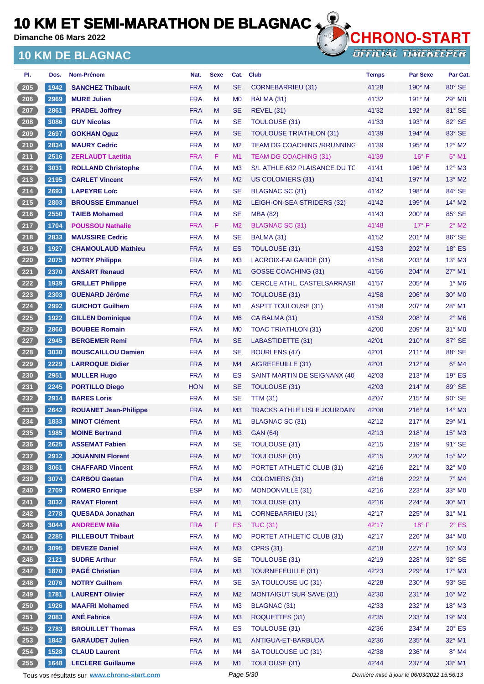**Dimanche 06 Mars 2022**

### **10 KM DE BLAGNAC**



| PI.               | Dos.         | Nom-Prénom                                  | Nat.       | <b>Sexe</b> | Cat.                 | <b>Club</b>                        | <b>Temps</b>                                | <b>Par Sexe</b>  | Par Cat.               |
|-------------------|--------------|---------------------------------------------|------------|-------------|----------------------|------------------------------------|---------------------------------------------|------------------|------------------------|
| $\frac{205}{205}$ | 1942         | <b>SANCHEZ Thibault</b>                     | <b>FRA</b> | M           | <b>SE</b>            | CORNEBARRIEU (31)                  | 41'28                                       | $190^\circ$ M    | 80° SE                 |
| $206$             | 2969         | <b>MURE Julien</b>                          | <b>FRA</b> | M           | M <sub>0</sub>       | BALMA (31)                         | 41'32                                       | $191^\circ$ M    | $29^\circ$ MO          |
| 207               | 2861         | <b>PRADEL Joffrey</b>                       | <b>FRA</b> | M           | <b>SE</b>            | <b>REVEL (31)</b>                  | 41'32                                       | 192° M           | 81° SE                 |
| 208               | 3086         | <b>GUY Nicolas</b>                          | <b>FRA</b> | M           | <b>SE</b>            | <b>TOULOUSE (31)</b>               | 41'33                                       | $193^\circ$ M    | 82° SE                 |
| 209               | 2697         | <b>GOKHAN Oguz</b>                          | <b>FRA</b> | M           | <b>SE</b>            | <b>TOULOUSE TRIATHLON (31)</b>     | 41'39                                       | $194^\circ$ M    | 83° SE                 |
| $210$             | 2834         | <b>MAURY Cedric</b>                         | <b>FRA</b> | М           | M <sub>2</sub>       | <b>TEAM DG COACHING /RRUNNING</b>  | 41'39                                       | 195° M           | $12^{\circ}$ M2        |
| 211               | 2516         | <b>ZERLAUDT Laetitia</b>                    | <b>FRA</b> | F           | M <sub>1</sub>       | <b>TEAM DG COACHING (31)</b>       | 41'39                                       | $16^{\circ}$ F   | $5^\circ$ M1           |
| 212               | 3031         | <b>ROLLAND Christophe</b>                   | <b>FRA</b> | M           | M <sub>3</sub>       | S/L ATHLE 632 PLAISANCE DU TC      | 41'41                                       | $196^\circ$ M    | $12^{\circ}$ M3        |
| 213               | 2195         | <b>CARLET Vincent</b>                       | <b>FRA</b> | M           | M <sub>2</sub>       | US COLOMIERS (31)                  | 41'41                                       | $197^\circ$ M    | $13^\circ$ M2          |
| $214$             | 2693         | <b>LAPEYRE Loïc</b>                         | <b>FRA</b> | М           | <b>SE</b>            | BLAGNAC SC (31)                    | 41'42                                       | 198° M           | 84° SE                 |
| $215$             | 2803         | <b>BROUSSE Emmanuel</b>                     | <b>FRA</b> | M           | M <sub>2</sub>       | LEIGH-ON-SEA STRIDERS (32)         | 41'42                                       | $199^\circ$ M    | $14^{\circ}$ M2        |
| $216$             | 2550         | <b>TAIEB Mohamed</b>                        | <b>FRA</b> | м           | <b>SE</b>            | <b>MBA (82)</b>                    | 41'43                                       | 200° M           | 85° SE                 |
| 217               | 1704         | <b>POUSSOU Nathalie</b>                     | <b>FRA</b> | F.          | M <sub>2</sub>       | <b>BLAGNAC SC (31)</b>             | 41'48                                       | $17^{\circ}$ F   | $2^{\circ}$ M2         |
| 218               | 2833         | <b>MAUSSIRE Cedric</b>                      | <b>FRA</b> | M           | <b>SE</b>            | BALMA (31)                         | 41'52                                       | 201° M           | $86^\circ$ SE          |
| 219               | 1927         | <b>CHAMOULAUD Mathieu</b>                   | <b>FRA</b> | M           | ES                   | <b>TOULOUSE (31)</b>               | 41'53                                       | 202° M           | $18^\circ$ ES          |
| $\frac{220}{ }$   | 2075         | <b>NOTRY Philippe</b>                       | <b>FRA</b> | M           | M <sub>3</sub>       | LACROIX-FALGARDE (31)              | 41'56                                       | $203^\circ$ M    | $13^\circ$ M3          |
| 221               | 2370         | <b>ANSART Renaud</b>                        | <b>FRA</b> | M           | M <sub>1</sub>       | <b>GOSSE COACHING (31)</b>         | 41'56                                       | 204° M           | 27° M1                 |
| 222               | 1939         | <b>GRILLET Philippe</b>                     | <b>FRA</b> | М           | M <sub>6</sub>       | <b>CERCLE ATHL, CASTELSARRASII</b> | 41'57                                       | $205^\circ$ M    | $1^\circ$ M6           |
| 223               | 2303         | <b>GUENARD Jérôme</b>                       | <b>FRA</b> | M           | M <sub>0</sub>       | TOULOUSE (31)                      | 41'58                                       | 206° M           | 30° M <sub>0</sub>     |
| 224               | 2992         | <b>GUICHOT Guilhem</b>                      | <b>FRA</b> | М           | M1                   | <b>ASPTT TOULOUSE (31)</b>         | 41'58                                       | $207^\circ$ M    | $28^\circ$ M1          |
| 225               | 1922         | <b>GILLEN Dominique</b>                     | <b>FRA</b> | M           | M <sub>6</sub>       | CA BALMA (31)                      | 41'59                                       | $208^\circ$ M    | $2^{\circ}$ M6         |
| 226               | 2866         | <b>BOUBEE Romain</b>                        | <b>FRA</b> | M           | M <sub>0</sub>       | TOAC TRIATHLON (31)                | 42'00                                       | $209^\circ$ M    | $31^\circ$ MO          |
| 227               | 2945         | <b>BERGEMER Remi</b>                        | <b>FRA</b> | M           | <b>SE</b>            | LABASTIDETTE (31)                  | 42'01                                       | $210^\circ$ M    | 87° SE                 |
| $228$             | 3030         | <b>BOUSCAILLOU Damien</b>                   | <b>FRA</b> | M           | <b>SE</b>            | <b>BOURLENS (47)</b>               | 42'01                                       | $211^\circ$ M    | 88° SE                 |
| 229               | 2229         | <b>LARROQUE Didier</b>                      | <b>FRA</b> | M           | M4                   | AIGREFEUILLE (31)                  | 42'01                                       | $212^{\circ}$ M  | $6^\circ$ M4           |
| 230               | 2951         | <b>MULLER Hugo</b>                          | <b>FRA</b> | М           | ES                   | SAINT MARTIN DE SEIGNANX (40)      | 42'03                                       | $213^\circ$ M    | $19°$ ES               |
| 231               | 2245         | <b>PORTILLO Diego</b>                       | <b>HON</b> | M           | <b>SE</b>            | TOULOUSE (31)                      | 42'03                                       | $214^\circ$ M    | 89° SE                 |
| $232$             | 2914         | <b>BARES Loris</b>                          | <b>FRA</b> | М           | <b>SE</b>            | <b>TTM (31)</b>                    | 42'07                                       | $215^\circ$ M    | 90° SE                 |
| $233$             | 2642         | <b>ROUANET Jean-Philippe</b>                | <b>FRA</b> | M           | M <sub>3</sub>       | <b>TRACKS ATHLE LISLE JOURDAIN</b> | 42'08                                       | $216^\circ$ M    | $14^{\circ}$ M3        |
| $234$             | 1833         | <b>MINOT Clément</b>                        | <b>FRA</b> | м           | M <sub>1</sub>       | BLAGNAC SC (31)                    | 42'12                                       | $217^\circ$ M    | $29^\circ$ M1          |
| $235$             | 1985         | <b>MOINE Bertrand</b>                       | <b>FRA</b> | M           | M <sub>3</sub>       | <b>GAN (64)</b>                    | 42'13                                       | $218^\circ$ M    | 15° M3                 |
| $236$             | 2625         | <b>ASSEMAT Fabien</b>                       | <b>FRA</b> | M           | <b>SE</b>            | <b>TOULOUSE (31)</b>               | 42'15                                       | 219° M           | 91° SE                 |
| $237$             | 2912         | <b>JOUANNIN Florent</b>                     | <b>FRA</b> | M           | M <sub>2</sub>       | <b>TOULOUSE (31)</b>               | 42'15                                       | 220° M           | $15^{\circ}$ M2        |
| $238$             | 3061         | <b>CHAFFARD Vincent</b>                     | <b>FRA</b> | M           | M <sub>0</sub>       | PORTET ATHLETIC CLUB (31)          | 42'16                                       | 221° M           | 32° MO                 |
| 239               | 3074         | <b>CARBOU Gaetan</b>                        | <b>FRA</b> | M           | M4                   | <b>COLOMIERS (31)</b>              | 42'16                                       | 222° M           | $7^\circ$ M4           |
| $240$             | 2709         | <b>ROMERO Enrique</b>                       | <b>ESP</b> | М           | M <sub>0</sub>       | MONDONVILLE (31)                   | 42'16                                       | 223° M           | $33^\circ$ MO          |
| 241               | 3032         | <b>RAVAT Florent</b>                        | <b>FRA</b> | M           | M <sub>1</sub>       | TOULOUSE (31)                      | 42'16                                       | 224° M           | 30° M1                 |
| 242               | 2778         | <b>QUESADA Jonathan</b>                     | <b>FRA</b> | M           | M1                   | <b>CORNEBARRIEU (31)</b>           | 42'17                                       | 225° M           | $31^\circ$ M1          |
| 243               | 3044         | <b>ANDREEW Mila</b>                         | <b>FRA</b> | F           | ES                   | <b>TUC (31)</b>                    | 42'17                                       | 18°F             | $2^{\circ}$ ES         |
| 244               | 2285         | <b>PILLEBOUT Thibaut</b>                    | <b>FRA</b> | M           | M <sub>0</sub>       | PORTET ATHLETIC CLUB (31)          | 42'17                                       | 226° M           | 34° MO                 |
| 245               | 3095         | <b>DEVEZE Daniel</b>                        | <b>FRA</b> | M           | M3                   | <b>CPRS (31)</b>                   | 42'18                                       | 227° M           | $16^\circ$ M3          |
| $246$             | 2121         | <b>SUDRE Arthur</b>                         | <b>FRA</b> | M           | <b>SE</b>            | <b>TOULOUSE (31)</b>               | 42'19                                       | 228° M           | 92° SE                 |
| 247               | 1870         | <b>PAGÉ Christian</b>                       | <b>FRA</b> | M           | M <sub>3</sub>       | <b>TOURNEFEUILLE (31)</b>          | 42'23                                       | 229° M           | $17^\circ$ M3          |
| 248               | 2076         | <b>NOTRY Guilhem</b>                        | <b>FRA</b> | M           | <b>SE</b>            | SA TOULOUSE UC (31)                | 42'28                                       | 230° M           | 93° SE                 |
| 249               | 1781         | <b>LAURENT Olivier</b>                      | <b>FRA</b> | M           | M <sub>2</sub>       | <b>MONTAIGUT SUR SAVE (31)</b>     | 42'30                                       | 231° M           | $16^{\circ}$ M2        |
| $250$             | 1926         | <b>MAAFRI Mohamed</b>                       | <b>FRA</b> | M           | M <sub>3</sub>       | <b>BLAGNAC (31)</b>                | 42'33                                       | 232° M           | $18^\circ$ M3          |
| 251               | 2083         | <b>ANÉ Fabrice</b>                          | <b>FRA</b> | M           | M <sub>3</sub>       | ROQUETTES (31)                     | 42'35                                       | 233° M           | $19^\circ$ M3          |
| 252               | 2783         | <b>BROUILLET Thomas</b>                     | <b>FRA</b> | M           | ES                   | <b>TOULOUSE (31)</b>               | 42'36                                       | 234° M           | $20^\circ$ ES          |
| 253               | 1842         | <b>GARAUDET Julien</b>                      | <b>FRA</b> | M           | M1                   | ANTIGUA-ET-BARBUDA                 |                                             | 235° M           | 32° M1                 |
|                   |              |                                             |            |             |                      |                                    | 42'36                                       |                  |                        |
| 254<br>255        | 1528<br>1648 | <b>CLAUD Laurent</b>                        | <b>FRA</b> | М<br>M      | M <sub>4</sub><br>M1 | SA TOULOUSE UC (31)                | 42'38<br>42'44                              | 236° M<br>237° M | $8^\circ$ M4<br>33° M1 |
|                   |              | <b>LECLERE Guillaume</b>                    | <b>FRA</b> |             |                      | TOULOUSE (31)                      |                                             |                  |                        |
|                   |              | Tous vos résultats sur www.chrono-start.com |            |             | Page 5/30            |                                    | Dernière mise à jour le 06/03/2022 15:56:13 |                  |                        |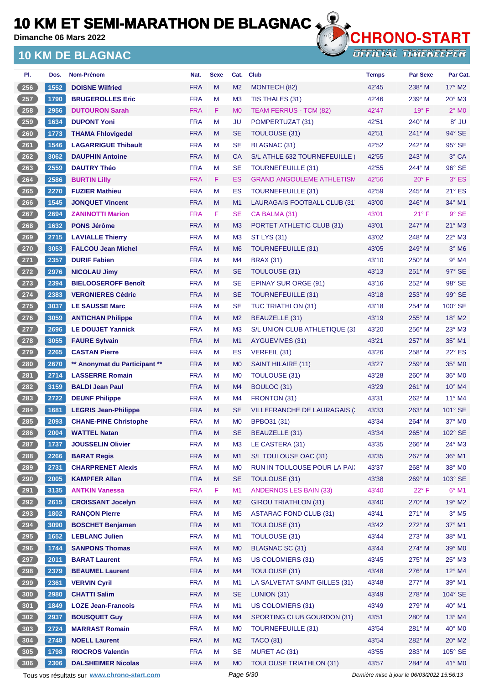**Dimanche 06 Mars 2022**

### **10 KM DE BLAGNAC**



**OFFICIAL TIMEKEEPER** 

| PI.              | Dos. | Nom-Prénom                    | Nat.       | <b>Sexe</b> | Cat.           | <b>Club</b>                      | <b>Temps</b> | <b>Par Sexe</b> | Par Cat.                   |
|------------------|------|-------------------------------|------------|-------------|----------------|----------------------------------|--------------|-----------------|----------------------------|
| $256$            | 1552 | <b>DOISNE Wilfried</b>        | <b>FRA</b> | M           | M <sub>2</sub> | MONTECH (82)                     | 42'45        | 238° M          | $17^\circ$ M2              |
| 257              | 1790 | <b>BRUGEROLLES Eric</b>       | <b>FRA</b> | M           | M <sub>3</sub> | TIS THALES (31)                  | 42'46        | 239° M          | $20^\circ$ M3              |
| $\overline{258}$ | 2956 | <b>DUTOURON Sarah</b>         | <b>FRA</b> | F           | M <sub>0</sub> | TEAM FERRUS - TCM (82)           | 42'47        | $19^\circ$ F    | $2^{\circ}$ M <sub>0</sub> |
| 259              | 1634 | <b>DUPONT Yoni</b>            | <b>FRA</b> | M           | JU             | POMPERTUZAT (31)                 | 42'51        | $240^\circ$ M   | 8° JU                      |
| 260              | 1773 | <b>THAMA Fhlovigedel</b>      | <b>FRA</b> | M           | <b>SE</b>      | <b>TOULOUSE (31)</b>             | 42'51        | 241° M          | 94° SE                     |
| 261              | 1546 | <b>LAGARRIGUE Thibault</b>    | <b>FRA</b> | M           | <b>SE</b>      | <b>BLAGNAC (31)</b>              | 42'52        | $242^{\circ}$ M | 95° SE                     |
| 262              | 3062 | <b>DAUPHIN Antoine</b>        | <b>FRA</b> | M           | CA             | S/L ATHLE 632 TOURNEFEUILLE      | 42'55        | $243^\circ$ M   | 3° CA                      |
| $263$            | 2559 | <b>DAUTRY Théo</b>            | <b>FRA</b> | M           | <b>SE</b>      | <b>TOURNEFEUILLE (31)</b>        | 42'55        | 244° M          | 96° SE                     |
| $264$            | 2586 | <b>BURTIN Lilly</b>           | <b>FRA</b> | F.          | ES             | <b>GRAND ANGOULEME ATHLETISM</b> | 42'56        | $20^{\circ}$ F  | $3°$ ES                    |
| 265              | 2270 | <b>FUZIER Mathieu</b>         | <b>FRA</b> | M           | ES             | <b>TOURNEFEUILLE (31)</b>        | 42'59        | $245^\circ$ M   | $21^\circ$ ES              |
| $266$            | 1545 | <b>JONQUET Vincent</b>        | <b>FRA</b> | M           | M1             | LAURAGAIS FOOTBALL CLUB (31      | 43'00        | 246° M          | 34° M1                     |
| 267              | 2694 | <b>ZANINOTTI Marion</b>       | <b>FRA</b> | F           | <b>SE</b>      | CA BALMA (31)                    | 43'01        | $21^{\circ}$ F  | $9°$ SE                    |
| 268              | 1632 | <b>PONS Jérôme</b>            | <b>FRA</b> | M           | M <sub>3</sub> | PORTET ATHLETIC CLUB (31)        | 43'01        | 247° M          | $21^\circ$ M3              |
| 269              | 2715 | <b>LAVIALLE Thierry</b>       | <b>FRA</b> | M           | M <sub>3</sub> | <b>ST LYS (31)</b>               | 43'02        | 248° M          | 22° M3                     |
| 270              | 3053 | <b>FALCOU Jean Michel</b>     | <b>FRA</b> | M           | M <sub>6</sub> | <b>TOURNEFEUILLE (31)</b>        | 43'05        | 249° M          | $3°$ M <sub>6</sub>        |
| 271              | 2357 | <b>DURIF Fabien</b>           | <b>FRA</b> | M           | M <sub>4</sub> | <b>BRAX (31)</b>                 | 43'10        | $250^\circ$ M   | $9°$ M4                    |
| 272              | 2976 | <b>NICOLAU Jimy</b>           | <b>FRA</b> | M           | <b>SE</b>      | <b>TOULOUSE (31)</b>             | 43'13        | $251^\circ$ M   | $97^\circ$ SE              |
| 273              | 2394 | <b>BIELOOSEROFF Benoît</b>    | <b>FRA</b> | M           | <b>SE</b>      | <b>EPINAY SUR ORGE (91)</b>      | 43'16        | $252^{\circ}$ M | 98° SE                     |
| 274              | 2383 | <b>VERGNIERES Cédric</b>      | <b>FRA</b> | M           | <b>SE</b>      | <b>TOURNEFEUILLE (31)</b>        | 43'18        | $253^\circ$ M   | 99° SE                     |
| 275              | 3037 | <b>LE SAUSSE Marc</b>         | <b>FRA</b> | M           | <b>SE</b>      | <b>TUC TRIATHLON (31)</b>        | 43'18        | 254° M          | 100° SE                    |
| 276              | 3059 | <b>ANTICHAN Philippe</b>      | <b>FRA</b> | M           | M <sub>2</sub> | <b>BEAUZELLE (31)</b>            | 43'19        | 255° M          | 18° M2                     |
| 277              | 2696 | <b>LE DOUJET Yannick</b>      | <b>FRA</b> | м           | M <sub>3</sub> | S/L UNION CLUB ATHLETIQUE (31    | 43'20        | $256^{\circ}$ M | 23° M3                     |
| 278              | 3055 | <b>FAURE Sylvain</b>          | <b>FRA</b> | M           | M <sub>1</sub> | AYGUEVIVES (31)                  | 43'21        | $257^\circ$ M   | $35^{\circ}$ M1            |
| 279              | 2265 | <b>CASTAN Pierre</b>          | <b>FRA</b> | М           | ES             | VERFEIL (31)                     | 43'26        | $258^\circ$ M   | 22° ES                     |
| 280              | 2670 | ** Anonymat du Participant ** | <b>FRA</b> | M           | M <sub>0</sub> | SAINT HILAIRE (11)               | 43'27        | $259^\circ$ M   | 35° MO                     |
| $\overline{281}$ | 2714 | <b>LASSERRE Romain</b>        | <b>FRA</b> | м           | M <sub>0</sub> | <b>TOULOUSE (31)</b>             | 43'28        | $260^\circ$ M   | 36° M0                     |
| 282              | 3159 | <b>BALDI Jean Paul</b>        | <b>FRA</b> | M           | M <sub>4</sub> | BOULOC (31)                      | 43'29        | 261° M          | 10° M4                     |
| 283              | 2722 | <b>DEUNF Philippe</b>         | <b>FRA</b> | M           | M <sub>4</sub> | FRONTON (31)                     | 43'31        | $262^\circ$ M   | 11° M4                     |
| 284              | 1681 | <b>LEGRIS Jean-Philippe</b>   | <b>FRA</b> | M           | <b>SE</b>      | VILLEFRANCHE DE LAURAGAIS (      | 43'33        | $263^\circ$ M   | 101° SE                    |
| $285$            | 2093 | <b>CHANE-PINE Christophe</b>  | <b>FRA</b> | M           | M <sub>0</sub> | BPBO31 (31)                      | 43'34        | $264^\circ$ M   | $37^\circ$ MO              |
| 286              | 2004 | <b>WATTEL Natan</b>           | <b>FRA</b> | M           | SE             | <b>BEAUZELLE (31)</b>            | 43'34        | 265° M          | 102° SE                    |
| 287              | 1737 | <b>JOUSSELIN Olivier</b>      | <b>FRA</b> | M           | M <sub>3</sub> | LE CASTERA (31)                  | 43'35        | 266° M          | 24° M3                     |
| 288              | 2266 | <b>BARAT Regis</b>            | <b>FRA</b> | M           | M1             | S/L TOULOUSE OAC (31)            | 43'35        | 267° M          | 36° M1                     |
| $289$            | 2731 | <b>CHARPRENET Alexis</b>      | <b>FRA</b> | M           | M <sub>0</sub> | RUN IN TOULOUSE POUR LA PAI.     | 43'37        | 268° M          | 38° MO                     |
| $\frac{290}{ }$  | 2005 | <b>KAMPFER Allan</b>          | <b>FRA</b> | M           | <b>SE</b>      | <b>TOULOUSE (31)</b>             | 43'38        | 269° M          | 103° SE                    |
| 291              | 3135 | <b>ANTKIN Vanessa</b>         | <b>FRA</b> | F           | M1             | <b>ANDERNOS LES BAIN (33)</b>    | 43'40        | $22^{\circ}$ F  | $6^{\circ}$ M1             |
| 292              | 2615 | <b>CROISSANT Jocelyn</b>      | <b>FRA</b> | M           | M <sub>2</sub> | <b>GIROU TRIATHLON (31)</b>      | 43'40        | 270° M          | 19° M2                     |
| $293$            | 1802 | <b>RANÇON Pierre</b>          | <b>FRA</b> | M           | M <sub>5</sub> | <b>ASTARAC FOND CLUB (31)</b>    | 43'41        | 271° M          | $3^\circ$ M5               |
| 294              | 3090 | <b>BOSCHET Benjamen</b>       | <b>FRA</b> | M           | M <sub>1</sub> | TOULOUSE (31)                    | 43'42        | 272° M          | 37° M1                     |
| $\overline{295}$ | 1652 | <b>LEBLANC Julien</b>         | <b>FRA</b> | М           | M1             | TOULOUSE (31)                    | 43'44        | $273^\circ$ M   | 38° M1                     |
| $\frac{296}{2}$  | 1744 | <b>SANPONS Thomas</b>         | <b>FRA</b> | M           | M <sub>0</sub> | <b>BLAGNAC SC (31)</b>           | 43'44        | 274° M          | 39° MO                     |
| $297$            | 2011 | <b>BARAT Laurent</b>          | <b>FRA</b> | M           | M <sub>3</sub> | <b>US COLOMIERS (31)</b>         | 43'45        | 275° M          | $25^\circ$ M3              |
| 298              | 2379 | <b>BEAUMEL Laurent</b>        | <b>FRA</b> | M           | M <sub>4</sub> | TOULOUSE (31)                    | 43'48        | 276° M          | 12° M4                     |
| $299$            | 2361 | <b>VERVIN Cyril</b>           | <b>FRA</b> | M           | M1             | LA SALVETAT SAINT GILLES (31)    | 43'48        | 277° M          | 39° M1                     |
| 300              | 2980 | <b>CHATTI Salim</b>           | <b>FRA</b> | M           | <b>SE</b>      | LUNION (31)                      | 43'49        | 278° M          | 104° SE                    |
| 301              | 1849 | <b>LOZE Jean-Francois</b>     | <b>FRA</b> | M           | M1             | US COLOMIERS (31)                | 43'49        | 279° M          | 40° M1                     |
| 302              | 2937 | <b>BOUSQUET Guy</b>           | <b>FRA</b> | M           | M <sub>4</sub> | SPORTING CLUB GOURDON (31)       | 43'51        | 280° M          | $13^{\circ}$ M4            |
| 303              | 2724 | <b>MARRAST Romain</b>         | <b>FRA</b> | М           | M <sub>0</sub> | <b>TOURNEFEUILLE (31)</b>        | 43'54        | 281° M          | $40^\circ$ MO              |
| 304              | 2748 | <b>NOELL Laurent</b>          | <b>FRA</b> | M           | M <sub>2</sub> | <b>TACO (81)</b>                 | 43'54        | 282° M          | $20^\circ$ M2              |
| 305              | 1798 | <b>RIOCROS Valentin</b>       | <b>FRA</b> | M           | <b>SE</b>      | MURET AC (31)                    | 43'55        | 283° M          | 105° SE                    |
| 306              | 2306 | <b>DALSHEIMER Nicolas</b>     | <b>FRA</b> | M           | M <sub>0</sub> | <b>TOULOUSE TRIATHLON (31)</b>   | 43'57        | 284° M          | 41° MO                     |

Tous vos résultats sur **[www.chrono-start.com](https://www.chrono-start.com/)** Page 6/30 Page 6/30 Dernière mise à jour le 06/03/2022 15:56:13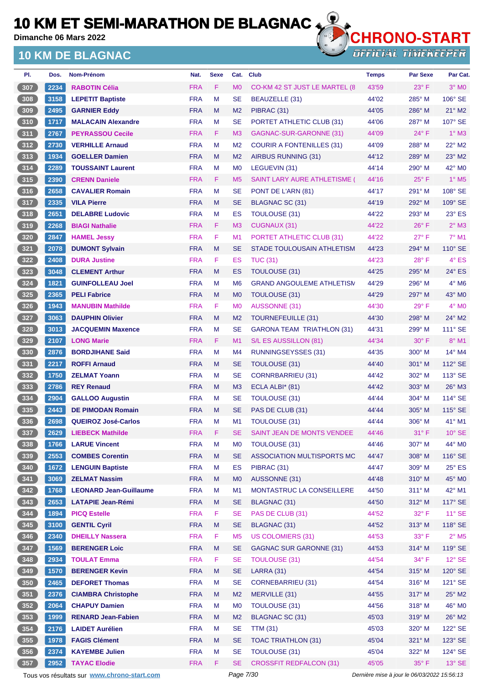**Dimanche 06 Mars 2022**

### **10 KM DE BLAGNAC**



| PI.             | Dos. | <b>Nom-Prénom</b>                           | Nat.                     | <b>Sexe</b> | Cat.                 | <b>Club</b>                         | <b>Temps</b>                                | <b>Par Sexe</b> | Par Cat.                   |
|-----------------|------|---------------------------------------------|--------------------------|-------------|----------------------|-------------------------------------|---------------------------------------------|-----------------|----------------------------|
| 307             | 2234 | <b>RABOTIN Célia</b>                        | <b>FRA</b>               | F           | M <sub>0</sub>       | CO-KM 42 ST JUST LE MARTEL (8)      | 43'59                                       | $23^\circ$ F    | $3^\circ$ MO               |
| 308             | 3158 | <b>LEPETIT Baptiste</b>                     | <b>FRA</b>               | M           | SE                   | <b>BEAUZELLE (31)</b>               | 44'02                                       | 285° M          | 106° SE                    |
| 309             | 2495 | <b>GARNIER Eddy</b>                         | <b>FRA</b>               | M           | M <sub>2</sub>       | PIBRAC (31)                         | 44'05                                       | $286^\circ$ M   | $21^\circ$ M2              |
| 310             | 1717 | <b>MALACAIN Alexandre</b>                   | <b>FRA</b>               | M           | SE                   | PORTET ATHLETIC CLUB (31)           | 44'06                                       | $287^\circ$ M   | 107° SE                    |
| 311             | 2767 | <b>PEYRASSOU Cecile</b>                     | <b>FRA</b>               | F           | M <sub>3</sub>       | GAGNAC-SUR-GARONNE (31)             | 44'09                                       | $24^{\circ}$ F  | $1^\circ$ M3               |
| 312             | 2730 | <b>VERHILLE Arnaud</b>                      | <b>FRA</b>               | M           | M <sub>2</sub>       | <b>COURIR A FONTENILLES (31)</b>    | 44'09                                       | 288° M          | $22^\circ$ M2              |
| 313             | 1934 | <b>GOELLER Damien</b>                       | <b>FRA</b>               | M           | M <sub>2</sub>       | AIRBUS RUNNING (31)                 | 44'12                                       | $289^\circ$ M   | $23^\circ$ M2              |
| $314$           | 2289 | <b>TOUSSAINT Laurent</b>                    | <b>FRA</b>               | M           | M <sub>0</sub>       | LEGUEVIN (31)                       | 44'14                                       | 290° M          | 42° MO                     |
| 315             | 2390 | <b>CRENN Daniele</b>                        | <b>FRA</b>               | F           | M <sub>5</sub>       | <b>SAINT LARY AURE ATHLETISME (</b> | 44'16                                       | $25^{\circ}$ F  | $1^\circ$ M <sub>5</sub>   |
| 316             | 2658 | <b>CAVALIER Romain</b>                      | <b>FRA</b>               | M           | SE                   | PONT DE L'ARN (81)                  | 44'17                                       | $291^\circ$ M   | 108° SE                    |
| 317             | 2335 | <b>VILA Pierre</b>                          | <b>FRA</b>               | M           | <b>SE</b>            | <b>BLAGNAC SC (31)</b>              | 44'19                                       | $292^\circ$ M   | 109° SE                    |
| 318             | 2651 | <b>DELABRE Ludovic</b>                      | <b>FRA</b>               | M           | ES                   | <b>TOULOUSE (31)</b>                | 44'22                                       | 293° M          | $23^\circ$ ES              |
| 319             | 2268 | <b>BIAGI Nathalie</b>                       | <b>FRA</b>               | F           | M <sub>3</sub>       | <b>CUGNAUX (31)</b>                 | 44'22                                       | $26^{\circ}$ F  | $2°$ M3                    |
| 320             | 2847 | <b>HAMEL Jessy</b>                          | <b>FRA</b>               | F           | M1                   | PORTET ATHLETIC CLUB (31)           | 44'22                                       | 27° F           | $7^\circ$ M1               |
| 321             | 2078 | <b>DUMONT Sylvain</b>                       | <b>FRA</b>               | M           | SE                   | STADE TOULOUSAIN ATHLETISM          | 44'23                                       | 294° M          | 110° SE                    |
| 322             | 2408 | <b>DURA Justine</b>                         | <b>FRA</b>               | F           | ES                   | <b>TUC (31)</b>                     | 44'23                                       | 28° F           | $4^\circ$ ES               |
| 323             | 3048 | <b>CLEMENT Arthur</b>                       | <b>FRA</b>               | M           | ES                   | <b>TOULOUSE (31)</b>                | 44'25                                       | $295^\circ$ M   | $24^{\circ}$ ES            |
| 324             | 1821 | <b>GUINFOLLEAU Joel</b>                     | <b>FRA</b>               | M           | M <sub>6</sub>       | <b>GRAND ANGOULEME ATHLETISM</b>    | 44'29                                       | $296^\circ$ M   | $4^\circ$ M <sub>6</sub>   |
| 325             | 2365 | <b>PELI Fabrice</b>                         | <b>FRA</b>               | M           | M <sub>0</sub>       | TOULOUSE (31)                       | 44'29                                       | 297° M          | 43° MO                     |
| 326             | 1943 | <b>MANUBIN Mathilde</b>                     | <b>FRA</b>               | F           | M <sub>0</sub>       | <b>AUSSONNE (31)</b>                | 44'30                                       | 29° F           | $4^\circ$ MO               |
| 327             | 3063 | <b>DAUPHIN Olivier</b>                      | <b>FRA</b>               | M           | M <sub>2</sub>       | <b>TOURNEFEUILLE (31)</b>           | 44'30                                       | $298^\circ$ M   | $24^\circ$ M2              |
| $328$           | 3013 | <b>JACQUEMIN Maxence</b>                    | <b>FRA</b>               | M           | <b>SE</b>            | <b>GARONA TEAM TRIATHLON (31)</b>   | 44'31                                       | $299^\circ$ M   | $111^\circ$ SE             |
| 329             | 2107 | <b>LONG Marie</b>                           | <b>FRA</b>               | F           | M <sub>1</sub>       | S/L ES AUSSILLON (81)               | 44'34                                       | $30^\circ$ F    | 8° M1                      |
| $330$           | 2876 | <b>BORDJIHANE Said</b>                      | <b>FRA</b>               | M           | M4                   | <b>RUNNINGSEYSSES (31)</b>          | 44'35                                       | $300^\circ$ M   | $14^{\circ}$ M4            |
| $\sqrt{331}$    | 2217 | <b>ROFFI Arnaud</b>                         | <b>FRA</b>               | M           | <b>SE</b>            | TOULOUSE (31)                       | 44'40                                       | 301° M          | $112^\circ$ SE             |
| $332$           | 1750 | <b>ZELMAT Yoann</b>                         | <b>FRA</b>               | M           | SE                   | <b>CORNRBARRIEU (31)</b>            | 44'42                                       | 302° M          | $113^\circ$ SE             |
| $333$           | 2786 | <b>REY Renaud</b>                           | <b>FRA</b>               | M           | M <sub>3</sub>       | ECLA ALBI* (81)                     | 44'42                                       | $303^\circ$ M   | 26° M3                     |
| $334$           | 2904 | <b>GALLOO Augustin</b>                      | <b>FRA</b>               | M           | SE                   |                                     | 44'44                                       | $304^\circ$ M   | 114° SE                    |
|                 |      |                                             |                          |             |                      | TOULOUSE (31)                       |                                             |                 | 115° SE                    |
| 335             | 2443 | <b>DE PIMODAN Romain</b>                    | <b>FRA</b><br><b>FRA</b> | M           | <b>SE</b>            | PAS DE CLUB (31)                    | 44'44                                       | $305^\circ$ M   | 41° M1                     |
| 336             | 2698 | <b>QUEIROZ José-Carlos</b>                  |                          | M<br>F      | M1                   | <b>TOULOUSE (31)</b>                | 44'44                                       | $306^\circ$ M   |                            |
| 337             | 2629 | <b>LIEBECK Mathilde</b>                     | <b>FRA</b>               |             | SE                   | SAINT JEAN DE MONTS VENDEE          | 44'46                                       | $31^{\circ}$ F  | $10^{\circ}$ SE            |
| 338             | 1766 | <b>LARUE Vincent</b>                        | <b>FRA</b>               | M           | MO                   | <b>TOULOUSE (31)</b>                | 44'46                                       | 307° M          | 44° MO                     |
| 339             | 2553 | <b>COMBES Corentin</b>                      | <b>FRA</b>               | M           | <b>SE</b>            | ASSOCIATION MULTISPORTS MC          | 44'47                                       | 308° M          | 116° SE                    |
| 340             | 1672 | <b>LENGUIN Baptiste</b>                     | <b>FRA</b>               | M           | ES                   | PIBRAC (31)                         | 44'47                                       | 309° M          | $25^\circ$ ES              |
| 341             | 3069 | <b>ZELMAT Nassim</b>                        | <b>FRA</b>               | M           | M <sub>0</sub>       | AUSSONNE (31)                       | 44'48                                       | $310^\circ$ M   | 45° MO                     |
| $342$           | 1768 | <b>LEONARD Jean-Guillaume</b>               | <b>FRA</b>               | M           | M <sub>1</sub>       | MONTASTRUC LA CONSEILLERE           | 44'50                                       | $311^\circ$ M   | 42° M1                     |
| $\frac{343}{ }$ | 2653 | <b>LATAPIE Jean-Rémi</b>                    | <b>FRA</b>               | M           | <b>SE</b>            | BLAGNAC (31)                        | 44'50                                       | $312^\circ$ M   | 117° SE                    |
| $344$           | 1894 | <b>PICQ Estelle</b>                         | <b>FRA</b>               | F           | <b>SE</b>            | PAS DE CLUB (31)                    | 44'52                                       | $32^{\circ}$ F  | $11^\circ$ SE              |
| 345             | 3100 | <b>GENTIL Cyril</b>                         | <b>FRA</b>               | M           | <b>SE</b>            | <b>BLAGNAC (31)</b>                 | 44'52                                       | $313^\circ$ M   | 118° SE                    |
| 346             | 2340 | <b>DHEILLY Nassera</b>                      | <b>FRA</b>               | F           | M <sub>5</sub>       | <b>US COLOMIERS (31)</b>            | 44'53                                       | 33° F           | $2^{\circ}$ M <sub>5</sub> |
| 347             | 1569 | <b>BERENGER Loic</b>                        | <b>FRA</b>               | M           | $\mathsf{SE}\xspace$ | <b>GAGNAC SUR GARONNE (31)</b>      | 44'53                                       | 314° M          | 119° SE                    |
| $348$           | 2934 | <b>TOULAT Emma</b>                          | <b>FRA</b>               | F           | <b>SE</b>            | <b>TOULOUSE (31)</b>                | 44'54                                       | $34^{\circ}$ F  | $12^{\circ}$ SE            |
| 349             | 1570 | <b>BERENGER Kevin</b>                       | <b>FRA</b>               | M           | <b>SE</b>            | LARRA (31)                          | 44'54                                       | 315° M          | 120° SE                    |
| $350$           | 2465 | <b>DEFORET Thomas</b>                       | <b>FRA</b>               | M           | <b>SE</b>            | <b>CORNEBARRIEU (31)</b>            | 44'54                                       | $316^\circ$ M   | 121° SE                    |
| 351             | 2376 | <b>CIAMBRA Christophe</b>                   | <b>FRA</b>               | M           | M <sub>2</sub>       | MERVILLE (31)                       | 44'55                                       | $317^\circ$ M   | $25^\circ$ M2              |
| 352             | 2064 | <b>CHAPUY Damien</b>                        | <b>FRA</b>               | M           | M <sub>0</sub>       | <b>TOULOUSE (31)</b>                | 44'56                                       | $318^\circ$ M   | 46° M0                     |
| 353             | 1999 | <b>RENARD Jean-Fabien</b>                   | <b>FRA</b>               | M           | M <sub>2</sub>       | <b>BLAGNAC SC (31)</b>              | 45'03                                       | $319^\circ$ M   | 26° M2                     |
| $354$           | 2176 | <b>LAIDET Aurélien</b>                      | <b>FRA</b>               | M           | <b>SE</b>            | <b>TTM (31)</b>                     | 45'03                                       | 320° M          | 122° SE                    |
| 355             | 1978 | <b>FAGIS Clément</b>                        | <b>FRA</b>               | M           | <b>SE</b>            | <b>TOAC TRIATHLON (31)</b>          | 45'04                                       | 321° M          | 123° SE                    |
| 356             | 2374 | <b>KAYEMBE Julien</b>                       | <b>FRA</b>               | M           | <b>SE</b>            | TOULOUSE (31)                       | 45'04                                       | 322° M          | 124° SE                    |
| 357             | 2952 | <b>TAYAC Elodie</b>                         | <b>FRA</b>               | F           | <b>SE</b>            | <b>CROSSFIT REDFALCON (31)</b>      | 45'05                                       | 35°F            | $13^\circ$ SE              |
|                 |      | Tous vos résultats sur www.chrono-start.com |                          |             | Page 7/30            |                                     | Dernière mise à jour le 06/03/2022 15:56:13 |                 |                            |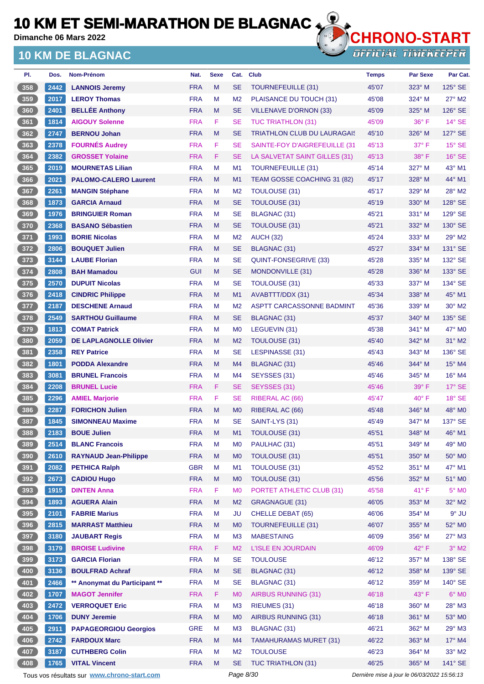**Dimanche 06 Mars 2022**

### **10 KM DE BLAGNAC**



**OFFICIAL TIMEKEEPER** 

| PI.           | Dos. | Nom-Prénom                    | Nat.       | <b>Sexe</b> | Cat.           | <b>Club</b>                        | <b>Temps</b> | Par Sexe       | Par Cat.        |
|---------------|------|-------------------------------|------------|-------------|----------------|------------------------------------|--------------|----------------|-----------------|
| 358           | 2442 | <b>LANNOIS Jeremy</b>         | <b>FRA</b> | M           | <b>SE</b>      | <b>TOURNEFEUILLE (31)</b>          | 45'07        | $323^\circ$ M  | 125° SE         |
| $359$         | 2017 | <b>LEROY Thomas</b>           | <b>FRA</b> | M           | M <sub>2</sub> | PLAISANCE DU TOUCH (31)            | 45'08        | $324^\circ$ M  | $27^\circ$ M2   |
| 360           | 2401 | <b>BELLÉE Anthony</b>         | <b>FRA</b> | M           | SE             | <b>VILLENAVE D'ORNON (33)</b>      | 45'09        | 325° M         | 126° SE         |
| 361           | 1814 | <b>AIGOUY Solenne</b>         | <b>FRA</b> | F           | <b>SE</b>      | <b>TUC TRIATHLON (31)</b>          | 45'09        | $36^{\circ}$ F | $14^\circ$ SE   |
| 362           | 2747 | <b>BERNOU Johan</b>           | <b>FRA</b> | M           | <b>SE</b>      | <b>TRIATHLON CLUB DU LAURAGAIS</b> | 45'10        | $326^\circ$ M  | 127° SE         |
| 363           | 2378 | <b>FOURNÉS Audrey</b>         | <b>FRA</b> | F           | <b>SE</b>      | SAINTE-FOY D'AIGREFEUILLE (31      | 45'13        | 37° F          | $15^\circ$ SE   |
| 364           | 2382 | <b>GROSSET Yolaine</b>        | <b>FRA</b> | F           | SE             | LA SALVETAT SAINT GILLES (31)      | 45'13        | $38^\circ$ F   | $16°$ SE        |
| 365           | 2019 | <b>MOURNETAS Lilian</b>       | <b>FRA</b> | M           | M <sub>1</sub> | TOURNEFEUILLE (31)                 | 45'14        | 327° M         | $43^\circ$ M1   |
| 366           | 2021 | <b>PALOMO-CALERO Laurent</b>  | <b>FRA</b> | M           | M1             | TEAM GOSSE COACHING 31 (82)        | 45'17        | $328^\circ$ M  | $44^{\circ}$ M1 |
| 367           | 2261 | <b>MANGIN Stéphane</b>        | <b>FRA</b> | M           | M <sub>2</sub> | <b>TOULOUSE (31)</b>               | 45'17        | 329° M         | 28° M2          |
| 368           | 1873 | <b>GARCIA Arnaud</b>          | <b>FRA</b> | M           | SE             | <b>TOULOUSE (31)</b>               | 45'19        | 330° M         | 128° SE         |
| 369           | 1976 | <b>BRINGUIER Roman</b>        | <b>FRA</b> | M           | <b>SE</b>      | BLAGNAC (31)                       | 45'21        | $331^\circ$ M  | 129° SE         |
| 370           | 2368 | <b>BASANO Sébastien</b>       | <b>FRA</b> | M           | <b>SE</b>      | <b>TOULOUSE (31)</b>               | 45'21        | 332° M         | $130^\circ$ SE  |
| 371           | 1993 | <b>BORIE Nicolas</b>          | <b>FRA</b> | M           | M <sub>2</sub> | <b>AUCH (32)</b>                   | 45'24        | 333° M         | 29° M2          |
| $372$         | 2806 | <b>BOUQUET Julien</b>         | <b>FRA</b> | M           | SE             | <b>BLAGNAC (31)</b>                | 45'27        | 334° M         | 131° SE         |
| 373           | 3144 | <b>LAUBE Florian</b>          | <b>FRA</b> | M           | <b>SE</b>      | QUINT-FONSEGRIVE (33)              | 45'28        | 335° M         | 132° SE         |
| 374           | 2808 | <b>BAH Mamadou</b>            | <b>GUI</b> | M           | SE             | MONDONVILLE (31)                   | 45'28        | $336^\circ$ M  | 133° SE         |
| $375$         | 2570 | <b>DUPUIT Nicolas</b>         | <b>FRA</b> | M           | <b>SE</b>      | <b>TOULOUSE (31)</b>               | 45'33        | 337° M         | 134° SE         |
| 376           | 2418 | <b>CINDRIC Philippe</b>       | <b>FRA</b> | M           | M1             | AVABTTT/DDX (31)                   | 45'34        | 338° M         | $45^{\circ}$ M1 |
| 377           | 2187 | <b>DESCHENE Arnaud</b>        | <b>FRA</b> | M           | M <sub>2</sub> | ASPTT CARCASSONNE BADMINT          | 45'36        | $339^\circ$ M  | $30^\circ$ M2   |
| 378           | 2549 | <b>SARTHOU Guillaume</b>      | <b>FRA</b> | M           | <b>SE</b>      | BLAGNAC (31)                       | 45'37        | 340° M         | 135° SE         |
| $379$         | 1813 | <b>COMAT Patrick</b>          | <b>FRA</b> | M           | M <sub>0</sub> | LEGUEVIN (31)                      | 45'38        | $341^\circ$ M  | $47^\circ$ MO   |
| 380           | 2059 | <b>DE LAPLAGNOLLE Olivier</b> | <b>FRA</b> | M           | M <sub>2</sub> | TOULOUSE (31)                      | 45'40        | $342^\circ$ M  | 31° M2          |
| 381           | 2358 | <b>REY Patrice</b>            | <b>FRA</b> | M           | SE             | LESPINASSE (31)                    | 45'43        | $343^\circ$ M  | 136° SE         |
| 382           | 1801 | <b>PODDA Alexandre</b>        | <b>FRA</b> | M           | M4             | BLAGNAC (31)                       | 45'46        | 344° M         | 15° M4          |
| 383           | 3081 | <b>BRUNEL Francois</b>        | <b>FRA</b> | M           | M4             | SEYSSES (31)                       | 45'46        | $345^\circ$ M  | $16^{\circ}$ M4 |
| $384$         | 2208 | <b>BRUNEL Lucie</b>           | <b>FRA</b> | F           | <b>SE</b>      | SEYSSES (31)                       | 45'46        | $39^\circ$ F   | $17^\circ$ SE   |
| $385$         | 2296 | <b>AMIEL Marjorie</b>         | <b>FRA</b> | F           | SE             | <b>RIBERAL AC (66)</b>             | 45'47        | 40° F          | $18°$ SE        |
| 386           | 2287 | <b>FORICHON Julien</b>        | <b>FRA</b> | M           | M <sub>0</sub> | RIBERAL AC (66)                    | 45'48        | 346° M         | 48° MO          |
| 387           | 1845 | <b>SIMONNEAU Maxime</b>       | <b>FRA</b> | M           | <b>SE</b>      | SAINT-LYS (31)                     | 45'49        | 347° M         | 137° SE         |
| 388           | 2183 | <b>BOUE Julien</b>            | <b>FRA</b> | M           | M1             | <b>TOULOUSE (31)</b>               | 45'51        | 348° M         | 46° M1          |
| $389$         | 2514 | <b>BLANC Francois</b>         | <b>FRA</b> | M           | M <sub>0</sub> | PAULHAC (31)                       | 45'51        | 349° M         | 49° M0          |
| 390           | 2610 | <b>RAYNAUD Jean-Philippe</b>  | <b>FRA</b> | M           | M <sub>0</sub> | TOULOUSE (31)                      | 45'51        | 350° M         | 50° M0          |
| 391           | 2082 | <b>PETHICA Ralph</b>          | <b>GBR</b> | M           | M <sub>1</sub> | TOULOUSE (31)                      | 45'52        | 351° M         | 47° M1          |
| 392           | 2673 | <b>CADIOU Hugo</b>            | <b>FRA</b> | M           | M <sub>0</sub> | TOULOUSE (31)                      | 45'56        | 352° M         | 51° MO          |
| $393$         | 1915 | <b>DINTEN Anna</b>            | <b>FRA</b> | F           | M <sub>0</sub> | PORTET ATHLETIC CLUB (31)          | 45'58        | 41°F           | $5^\circ$ MO    |
| 394           | 1893 | <b>AGUERA Alain</b>           | <b>FRA</b> | M           | M <sub>2</sub> | GRAGNAGUE (31)                     | 46'05        | 353° M         | 32° M2          |
| $395$         | 2101 | <b>FABRIE Marius</b>          | <b>FRA</b> | M           | JU             | <b>CHELLE DEBAT (65)</b>           | 46'06        | 354° M         | $9°$ JU         |
| 396           | 2815 | <b>MARRAST Matthieu</b>       | <b>FRA</b> | M           | M <sub>0</sub> | <b>TOURNEFEUILLE (31)</b>          | 46'07        | 355° M         | 52° MO          |
| 397           | 3180 | <b>JAUBART Regis</b>          | <b>FRA</b> | M           | M <sub>3</sub> | <b>MABESTAING</b>                  | 46'09        | 356° M         | 27° M3          |
| 398           | 3179 | <b>BROISE Ludivine</b>        | <b>FRA</b> | F           | M <sub>2</sub> | <b>L'ISLE EN JOURDAIN</b>          | 46'09        | $42^{\circ}$ F | $3^\circ$ M2    |
| 399           | 3173 | <b>GARCIA Florian</b>         | <b>FRA</b> | M           | <b>SE</b>      | <b>TOULOUSE</b>                    | 46'12        | 357° M         | 138° SE         |
| $\boxed{400}$ | 3136 | <b>BOULFRAD Achraf</b>        | <b>FRA</b> | M           | <b>SE</b>      | <b>BLAGNAC (31)</b>                | 46'12        | 358° M         | 139° SE         |
| 401           | 2466 | ** Anonymat du Participant ** | <b>FRA</b> | M           | <b>SE</b>      | <b>BLAGNAC (31)</b>                | 46'12        | 359° M         | 140° SE         |
| 402           | 1707 | <b>MAGOT Jennifer</b>         | <b>FRA</b> | F           | M <sub>0</sub> | <b>AIRBUS RUNNING (31)</b>         | 46'18        | 43° F          | $6^\circ$ MO    |
| $403$         | 2472 | <b>VERROQUET Eric</b>         | <b>FRA</b> | M           | M <sub>3</sub> | RIEUMES (31)                       | 46'18        | 360° M         | 28° M3          |
| 404           | 1706 | <b>DUNY Jeremie</b>           | <b>FRA</b> | M           | M <sub>0</sub> | AIRBUS RUNNING (31)                | 46'18        | 361° M         | 53° MO          |
| 405           | 2911 | <b>PAPAGEORGIOU Georgios</b>  | <b>GRE</b> | M           | M <sub>3</sub> | BLAGNAC (31)                       | 46'21        | 362° M         | 29° M3          |
| 406           | 2742 | <b>FARDOUX Marc</b>           | <b>FRA</b> | M           | M4             | <b>TAMAHURAMAS MURET (31)</b>      | 46'22        | 363° M         | 17° M4          |
| 407           | 3187 | <b>CUTHBERG Colin</b>         | <b>FRA</b> | M           | M <sub>2</sub> | <b>TOULOUSE</b>                    | 46'23        | 364° M         | $33^\circ$ M2   |
| 408           | 1765 | <b>VITAL Vincent</b>          | <b>FRA</b> | M           | <b>SE</b>      | <b>TUC TRIATHLON (31)</b>          | 46'25        | 365° M         | 141° SE         |
|               |      |                               |            |             |                |                                    |              |                |                 |

Tous vos résultats sur **[www.chrono-start.com](https://www.chrono-start.com/)** Page 8/30 Page 8/30 Dernière mise à jour le 06/03/2022 15:56:13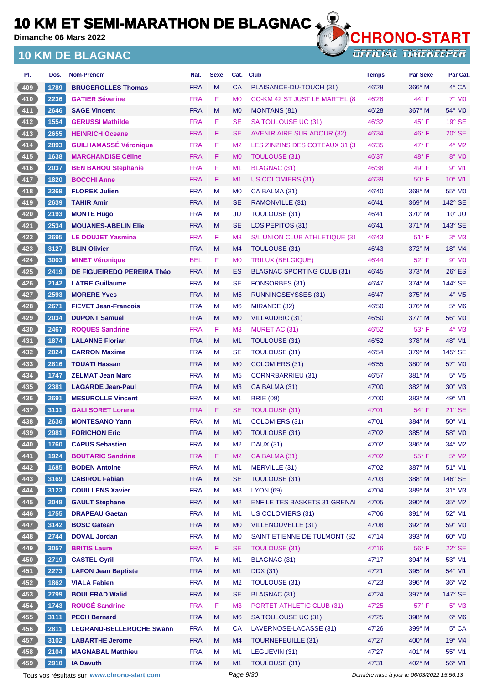**Dimanche 06 Mars 2022**

### **10 KM DE BLAGNAC**



**OFFICIAL TIMEKEEPER** 

| PI.   | Dos. | <b>Nom-Prénom</b>               | Nat.       | <b>Sexe</b> | Cat.           | <b>Club</b>                         | <b>Temps</b> | <b>Par Sexe</b> | Par Cat.                 |
|-------|------|---------------------------------|------------|-------------|----------------|-------------------------------------|--------------|-----------------|--------------------------|
| 409   | 1789 | <b>BRUGEROLLES Thomas</b>       | <b>FRA</b> | M           | <b>CA</b>      | PLAISANCE-DU-TOUCH (31)             | 46'28        | 366° M          | $4^\circ$ CA             |
| $410$ | 2236 | <b>GATIER Séverine</b>          | <b>FRA</b> | F           | M <sub>0</sub> | CO-KM 42 ST JUST LE MARTEL (8       | 46'28        | 44° F           | $7^\circ$ MO             |
| $411$ | 2646 | <b>SAGE Vincent</b>             | <b>FRA</b> | M           | M <sub>0</sub> | <b>MONTANS (81)</b>                 | 46'28        | $367^\circ$ M   | 54° MO                   |
| 412   | 1554 | <b>GERUSSI Mathilde</b>         | <b>FRA</b> | F           | <b>SE</b>      | SA TOULOUSE UC (31)                 | 46'32        | $45^{\circ}$ F  | $19°$ SE                 |
| 413   | 2655 | <b>HEINRICH Oceane</b>          | <b>FRA</b> | F.          | <b>SE</b>      | AVENIR AIRE SUR ADOUR (32)          | 46'34        | $46^{\circ}$ F  | $20^\circ$ SE            |
| $414$ | 2893 | <b>GUILHAMASSÉ Véronique</b>    | <b>FRA</b> | F           | M <sub>2</sub> | LES ZINZINS DES COTEAUX 31 (3)      | 46'35        | $47^\circ$ F    | $4^{\circ}$ M2           |
| 415   | 1638 | <b>MARCHANDISE Céline</b>       | <b>FRA</b> | F           | M <sub>0</sub> | <b>TOULOUSE (31)</b>                | 46'37        | $48^{\circ}$ F  | 8° MO                    |
| 416   | 2037 | <b>BEN BAHOU Stephanie</b>      | <b>FRA</b> | F           | M <sub>1</sub> | <b>BLAGNAC (31)</b>                 | 46'38        | $49^{\circ}$ F  | $9°$ M1                  |
| 417   | 1820 | <b>BOCCHI Anne</b>              | <b>FRA</b> | F           | M1             | <b>US COLOMIERS (31)</b>            | 46'39        | $50^{\circ}$ F  | $10^{\circ}$ M1          |
| $418$ | 2369 | <b>FLOREK Julien</b>            | <b>FRA</b> | М           | M <sub>0</sub> | CA BALMA (31)                       | 46'40        | $368^\circ$ M   | 55° MO                   |
| 419   | 2639 | <b>TAHIR Amir</b>               | <b>FRA</b> | M           | <b>SE</b>      | RAMONVILLE (31)                     | 46'41        | $369^\circ$ M   | 142° SE                  |
| 420   | 2193 | <b>MONTE Hugo</b>               | <b>FRA</b> | М           | JU             | <b>TOULOUSE (31)</b>                | 46'41        | $370^\circ$ M   | $10^{\circ}$ JU          |
| $421$ | 2534 | <b>MOUANES-ABELIN Elie</b>      | <b>FRA</b> | M           | <b>SE</b>      | LOS PEPITOS (31)                    | 46'41        | $371^\circ$ M   | $143^\circ$ SE           |
| $422$ | 2695 | <b>LE DOUJET Yasmina</b>        | <b>FRA</b> | F           | M <sub>3</sub> | S/L UNION CLUB ATHLETIQUE (31       | 46'43        | $51^{\circ}$ F  | $3^\circ$ M3             |
| 423   | 3127 | <b>BLIN Olivier</b>             | <b>FRA</b> | M           | M4             | <b>TOULOUSE (31)</b>                | 46'43        | 372° M          | 18° M4                   |
| 424   | 3003 | <b>MINET Véronique</b>          | <b>BEL</b> | F           | M <sub>0</sub> | TRILUX (BELGIQUE)                   | 46'44        | $52^{\circ}$ F  | $9°$ M <sub>0</sub>      |
| 425   | 2419 | DE FIGUEIREDO PEREIRA Théo      | <b>FRA</b> | M           | ES             | <b>BLAGNAC SPORTING CLUB (31)</b>   | 46'45        | $373^\circ$ M   | $26^\circ$ ES            |
| $426$ | 2142 | <b>LATRE Guillaume</b>          | <b>FRA</b> | М           | <b>SE</b>      | FONSORBES (31)                      | 46'47        | $374^\circ$ M   | 144° SE                  |
| 427   | 2593 | <b>MORERE Yves</b>              | <b>FRA</b> | M           | M <sub>5</sub> | RUNNINGSEYSSES (31)                 | 46'47        | $375^\circ$ M   | $4^\circ$ M <sub>5</sub> |
| 428   | 2671 | <b>FIEVET Jean-Francois</b>     | <b>FRA</b> | М           | M <sub>6</sub> | MIRANDE (32)                        | 46'50        | $376^\circ$ M   | $5^\circ$ M6             |
| 429   | 2034 | <b>DUPONT Samuel</b>            | <b>FRA</b> | M           | M <sub>0</sub> | VILLAUDRIC (31)                     | 46'50        | $377^\circ$ M   | 56° M0                   |
| 430   | 2467 | <b>ROQUES Sandrine</b>          | <b>FRA</b> | F           | M <sub>3</sub> | MURET AC (31)                       | 46'52        | $53^{\circ}$ F  | $4^\circ$ M3             |
| 431   | 1874 | <b>LALANNE Florian</b>          | <b>FRA</b> | M           | M1             | <b>TOULOUSE (31)</b>                | 46'52        | 378° M          | 48° M1                   |
| 432   | 2024 | <b>CARRON Maxime</b>            | <b>FRA</b> | М           | <b>SE</b>      | <b>TOULOUSE (31)</b>                | 46'54        | 379° M          | $145^\circ$ SE           |
| 433   | 2816 | <b>TOUATI Hassan</b>            | <b>FRA</b> | M           | M <sub>0</sub> | <b>COLOMIERS (31)</b>               | 46'55        | $380^\circ$ M   | 57° M0                   |
| 434   | 1747 | <b>ZELMAT Jean Marc</b>         | <b>FRA</b> | М           | M <sub>5</sub> | CORNRBARRIEU (31)                   | 46'57        | $381^\circ$ M   | $5^\circ$ M5             |
| 435   | 2381 | <b>LAGARDE Jean-Paul</b>        | <b>FRA</b> | M           | M3             | CA BALMA (31)                       | 47'00        | 382° M          | $30^\circ$ M3            |
| $436$ | 2691 | <b>MESUROLLE Vincent</b>        | <b>FRA</b> | М           | M <sub>1</sub> | <b>BRIE (09)</b>                    | 47'00        | $383^\circ$ M   | $49°$ M1                 |
| 437   | 3131 | <b>GALI SORET Lorena</b>        | <b>FRA</b> | F           | <b>SE</b>      | TOULOUSE (31)                       | 47'01        | $54^{\circ}$ F  | $21^\circ$ SE            |
| 438   | 2636 | <b>MONTESANO Yann</b>           | <b>FRA</b> | М           | M <sub>1</sub> | COLOMIERS (31)                      | 47'01        | 384° M          | $50^\circ$ M1            |
| (439) | 2981 | <b>FORICHON Eric</b>            | <b>FRA</b> | M           | M0             | <b>TOULOUSE (31)</b>                | 47'02        | 385° M          | 58° M0                   |
| 440   | 1760 | <b>CAPUS Sebastien</b>          | <b>FRA</b> | M           | M <sub>2</sub> | <b>DAUX (31)</b>                    | 47'02        | 386° M          | $34^\circ$ M2            |
| 441   | 1924 | <b>BOUTARIC Sandrine</b>        | <b>FRA</b> | F           | M <sub>2</sub> | CA BALMA (31)                       | 47'02        | 55°F            | $5^\circ$ M2             |
| 442   | 1685 | <b>BODEN Antoine</b>            | <b>FRA</b> | M           | M1             | MERVILLE (31)                       | 47'02        | 387° M          | 51° M1                   |
| 443   | 3169 | <b>CABIROL Fabian</b>           | <b>FRA</b> | M           | <b>SE</b>      | TOULOUSE (31)                       | 47'03        | 388° M          | 146° SE                  |
| 444   | 3123 | <b>COUILLENS Xavier</b>         | <b>FRA</b> | M           | M <sub>3</sub> | <b>LYON (69)</b>                    | 47'04        | 389° M          | $31^\circ$ M3            |
| 445   | 2048 | <b>GAULT Stephane</b>           | <b>FRA</b> | M           | M <sub>2</sub> | <b>ENFILE TES BASKETS 31 GRENAL</b> | 47'05        | 390° M          | 35° M2                   |
| 446   | 1755 | <b>DRAPEAU Gaetan</b>           | <b>FRA</b> | M           | M1             | US COLOMIERS (31)                   | 47'06        | 391° M          | 52° M1                   |
| 447   | 3142 | <b>BOSC Gatean</b>              | <b>FRA</b> | M           | M <sub>0</sub> | <b>VILLENOUVELLE (31)</b>           | 47'08        | 392° M          | 59° M0                   |
| $448$ | 2744 | <b>DOVAL Jordan</b>             | <b>FRA</b> | M           | M <sub>0</sub> | SAINT ETIENNE DE TULMONT (82        | 47'14        | 393° M          | 60° M0                   |
| 449   | 3057 | <b>BRITIS Laure</b>             | <b>FRA</b> | F.          | <b>SE</b>      | TOULOUSE (31)                       | 47'16        | $56^{\circ}$ F  | $22^\circ$ SE            |
| 450   | 2719 | <b>CASTEL Cyril</b>             | <b>FRA</b> | M           | M1             | BLAGNAC (31)                        | 47'17        | 394° M          | 53° M1                   |
| $451$ | 2273 | <b>LAFON Jean Baptiste</b>      | <b>FRA</b> | M           | M1             | <b>DDX</b> (31)                     | 47'21        | 395° M          | 54° M1                   |
| 452   | 1862 | <b>VIALA Fabien</b>             | <b>FRA</b> | M           | M <sub>2</sub> | TOULOUSE (31)                       | 47'23        | 396° M          | 36° M2                   |
| 453   | 2799 | <b>BOULFRAD Walid</b>           | <b>FRA</b> | M           | <b>SE</b>      | <b>BLAGNAC (31)</b>                 | 47'24        | 397° M          | 147° SE                  |
| $454$ | 1743 | <b>ROUGÉ Sandrine</b>           | <b>FRA</b> | F           | M <sub>3</sub> | PORTET ATHLETIC CLUB (31)           | 47'25        | $57^\circ$ F    | $5^\circ$ M3             |
| 455   | 3111 | <b>PECH Bernard</b>             | <b>FRA</b> | M           | M <sub>6</sub> | SA TOULOUSE UC (31)                 | 47'25        | 398° M          | $6^\circ$ M6             |
| 456   | 2811 | <b>LEGRAND-BELLEROCHE Swann</b> | <b>FRA</b> | M           | <b>CA</b>      | LAVERNOSE-LACASSE (31)              | 47'26        | 399° M          | $5^{\circ}$ CA           |
| 457   | 3102 | <b>LABARTHE Jerome</b>          | <b>FRA</b> | M           | M4             | <b>TOURNEFEUILLE (31)</b>           | 47'27        | 400° M          | $19°$ M4                 |
| 458   | 2104 | <b>MAGNABAL Matthieu</b>        | <b>FRA</b> | М           | M <sub>1</sub> | LEGUEVIN (31)                       | 47'27        | $401^\circ$ M   | 55° M1                   |
| 459   | 2910 | <b>IA Davuth</b>                | <b>FRA</b> | M           | M1             | TOULOUSE (31)                       | 47'31        | 402° M          | 56° M1                   |

Tous vos résultats sur **[www.chrono-start.com](https://www.chrono-start.com/)** Page 9/30 Page 9/30 Dernière mise à jour le 06/03/2022 15:56:13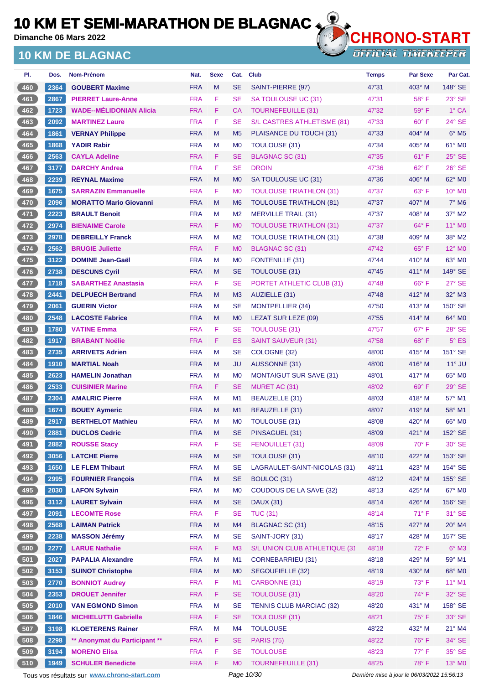**Dimanche 06 Mars 2022**

### **10 KM DE BLAGNAC**



**OFFICIAL TIMEKEEPER** 

| PI. | Dos. | Nom-Prénom                     | Nat.       | <b>Sexe</b> | Cat.           | <b>Club</b>                     | <b>Temps</b> | <b>Par Sexe</b> | Par Cat.                 |
|-----|------|--------------------------------|------------|-------------|----------------|---------------------------------|--------------|-----------------|--------------------------|
| 460 | 2364 | <b>GOUBERT Maxime</b>          | <b>FRA</b> | M           | <b>SE</b>      | SAINT-PIERRE (97)               | 47'31        | $403^\circ$ M   | 148° SE                  |
| 461 | 2867 | <b>PIERRET Laure-Anne</b>      | <b>FRA</b> | F           | <b>SE</b>      | SA TOULOUSE UC (31)             | 47'31        | 58°F            | $23^\circ$ SE            |
| 462 | 1723 | <b>WADE--MÉLIDONIAN Alicia</b> | <b>FRA</b> | F           | СA             | <b>TOURNEFEUILLE (31)</b>       | 47'32        | $59^\circ$ F    | 1° CA                    |
| 463 | 2092 | <b>MARTINEZ Laure</b>          | <b>FRA</b> | F           | SE             | S/L CASTRES ATHLETISME (81)     | 47'33        | $60^{\circ}$ F  | 24° SE                   |
| 464 | 1861 | <b>VERNAY Philippe</b>         | <b>FRA</b> | M           | M <sub>5</sub> | PLAISANCE DU TOUCH (31)         | 47'33        | $404^\circ$ M   | $6^\circ$ M5             |
| 465 | 1868 | <b>YADIR Rabir</b>             | <b>FRA</b> | M           | M <sub>0</sub> | <b>TOULOUSE (31)</b>            | 47'34        | $405^\circ$ M   | 61° MO                   |
| 466 | 2563 | <b>CAYLA Adeline</b>           | <b>FRA</b> | F           | <b>SE</b>      | <b>BLAGNAC SC (31)</b>          | 47'35        | $61^{\circ}$ F  | $25^\circ$ SE            |
| 467 | 3177 | <b>DARCHY Andrea</b>           | <b>FRA</b> | F           | SE             | <b>DROIN</b>                    | 47'36        | $62^{\circ}$ F  | $26^\circ$ SE            |
| 468 | 2239 | <b>REYNAL Maxime</b>           | <b>FRA</b> | M           | M <sub>0</sub> | SA TOULOUSE UC (31)             | 47'36        | $406^\circ$ M   | 62° MO                   |
| 469 | 1675 | <b>SARRAZIN Emmanuelle</b>     | <b>FRA</b> | F           | M <sub>0</sub> | <b>TOULOUSE TRIATHLON (31)</b>  | 47'37        | $63^{\circ}$ F  | $10^{\circ}$ MO          |
| 470 | 2096 | <b>MORATTO Mario Giovanni</b>  | <b>FRA</b> | M           | M <sub>6</sub> | <b>TOULOUSE TRIATHLON (81)</b>  | 47'37        | 407° M          | $7^\circ$ M <sub>6</sub> |
| 471 | 2223 | <b>BRAULT Benoit</b>           | <b>FRA</b> | M           | M <sub>2</sub> | <b>MERVILLE TRAIL (31)</b>      | 47'37        | $408^\circ$ M   | 37° M2                   |
| 472 | 2974 | <b>BIENAIME Carole</b>         | <b>FRA</b> | F           | M <sub>0</sub> | <b>TOULOUSE TRIATHLON (31)</b>  | 47'37        | $64^{\circ}$ F  | $11^{\circ}$ MO          |
| 473 | 2978 | <b>DEBREILLY Franck</b>        | <b>FRA</b> | M           | M <sub>2</sub> | <b>TOULOUSE TRIATHLON (31)</b>  | 47'38        | $409°$ M        | $38^\circ$ M2            |
| 474 | 2562 | <b>BRUGIE Juliette</b>         | <b>FRA</b> | F           | M <sub>0</sub> | BLAGNAC SC (31)                 | 47'42        | $65^{\circ}$ F  | 12° MO                   |
| 475 | 3122 | <b>DOMINE Jean-Gaël</b>        | <b>FRA</b> | M           | M <sub>0</sub> | FONTENILLE (31)                 | 47'44        | $410^\circ$ M   | $63^\circ$ MO            |
| 476 | 2738 | <b>DESCUNS Cyril</b>           | <b>FRA</b> | M           | <b>SE</b>      | <b>TOULOUSE (31)</b>            | 47'45        | $411^\circ$ M   | $149^\circ$ SE           |
| 477 | 1718 | <b>SABARTHEZ Anastasia</b>     | <b>FRA</b> | F           | SE             | PORTET ATHLETIC CLUB (31)       | 47'48        | $66^{\circ}$ F  | $27^\circ$ SE            |
| 478 | 2441 | <b>DELPUECH Bertrand</b>       | <b>FRA</b> | M           | M <sub>3</sub> | AUZIELLE (31)                   | 47'48        | 412° M          | 32° M3                   |
| 479 | 2061 | <b>GUERIN Victor</b>           | <b>FRA</b> | M           | SE             | <b>MONTPELLIER (34)</b>         | 47'50        | $413^\circ$ M   | 150° SE                  |
| 480 | 2548 | <b>LACOSTE Fabrice</b>         | <b>FRA</b> | M           | M <sub>0</sub> | LEZAT SUR LEZE (09)             | 47'55        | $414^\circ$ M   | $64^\circ$ MO            |
| 481 | 1780 | <b>VATINE Emma</b>             | <b>FRA</b> | F           | SE             | <b>TOULOUSE (31)</b>            | 47'57        | $67^\circ$ F    | 28° SE                   |
| 482 | 1917 | <b>BRABANT Noëlie</b>          | <b>FRA</b> | F           | ES             | <b>SAINT SAUVEUR (31)</b>       | 47'58        | $68^{\circ}$ F  | $5^{\circ}$ ES           |
| 483 | 2735 | <b>ARRIVETS Adrien</b>         | <b>FRA</b> | M           | SE             | COLOGNE (32)                    | 48'00        | $415^\circ$ M   | 151° SE                  |
| 484 | 1910 | <b>MARTIAL Noah</b>            | <b>FRA</b> | M           | JU             | AUSSONNE (31)                   | 48'00        | $416^\circ$ M   | $11^\circ$ JU            |
| 485 | 2623 | <b>HAMELIN Jonathan</b>        | <b>FRA</b> | M           | M <sub>0</sub> | <b>MONTAIGUT SUR SAVE (31)</b>  | 48'01        | 417° M          | 65° MO                   |
| 486 | 2533 | <b>CUISINIER Marine</b>        | <b>FRA</b> | F           | SE             | MURET AC (31)                   | 48'02        | $69^\circ$ F    | $29°$ SE                 |
| 487 | 2304 | <b>AMALRIC Pierre</b>          | <b>FRA</b> | M           | M <sub>1</sub> | BEAUZELLE (31)                  | 48'03        | $418^\circ$ M   | 57° M1                   |
| 488 | 1674 | <b>BOUEY Aymeric</b>           | <b>FRA</b> | M           | M1             | BEAUZELLE (31)                  | 48'07        | $419^\circ$ M   | 58° M1                   |
| 489 | 2917 | <b>BERTHELOT Mathieu</b>       | <b>FRA</b> | м           | M <sub>0</sub> | TOULOUSE (31)                   | 48'08        | $420^\circ$ M   | 66° MO                   |
| 490 | 2881 | <b>DUCLOS Cedric</b>           | <b>FRA</b> | M           | <b>SE</b>      | PINSAGUEL (31)                  | 48'09        | $421^\circ$ M   | 152° SE                  |
| 491 | 2882 | <b>ROUSSE Stacy</b>            | <b>FRA</b> | F           | <b>SE</b>      | FENOUILLET (31)                 | 48'09        | $70^\circ$ F    | $30^\circ$ SE            |
| 492 | 3056 | <b>LATCHE Pierre</b>           | <b>FRA</b> | ${\sf M}$   | <b>SE</b>      | TOULOUSE (31)                   | 48'10        | 422° M          | 153° SE                  |
| 493 | 1650 | <b>LE FLEM Thibaut</b>         | <b>FRA</b> | M           | <b>SE</b>      | LAGRAULET-SAINT-NICOLAS (31)    | 48'11        | $423^\circ$ M   | 154° SE                  |
| 494 | 2995 | <b>FOURNIER Francois</b>       | <b>FRA</b> | M           | <b>SE</b>      | BOULOC (31)                     | 48'12        | 424° M          | 155° SE                  |
| 495 | 2030 | <b>LAFON Sylvain</b>           | <b>FRA</b> | M           | M <sub>0</sub> | COUDOUS DE LA SAVE (32)         | 48'13        | 425° M          | 67° M0                   |
| 496 | 3112 | <b>LAURET Sylvain</b>          | <b>FRA</b> | M           | <b>SE</b>      | <b>DAUX (31)</b>                | 48'14        | 426° M          | 156° SE                  |
| 497 | 2091 | <b>LECOMTE Rose</b>            | <b>FRA</b> | F           | <b>SE</b>      | <b>TUC (31)</b>                 | 48'14        | $71^\circ$ F    | $31^\circ$ SE            |
| 498 | 2568 | <b>LAIMAN Patrick</b>          | <b>FRA</b> | ${\sf M}$   | M4             | <b>BLAGNAC SC (31)</b>          | 48'15        | 427° M          | 20° M4                   |
| 499 | 2238 | <b>MASSON Jérémy</b>           | <b>FRA</b> | M           | <b>SE</b>      | SAINT-JORY (31)                 | 48'17        | 428° M          | 157° SE                  |
| 500 | 2277 | <b>LARUE Nathalie</b>          | <b>FRA</b> | F           | M <sub>3</sub> | S/L UNION CLUB ATHLETIQUE (31   | 48'18        | $72^\circ$ F    | $6^\circ$ M3             |
| 501 | 2027 | <b>PAPALIA Alexandre</b>       | <b>FRA</b> | M           | M1             | CORNEBARRIEU (31)               | 48'18        | 429° M          | 59° M1                   |
| 502 | 3153 | <b>SUINOT Christophe</b>       | <b>FRA</b> | M           | M <sub>0</sub> | SEGOUFIELLE (32)                | 48'19        | 430° M          | 68° MO                   |
| 503 | 2770 | <b>BONNIOT Audrey</b>          | <b>FRA</b> | F           | M1             | CARBONNE (31)                   | 48'19        | $73^\circ$ F    | $11^{\circ}$ M1          |
| 504 | 2353 | <b>DROUET Jennifer</b>         | <b>FRA</b> | F           | <b>SE</b>      | <b>TOULOUSE (31)</b>            | 48'20        | 74°F            | 32° SE                   |
| 505 | 2010 | <b>VAN EGMOND Simon</b>        | <b>FRA</b> | M           | <b>SE</b>      | <b>TENNIS CLUB MARCIAC (32)</b> | 48'20        | 431° M          | 158° SE                  |
| 506 | 1846 | <b>MICHIELUTTI Gabrielle</b>   | <b>FRA</b> | F.          | <b>SE</b>      | <b>TOULOUSE (31)</b>            | 48'21        | $75^{\circ}$ F  | $33^\circ$ SE            |
| 507 | 3198 | <b>KLOETERENS Rainer</b>       | <b>FRA</b> | M           | M4             | <b>TOULOUSE</b>                 | 48'22        | 432° M          | $21^{\circ}$ M4          |
| 508 | 2298 | ** Anonymat du Participant **  | <b>FRA</b> | F           | <b>SE</b>      | <b>PARIS (75)</b>               | 48'22        | $76^{\circ}$ F  | $34^\circ$ SE            |
| 509 | 3194 | <b>MORENO Elisa</b>            | <b>FRA</b> | F           | <b>SE</b>      | <b>TOULOUSE</b>                 | 48'23        | 77° F           | 35° SE                   |
| 510 | 1949 | <b>SCHULER Benedicte</b>       | <b>FRA</b> | F           | M <sub>0</sub> | <b>TOURNEFEUILLE (31)</b>       | 48'25        | 78°F            | 13° MO                   |

Tous vos résultats sur **[www.chrono-start.com](https://www.chrono-start.com/)** Page 10/30 Page 10/30 Dernière mise à jour le 06/03/2022 15:56:13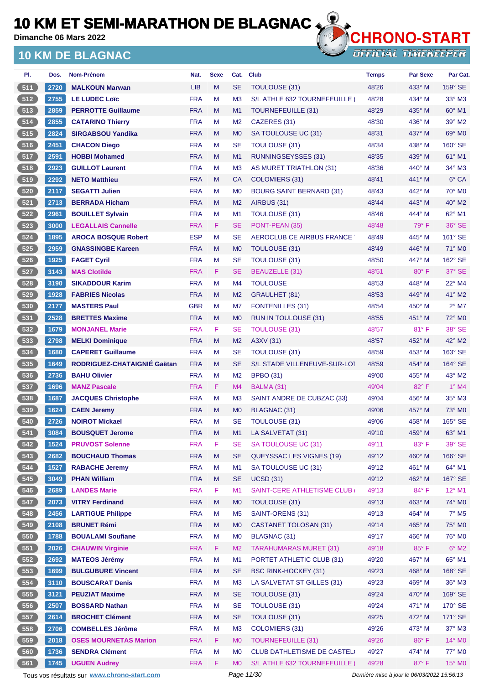**Dimanche 06 Mars 2022**

## **10 KM DE BLAGNAC**



**OFFICIAL TIMEKEEPER** 

| PI.   | Dos. | <b>Nom-Prénom</b>            | Nat.       | <b>Sexe</b> | Cat.           | <b>Club</b>                     | <b>Temps</b> | <b>Par Sexe</b> | Par Cat.                 |
|-------|------|------------------------------|------------|-------------|----------------|---------------------------------|--------------|-----------------|--------------------------|
| 511   | 2720 | <b>MALKOUN Marwan</b>        | <b>LIB</b> | M           | <b>SE</b>      | TOULOUSE (31)                   | 48'26        | 433° M          | $159^\circ$ SE           |
| 512   | 2755 | <b>LE LUDEC Loïc</b>         | <b>FRA</b> | M           | M <sub>3</sub> | S/L ATHLE 632 TOURNEFEUILLE     | 48'28        | 434° M          | $33^\circ$ M3            |
| 513   | 2859 | <b>PERROTTE Guillaume</b>    | <b>FRA</b> | M           | M <sub>1</sub> | <b>TOURNEFEUILLE (31)</b>       | 48'29        | 435° M          | $60^\circ$ M1            |
| 514   | 2855 | <b>CATARINO Thierry</b>      | <b>FRA</b> | M           | M <sub>2</sub> | CAZERES (31)                    | 48'30        | 436° M          | 39° M2                   |
| 515   | 2824 | <b>SIRGABSOU Yandika</b>     | <b>FRA</b> | M           | M <sub>0</sub> | SA TOULOUSE UC (31)             | 48'31        | 437° M          | 69° MO                   |
| 516   | 2451 | <b>CHACON Diego</b>          | <b>FRA</b> | м           | <b>SE</b>      | <b>TOULOUSE (31)</b>            | 48'34        | 438° M          | 160° SE                  |
| 517   | 2591 | <b>HOBBI Mohamed</b>         | <b>FRA</b> | M           | M <sub>1</sub> | <b>RUNNINGSEYSSES (31)</b>      | 48'35        | 439° M          | $61^\circ$ M1            |
| 518   | 2923 | <b>GUILLOT Laurent</b>       | <b>FRA</b> | M           | M <sub>3</sub> | AS MURET TRIATHLON (31)         | 48'36        | $440^\circ$ M   | 34° M3                   |
| 519   | 2292 | <b>NETO Matthieu</b>         | <b>FRA</b> | M           | <b>CA</b>      | COLOMIERS (31)                  | 48'41        | 441° M          | 6° CA                    |
| 520   | 2117 | <b>SEGATTI Julien</b>        | <b>FRA</b> | м           | M <sub>0</sub> | <b>BOURG SAINT BERNARD (31)</b> | 48'43        | 442° M          | 70° M0                   |
| 521   | 2713 | <b>BERRADA Hicham</b>        | <b>FRA</b> | M           | M <sub>2</sub> | AIRBUS (31)                     | 48'44        | 443° M          | 40° M2                   |
| 522   | 2961 | <b>BOUILLET Sylvain</b>      | <b>FRA</b> | м           | M <sub>1</sub> | <b>TOULOUSE (31)</b>            | 48'46        | 444° M          | 62° M1                   |
| 523   | 3000 | <b>LEGALLAIS Cannelle</b>    | <b>FRA</b> | F.          | <b>SE</b>      | PONT-PEAN (35)                  | 48'48        | $79^\circ$ F    | 36° SE                   |
| 524   | 1895 | <b>AROCA BOSQUE Robert</b>   | <b>ESP</b> | M           | <b>SE</b>      | AEROCLUB CE AIRBUS FRANCE       | 48'49        | 445° M          | 161° SE                  |
| 525   | 2959 | <b>GNASSINGBE Kareen</b>     | <b>FRA</b> | M           | M <sub>0</sub> | TOULOUSE (31)                   | 48'49        | 446° M          | $71^\circ$ MO            |
| 526   | 1925 | <b>FAGET Cyril</b>           | <b>FRA</b> | M           | <b>SE</b>      | <b>TOULOUSE (31)</b>            | 48'50        | 447° M          | 162° SE                  |
| 527   | 3143 | <b>MAS Clotilde</b>          | <b>FRA</b> | F.          | <b>SE</b>      | BEAUZELLE (31)                  | 48'51        | $80^\circ$ F    | 37° SE                   |
| 528   | 3190 | <b>SIKADDOUR Karim</b>       | <b>FRA</b> | м           | M <sub>4</sub> | <b>TOULOUSE</b>                 | 48'53        | 448° M          | $22^{\circ}$ M4          |
| 529   | 1928 | <b>FABRIES Nicolas</b>       | <b>FRA</b> | M           | M <sub>2</sub> | <b>GRAULHET (81)</b>            | 48'53        | 449° M          | 41° M2                   |
| 530   | 2177 | <b>MASTERS Paul</b>          | <b>GBR</b> | М           | M7             | <b>FONTENILLES (31)</b>         | 48'54        | 450° M          | $2^{\circ}$ M7           |
| 531   | 2528 | <b>BRETTES Maxime</b>        | <b>FRA</b> | M           | M <sub>0</sub> | <b>RUN IN TOULOUSE (31)</b>     | 48'55        | 451° M          | 72° M0                   |
| 532   | 1679 | <b>MONJANEL Marie</b>        | <b>FRA</b> | F           | <b>SE</b>      | TOULOUSE (31)                   | 48'57        | $81^\circ$ F    | 38° SE                   |
| 533   | 2798 | <b>MELKI Dominique</b>       | <b>FRA</b> | M           | M <sub>2</sub> | A3XV (31)                       | 48'57        | 452° M          | 42° M2                   |
| 534   | 1680 | <b>CAPERET Guillaume</b>     | <b>FRA</b> | м           | <b>SE</b>      | <b>TOULOUSE (31)</b>            | 48'59        | $453^\circ$ M   | 163° SE                  |
| 535   | 1649 | RODRIGUEZ-CHATAIGNIE Gaëtan  | <b>FRA</b> | M           | <b>SE</b>      | S/L STADE VILLENEUVE-SUR-LOT    | 48'59        | 454° M          | $164^\circ$ SE           |
| 536   | 2736 | <b>BAHU Olivier</b>          | <b>FRA</b> | M           | M <sub>2</sub> | <b>BPBO (31)</b>                | 49'00        | 455° M          | 43° M2                   |
| 537   | 1696 | <b>MANZ Pascale</b>          | <b>FRA</b> | F.          | M <sub>4</sub> | BALMA (31)                      | 49'04        | 82°F            | $1°$ M4                  |
| 538   | 1687 | <b>JACQUES Christophe</b>    | <b>FRA</b> | М           | M <sub>3</sub> | SAINT ANDRE DE CUBZAC (33)      | 49'04        | 456° M          | $35^\circ$ M3            |
| 539   | 1624 | <b>CAEN Jeremy</b>           | <b>FRA</b> | M           | M <sub>0</sub> | BLAGNAC (31)                    | 49'06        | 457° M          | $73^\circ$ MO            |
| 540   | 2726 | <b>NOIROT Mickael</b>        | <b>FRA</b> | M           | <b>SE</b>      | TOULOUSE (31)                   | 49'06        | 458° M          | 165° SE                  |
| 541   | 3084 | <b>BOUSQUET Jerome</b>       | <b>FRA</b> | M           | M1             | LA SALVETAT (31)                | 49'10        | $459°$ M        | 63° M1                   |
| 542   | 1524 | <b>PRUVOST Solenne</b>       | <b>FRA</b> | F           | <b>SE</b>      | SA TOULOUSE UC (31)             | 49'11        | 83° F           | 39° SE                   |
| 543   | 2682 | <b>BOUCHAUD Thomas</b>       | <b>FRA</b> | M           | <b>SE</b>      | <b>QUEYSSAC LES VIGNES (19)</b> | 49'12        | 460° M          | 166° SE                  |
| 544   | 1527 | <b>RABACHE Jeremy</b>        | <b>FRA</b> | M           | M1             | SA TOULOUSE UC (31)             | 49'12        | 461° M          | 64° M1                   |
| 545   | 3049 | <b>PHAN William</b>          | <b>FRA</b> | M           | <b>SE</b>      | <b>UCSD (31)</b>                | 49'12        | 462° M          | 167° SE                  |
| 546   | 2689 | <b>LANDES Marie</b>          | <b>FRA</b> | F           | M1             | SAINT-CERE ATHLETISME CLUB      | 49'13        | $84^{\circ}$ F  | $12^{\circ}$ M1          |
| 547   | 2073 | <b>VITRY Ferdinand</b>       | <b>FRA</b> | M           | M <sub>0</sub> | TOULOUSE (31)                   | 49'13        | 463° M          | 74° M0                   |
| 548   | 2456 | <b>LARTIGUE Philippe</b>     | <b>FRA</b> | M           | M <sub>5</sub> | SAINT-ORENS (31)                | 49'13        | 464° M          | $7^\circ$ M <sub>5</sub> |
| $549$ | 2108 | <b>BRUNET Rémi</b>           | <b>FRA</b> | M           | M <sub>0</sub> | <b>CASTANET TOLOSAN (31)</b>    | 49'14        | 465° M          | 75° MO                   |
| 550   | 1788 | <b>BOUALAMI Soufiane</b>     | <b>FRA</b> | М           | M <sub>0</sub> | <b>BLAGNAC (31)</b>             | 49'17        | 466° M          | 76° M <sub>0</sub>       |
| 551   | 2026 | <b>CHAUWIN Virginie</b>      | <b>FRA</b> | F.          | M <sub>2</sub> | <b>TARAHUMARAS MURET (31)</b>   | 49'18        | 85°F            | $6^\circ$ M2             |
| 552   | 2692 | <b>MATEOS Jérémy</b>         | <b>FRA</b> | M           | M1             | PORTET ATHLETIC CLUB (31)       | 49'20        | 467° M          | 65° M1                   |
| 553   | 1699 | <b>BULGUBURE Vincent</b>     | <b>FRA</b> | M           | <b>SE</b>      | <b>BSC RINK-HOCKEY (31)</b>     | 49'23        | 468° M          | 168° SE                  |
| 554   | 3110 | <b>BOUSCARAT Denis</b>       | <b>FRA</b> | M           | M3             | LA SALVETAT ST GILLES (31)      | 49'23        | 469° M          | $36^\circ$ M3            |
| 555   | 3121 | <b>PEUZIAT Maxime</b>        | <b>FRA</b> | M           | <b>SE</b>      | TOULOUSE (31)                   | 49'24        | 470° M          | 169° SE                  |
| 556   | 2507 | <b>BOSSARD Nathan</b>        | <b>FRA</b> | M           | <b>SE</b>      | <b>TOULOUSE (31)</b>            | 49'24        | 471° M          | 170° SE                  |
| 557   | 2614 | <b>BROCHET Clément</b>       | <b>FRA</b> | M           | <b>SE</b>      | <b>TOULOUSE (31)</b>            | 49'25        | 472° M          | 171° SE                  |
| 558   | 2706 | <b>COMBELLES Jérôme</b>      | <b>FRA</b> | M           | M <sub>3</sub> | COLOMIERS (31)                  | 49'26        | 473° M          | $37^\circ$ M3            |
| 559   | 2018 | <b>OSES MOURNETAS Marion</b> | <b>FRA</b> | F           | M <sub>0</sub> | <b>TOURNEFEUILLE (31)</b>       | 49'26        | 86°F            | 14° MO                   |
| 560   | 1736 | <b>SENDRA Clément</b>        | <b>FRA</b> | M           | M <sub>0</sub> | CLUB DATHLETISME DE CASTELI     | 49'27        | 474° M          | 77° M0                   |
| 561   | 1745 | <b>UGUEN Audrey</b>          | <b>FRA</b> | F.          | M <sub>0</sub> | S/L ATHLE 632 TOURNEFEUILLE     | 49'28        | 87°F            | 15° MO                   |

Tous vos résultats sur **[www.chrono-start.com](https://www.chrono-start.com/)** Page 11/30 Page 11/30 Dernière mise à jour le 06/03/2022 15:56:13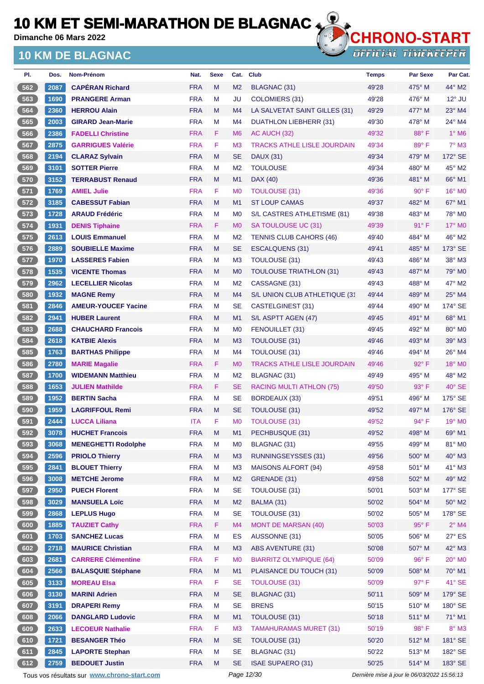**Dimanche 06 Mars 2022**

### **10 KM DE BLAGNAC**



**OFFICIAL TIMEKEEPER** 

| PI.    | Dos. | Nom-Prénom                 | Nat.       | <b>Sexe</b> | Cat.           | <b>Club</b>                        | <b>Temps</b> | <b>Par Sexe</b> | Par Cat.                 |
|--------|------|----------------------------|------------|-------------|----------------|------------------------------------|--------------|-----------------|--------------------------|
| 562    | 2087 | <b>CAPÉRAN Richard</b>     | <b>FRA</b> | M           | M <sub>2</sub> | BLAGNAC (31)                       | 49'28        | 475° M          | $44^\circ$ M2            |
| 563    | 1690 | <b>PRANGERE Arman</b>      | <b>FRA</b> | M           | <b>JU</b>      | <b>COLOMIERS (31)</b>              | 49'28        | $476^\circ$ M   | $12^{\circ}$ JU          |
| 564    | 2360 | <b>HERROU Alain</b>        | <b>FRA</b> | M           | M4             | LA SALVETAT SAINT GILLES (31)      | 49'29        | $477^\circ$ M   | $23^\circ$ M4            |
| 565    | 2003 | <b>GIRARD Jean-Marie</b>   | <b>FRA</b> | M           | M4             | <b>DUATHLON LIEBHERR (31)</b>      | 49'30        | $478^\circ$ M   | 24° M4                   |
| 566    | 2386 | <b>FADELLI Christine</b>   | <b>FRA</b> | F.          | M <sub>6</sub> | AC AUCH (32)                       | 49'32        | 88°F            | $1^\circ$ M <sub>6</sub> |
| 567    | 2875 | <b>GARRIGUES Valérie</b>   | <b>FRA</b> | F           | M <sub>3</sub> | <b>TRACKS ATHLE LISLE JOURDAIN</b> | 49'34        | 89°F            | $7^\circ$ M3             |
| 568    | 2194 | <b>CLARAZ Sylvain</b>      | <b>FRA</b> | M           | <b>SE</b>      | <b>DAUX (31)</b>                   | 49'34        | 479° M          | 172° SE                  |
| 569    | 3101 | <b>SOTTER Pierre</b>       | <b>FRA</b> | M           | M <sub>2</sub> | <b>TOULOUSE</b>                    | 49'34        | $480^\circ$ M   | $45^\circ$ M2            |
| 570    | 3152 | <b>TERRABUST Renaud</b>    | <b>FRA</b> | M           | M1             | DAX (40)                           | 49'36        | 481° M          | 66° M1                   |
| 571    | 1769 | <b>AMIEL Julie</b>         | <b>FRA</b> | F.          | M <sub>0</sub> | <b>TOULOUSE (31)</b>               | 49'36        | $90^\circ$ F    | 16° M0                   |
| 572    | 3185 | <b>CABESSUT Fabian</b>     | <b>FRA</b> | M           | M1             | <b>ST LOUP CAMAS</b>               | 49'37        | 482° M          | $67^\circ$ M1            |
| 573    | 1728 | <b>ARAUD Frédéric</b>      | <b>FRA</b> | M           | M <sub>0</sub> | S/L CASTRES ATHLETISME (81)        | 49'38        | $483^\circ$ M   | 78° M0                   |
| 574    | 1931 | <b>DENIS Tiphaine</b>      | <b>FRA</b> | F.          | M <sub>0</sub> | SA TOULOUSE UC (31)                | 49'39        | $91^{\circ}$ F  | $17^\circ$ MO            |
| $575$  | 2613 | <b>LOUIS Emmanuel</b>      | <b>FRA</b> | M           | M <sub>2</sub> | <b>TENNIS CLUB CAHORS (46)</b>     | 49'40        | 484° M          | 46° M2                   |
| 576    | 2889 | <b>SOUBIELLE Maxime</b>    | <b>FRA</b> | M           | SE             | <b>ESCALQUENS (31)</b>             | 49'41        | 485° M          | 173° SE                  |
| 577    | 1970 | <b>LASSERES Fabien</b>     | <b>FRA</b> | м           | M3             | TOULOUSE (31)                      | 49'43        | 486° M          | $38^\circ$ M3            |
| 578    | 1535 | <b>VICENTE Thomas</b>      | <b>FRA</b> | M           | M <sub>0</sub> | <b>TOULOUSE TRIATHLON (31)</b>     | 49'43        | 487° M          | 79° M <sub>0</sub>       |
| 579    | 2962 | <b>LECELLIER Nicolas</b>   | <b>FRA</b> | M           | M <sub>2</sub> | CASSAGNE (31)                      | 49'43        | 488° M          | 47° M2                   |
| 580    | 1932 | <b>MAGNE Remy</b>          | <b>FRA</b> | M           | M4             | S/L UNION CLUB ATHLETIQUE (31      | 49'44        | 489° M          | $25^\circ$ M4            |
| 581    | 2846 | <b>AMEUR-YOUCEF Yacine</b> | <b>FRA</b> | м           | SE             | CASTELGINEST (31)                  | 49'44        | $490^\circ$ M   | 174° SE                  |
| 582    | 2941 | <b>HUBER Laurent</b>       | <b>FRA</b> | M           | M1             | S/L ASPTT AGEN (47)                | 49'45        | 491° M          | 68° M1                   |
| 583    | 2688 | <b>CHAUCHARD Francois</b>  | <b>FRA</b> | M           | M <sub>0</sub> | FENOUILLET (31)                    | 49'45        | 492° M          | 80° M <sub>0</sub>       |
| 584    | 2618 | <b>KATBIE Alexis</b>       | <b>FRA</b> | M           | M <sub>3</sub> | <b>TOULOUSE (31)</b>               | 49'46        | 493° M          | 39° M3                   |
| 585    | 1763 | <b>BARTHAS Philippe</b>    | <b>FRA</b> | M           | M4             | TOULOUSE (31)                      | 49'46        | 494° M          | $26^{\circ}$ M4          |
| 586    | 2780 | <b>MARIE Magalie</b>       | <b>FRA</b> | F.          | M <sub>0</sub> | <b>TRACKS ATHLE LISLE JOURDAIN</b> | 49'46        | 92°F            | 18° MO                   |
| 587    | 1700 | <b>WIDEMANN Matthieu</b>   | <b>FRA</b> | M           | M <sub>2</sub> | <b>BLAGNAC (31)</b>                | 49'49        | 495° M          | 48° M2                   |
| 588    | 1653 | <b>JULIEN Mathilde</b>     | <b>FRA</b> | F.          | <b>SE</b>      | RACING MULTI ATHLON (75)           | 49'50        | $93^\circ$ F    | $40^\circ$ SE            |
| 589    | 1952 | <b>BERTIN Sacha</b>        | <b>FRA</b> | м           | SE             | BORDEAUX (33)                      | 49'51        | $496^\circ$ M   | $175^\circ$ SE           |
| $-590$ | 1959 | <b>LAGRIFFOUL Remi</b>     | <b>FRA</b> | M           | <b>SE</b>      | TOULOUSE (31)                      | 49'52        | 497° M          | 176° SE                  |
| 591    | 2444 | <b>LUCCA Liliana</b>       | <b>ITA</b> | F           | M <sub>0</sub> | <b>TOULOUSE (31)</b>               | 49'52        | 94° F           | $19^\circ$ MO            |
| 592    | 3078 | <b>HUCHET Francois</b>     | <b>FRA</b> | M           | M1             | PECHBUSQUE (31)                    | 49'52        | 498° M          | 69° M1                   |
| 593    | 3068 | <b>MENEGHETTI Rodolphe</b> | <b>FRA</b> | M           | M0             | <b>BLAGNAC (31)</b>                | 49'55        | 499° M          | 81° MO                   |
| 594    | 2596 | <b>PRIOLO Thierry</b>      | <b>FRA</b> | M           | M3             | <b>RUNNINGSEYSSES (31)</b>         | 49'56        | 500° M          | $40^\circ$ M3            |
| 595    | 2841 | <b>BLOUET Thierry</b>      | <b>FRA</b> | M           | M <sub>3</sub> | <b>MAISONS ALFORT (94)</b>         | 49'58        | 501° M          | 41° M3                   |
| 596    | 3008 | <b>METCHE Jerome</b>       | <b>FRA</b> | M           | M <sub>2</sub> | GRENADE (31)                       | 49'58        | 502° M          | 49° M2                   |
| 597    | 2950 | <b>PUECH Florent</b>       | <b>FRA</b> | M           | <b>SE</b>      | TOULOUSE (31)                      | 50'01        | 503° M          | 177° SE                  |
| 598    | 3029 | <b>MANSUELA Loïc</b>       | <b>FRA</b> | M           | M <sub>2</sub> | BALMA (31)                         | 50'02        | 504° M          | 50° M2                   |
| 599    | 2868 | <b>LEPLUS Hugo</b>         | <b>FRA</b> | M           | <b>SE</b>      | TOULOUSE (31)                      | 50'02        | 505° M          | 178° SE                  |
| 600    | 1885 | <b>TAUZIET Cathy</b>       | <b>FRA</b> | F           | M4             | <b>MONT DE MARSAN (40)</b>         | 50'03        | 95°F            | $2^{\circ}$ M4           |
| 601    | 1703 | <b>SANCHEZ Lucas</b>       | <b>FRA</b> | M           | <b>ES</b>      | AUSSONNE (31)                      | 50'05        | 506° M          | 27° ES                   |
| 602    | 2718 | <b>MAURICE Christian</b>   | <b>FRA</b> | M           | M3             | <b>ABS AVENTURE (31)</b>           | 50'08        | 507° M          | 42° M3                   |
| 603    | 2681 | <b>CARRERE Clémentine</b>  | <b>FRA</b> | F           | M <sub>0</sub> | <b>BIARRITZ OLYMPIQUE (64)</b>     | 50'09        | 96°F            | $20^\circ$ MO            |
| 604    | 2566 | <b>BALASQUIE Stéphane</b>  | <b>FRA</b> | M           | M1             | PLAISANCE DU TOUCH (31)            | 50'09        | 508° M          | 70° M1                   |
| 605    | 3133 | <b>MOREAU Elsa</b>         | <b>FRA</b> | F           | <b>SE</b>      | <b>TOULOUSE (31)</b>               | 50'09        | 97°F            | 41° SE                   |
| 606    | 3130 | <b>MARINI Adrien</b>       | <b>FRA</b> | M           | <b>SE</b>      | BLAGNAC (31)                       | 50'11        | 509° M          | 179° SE                  |
| 607    | 3191 | <b>DRAPERI Remy</b>        | <b>FRA</b> | M           | <b>SE</b>      | <b>BRENS</b>                       | 50'15        | $510^\circ$ M   | 180° SE                  |
| 608    | 2066 | <b>DANGLARD Ludovic</b>    | <b>FRA</b> | M           | M1             | TOULOUSE (31)                      | 50'18        | 511° M          | 71° M1                   |
| 609    | 2633 | <b>LECOEUR Nathalie</b>    | <b>FRA</b> | F           | M <sub>3</sub> | <b>TAMAHURAMAS MURET (31)</b>      | 50'19        | 98°F            | $8^\circ$ M3             |
| 610    | 1721 | <b>BESANGER Théo</b>       | <b>FRA</b> | M           | <b>SE</b>      | TOULOUSE (31)                      | 50'20        | $512^{\circ}$ M | 181° SE                  |
| 611    | 2845 | <b>LAPORTE Stephan</b>     | <b>FRA</b> | M           | <b>SE</b>      | BLAGNAC (31)                       | 50'22        | 513° M          | 182° SE                  |
| 612    | 2759 | <b>BEDOUET Justin</b>      | <b>FRA</b> | M           | <b>SE</b>      | <b>ISAE SUPAERO (31)</b>           | 50'25        | 514° M          | 183° SE                  |

Tous vos résultats sur **[www.chrono-start.com](https://www.chrono-start.com/)** Page 12/30 Page 12/30 Dernière mise à jour le 06/03/2022 15:56:13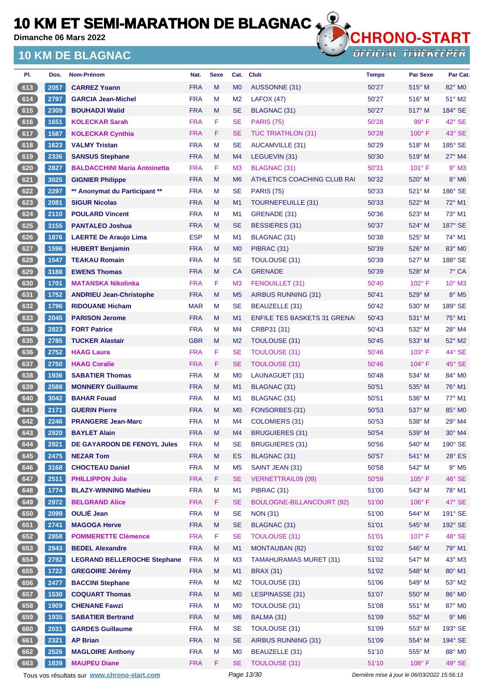**Dimanche 06 Mars 2022**

### **10 KM DE BLAGNAC**



**OFFICIAL TIMEKEEPER** 

| PI.   | Dos. | Nom-Prénom                          | Nat.       | <b>Sexe</b> | Cat.           | <b>Club</b>                         | Temps | <b>Par Sexe</b> | Par Cat.                 |
|-------|------|-------------------------------------|------------|-------------|----------------|-------------------------------------|-------|-----------------|--------------------------|
| 613   | 2057 | <b>CARREZ Yoann</b>                 | <b>FRA</b> | M           | M <sub>0</sub> | <b>AUSSONNE (31)</b>                | 50'27 | $515^\circ$ M   | 82° MO                   |
| 614   | 2797 | <b>GARCIA Jean-Michel</b>           | <b>FRA</b> | М           | M <sub>2</sub> | LAFOX (47)                          | 50'27 | $516^\circ$ M   | $51^\circ$ M2            |
| 615   | 2309 | <b>BOUHADJI Walid</b>               | <b>FRA</b> | M           | <b>SE</b>      | <b>BLAGNAC (31)</b>                 | 50'27 | $517^\circ$ M   | 184° SE                  |
| 616   | 1651 | <b>KOLECKAR Sarah</b>               | <b>FRA</b> | F           | <b>SE</b>      | <b>PARIS (75)</b>                   | 50'28 | $99^\circ$ F    | 42° SE                   |
| 617   | 1587 | <b>KOLECKAR Cynthia</b>             | <b>FRA</b> | F           | <b>SE</b>      | <b>TUC TRIATHLON (31)</b>           | 50'28 | $100^\circ$ F   | 43° SE                   |
| 618   | 1623 | <b>VALMY Tristan</b>                | <b>FRA</b> | M           | <b>SE</b>      | <b>AUCAMVILLE (31)</b>              | 50'29 | $518^\circ$ M   | 185° SE                  |
| 619   | 2336 | <b>SANSUS Stephane</b>              | <b>FRA</b> | M           | M4             | LEGUEVIN (31)                       | 50'30 | 519° M          | $27^\circ$ M4            |
| 620   | 2827 | <b>BALDACCHINI Maria Antoinetta</b> | <b>FRA</b> | F           | M <sub>3</sub> | <b>BLAGNAC (31)</b>                 | 50'31 | $101^{\circ}$ F | $9°$ M3                  |
| 621   | 3025 | <b>GIGNIER Philippe</b>             | <b>FRA</b> | M           | M <sub>6</sub> | ATHLETICS COACHING CLUB RAI         | 50'32 | 520° M          | $8^\circ$ M6             |
| 622   | 2297 | ** Anonymat du Participant **       | <b>FRA</b> | М           | <b>SE</b>      | <b>PARIS (75)</b>                   | 50'33 | $521^\circ$ M   | $186^\circ$ SE           |
| 623   | 2081 | <b>SIGUR Nicolas</b>                | <b>FRA</b> | M           | M1             | TOURNEFEUILLE (31)                  | 50'33 | 522° M          | 72° M1                   |
| 624   | 2110 | <b>POULARD Vincent</b>              | <b>FRA</b> | М           | M1             | GRENADE (31)                        | 50'36 | $523^\circ$ M   | 73° M1                   |
| 625   | 3155 | <b>PANTALEO Joshua</b>              | <b>FRA</b> | M           | <b>SE</b>      | BESSIERES (31)                      | 50'37 | 524° M          | $187^\circ$ SE           |
| 626   | 1876 | <b>LAERTE De Araujo Lima</b>        | <b>ESP</b> | Μ           | M1             | BLAGNAC (31)                        | 50'38 | 525° M          | 74° M1                   |
| 627   | 1596 | <b>HUBERT Benjamin</b>              | <b>FRA</b> | M           | M <sub>0</sub> | PIBRAC (31)                         | 50'39 | 526° M          | 83° MO                   |
| 628   | 1547 | <b>TEAKAU Romain</b>                | <b>FRA</b> | М           | <b>SE</b>      | TOULOUSE (31)                       | 50'39 | 527° M          | 188° SE                  |
| 629   | 3188 | <b>EWENS Thomas</b>                 | <b>FRA</b> | м           | <b>CA</b>      | <b>GRENADE</b>                      | 50'39 | 528° M          | $7^\circ$ CA             |
| 630   | 1701 | <b>MATANSKA Nikolinka</b>           | <b>FRA</b> | F           | M <sub>3</sub> | FENOUILLET (31)                     | 50'40 | 102°F           | $10^{\circ}$ M3          |
| 631   | 1752 | <b>ANDRIEU Jean-Christophe</b>      | <b>FRA</b> | M           | M <sub>5</sub> | AIRBUS RUNNING (31)                 | 50'41 | $529^\circ$ M   | $8^\circ$ M <sub>5</sub> |
| 632   | 1796 | <b>RIDOUANE Hicham</b>              | <b>MAR</b> | M           | <b>SE</b>      | BEAUZELLE (31)                      | 50'42 | $530^\circ$ M   | 189° SE                  |
| 633   | 2045 | <b>PARISON Jerome</b>               | <b>FRA</b> | M           | M1             | <b>ENFILE TES BASKETS 31 GRENAL</b> | 50'43 | 531° M          | 75° M1                   |
| 634   | 2823 | <b>FORT Patrice</b>                 | <b>FRA</b> | M           | M4             | CRBP31 (31)                         | 50'43 | 532° M          | $28^\circ$ M4            |
| 635   | 2785 | <b>TUCKER Alastair</b>              | <b>GBR</b> | M           | M <sub>2</sub> | TOULOUSE (31)                       | 50'45 | 533° M          | $52^\circ$ M2            |
| 636   | 2752 | <b>HAAG Laura</b>                   | <b>FRA</b> | F           | <b>SE</b>      | <b>TOULOUSE (31)</b>                | 50'46 | $103^\circ$ F   | 44° SE                   |
| $637$ | 2750 | <b>HAAG Coralie</b>                 | <b>FRA</b> | F           | <b>SE</b>      | <b>TOULOUSE (31)</b>                | 50'46 | 104°F           | $45^\circ$ SE            |
| 638   | 1936 | <b>SABATIER Thomas</b>              | <b>FRA</b> | M           | M <sub>0</sub> | LAUNAGUET (31)                      | 50'48 | 534° M          | 84° M0                   |
| 639   | 2588 | <b>MONNERY Guillaume</b>            | <b>FRA</b> | M           | M <sub>1</sub> | BLAGNAC (31)                        | 50'51 | 535° M          | 76° M1                   |
| 640   | 3042 | <b>BAHAR Fouad</b>                  | <b>FRA</b> | М           | M1             | BLAGNAC (31)                        | 50'51 | 536° M          | 77° M1                   |
| 641   | 2171 | <b>GUERIN Pierre</b>                | <b>FRA</b> | M           | M <sub>0</sub> | FONSORBES (31)                      | 50'53 | 537° M          | 85° M <sub>0</sub>       |
| 642   | 2246 | <b>PRANGERE Jean-Marc</b>           | <b>FRA</b> | M           | M4             | COLOMIERS (31)                      | 50'53 | 538° M          | 29° M4                   |
| 643   | 2920 | <b>BAYLET Alain</b>                 | <b>FRA</b> | M           | M4             | BRUGUIERES (31)                     | 50'54 | 539° M          | 30° M4                   |
| 644   | 2921 | DE GAYARDON DE FENOYL Jules         | <b>FRA</b> | M           | <b>SE</b>      | <b>BRUGUIERES (31)</b>              | 50'56 | 540° M          | 190° SE                  |
| 645   | 2475 | <b>NEZAR Tom</b>                    | <b>FRA</b> | ${\sf M}$   | ES             | BLAGNAC (31)                        | 50'57 | 541° M          | $28^\circ$ ES            |
| 646   | 3168 | <b>CHOCTEAU Daniel</b>              | <b>FRA</b> | M           | M <sub>5</sub> | SAINT JEAN (31)                     | 50'58 | 542° M          | $9^\circ$ M5             |
| 647   | 2511 | <b>PHILLIPPON Julie</b>             | <b>FRA</b> | F.          | <b>SE</b>      | <b>VERNETTRAIL09 (09)</b>           | 50'59 | $105^\circ$ F   | 46° SE                   |
| 648   | 1774 | <b>BLAZY-WINNING Mathieu</b>        | <b>FRA</b> | M           | M1             | PIBRAC (31)                         | 51'00 | 543° M          | 78° M1                   |
| 649   | 2972 | <b>BELGRAND Alice</b>               | <b>FRA</b> | F           | <b>SE</b>      | <b>BOULOGNE-BILLANCOURT (92)</b>    | 51'00 | $106°$ F        | 47° SE                   |
| 650   | 2099 | <b>OULIÉ Jean</b>                   | <b>FRA</b> | M           | <b>SE</b>      | <b>NON (31)</b>                     | 51'00 | 544° M          | 191° SE                  |
| 651   | 2741 | <b>MAGOGA Herve</b>                 | <b>FRA</b> | M           | <b>SE</b>      | <b>BLAGNAC (31)</b>                 | 51'01 | 545° M          | 192° SE                  |
| 652   | 2858 | <b>POMMERETTE Clémence</b>          | <b>FRA</b> | F           | <b>SE</b>      | <b>TOULOUSE (31)</b>                | 51'01 | 107° F          | 48° SE                   |
| 653   | 2843 | <b>BEDEL Alexandre</b>              | <b>FRA</b> | M           | M1             | <b>MONTAUBAN (82)</b>               | 51'02 | 546° M          | 79° M1                   |
| 654   | 2792 | <b>LEGRAND BELLEROCHE Stephane</b>  | <b>FRA</b> | M           | M <sub>3</sub> | <b>TAMAHURAMAS MURET (31)</b>       | 51'02 | 547° M          | 43° M3                   |
| 655   | 1722 | <b>GREGOIRE Jérémy</b>              | <b>FRA</b> | M           | M1             | <b>BRAX (31)</b>                    | 51'02 | 548° M          | 80° M1                   |
| 656   | 2477 | <b>BACCINI Stephane</b>             | <b>FRA</b> | M           | M <sub>2</sub> | TOULOUSE (31)                       | 51'06 | 549° M          | 53° M2                   |
| 657   | 1530 | <b>COQUART Thomas</b>               | <b>FRA</b> | M           | M <sub>0</sub> | LESPINASSE (31)                     | 51'07 | 550° M          | 86° M0                   |
| 658   | 1909 | <b>CHENANE Fawzi</b>                | <b>FRA</b> | M           | M <sub>0</sub> | <b>TOULOUSE (31)</b>                | 51'08 | 551° M          | 87° M0                   |
| 659   | 1935 | <b>SABATIER Bertrand</b>            | <b>FRA</b> | M           | M <sub>6</sub> | BALMA (31)                          | 51'09 | 552° M          | $9^{\circ}$ M6           |
| 660   | 2031 | <b>GARDES Guillaume</b>             | <b>FRA</b> | M           | <b>SE</b>      | <b>TOULOUSE (31)</b>                | 51'09 | 553° M          | 193° SE                  |
| 661   | 2321 | <b>AP Brian</b>                     | <b>FRA</b> | M           | <b>SE</b>      | AIRBUS RUNNING (31)                 | 51'09 | 554° M          | 194° SE                  |
| 662   | 2526 | <b>MAGLOIRE Anthony</b>             | <b>FRA</b> | M           | M <sub>0</sub> | BEAUZELLE (31)                      | 51'10 | 555° M          | 88° MO                   |
| 663   | 1839 | <b>MAUPEU Diane</b>                 | <b>FRA</b> | F           | <b>SE</b>      | <b>TOULOUSE (31)</b>                | 51'10 | 108°F           | 49° SE                   |

Tous vos résultats sur **[www.chrono-start.com](https://www.chrono-start.com/)** Page 13/30 Page 13/30 Dernière mise à jour le 06/03/2022 15:56:13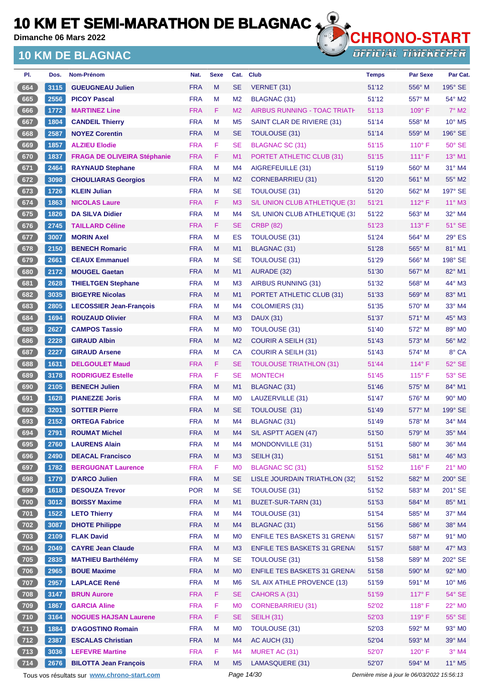**Dimanche 06 Mars 2022**

## **10 KM DE BLAGNAC**



| PI.   | Dos. | <b>Nom-Prénom</b>                           | Nat.       | <b>Sexe</b> | Cat.           | <b>Club</b>                         | <b>Temps</b> | <b>Par Sexe</b>                             | Par Cat.                    |
|-------|------|---------------------------------------------|------------|-------------|----------------|-------------------------------------|--------------|---------------------------------------------|-----------------------------|
| 664   | 3115 | <b>GUEUGNEAU Julien</b>                     | <b>FRA</b> | M           | <b>SE</b>      | VERNET (31)                         | 51'12        | 556° M                                      | $195^\circ$ SE              |
| 665   | 2556 | <b>PICOY Pascal</b>                         | <b>FRA</b> | M           | M <sub>2</sub> | <b>BLAGNAC (31)</b>                 | 51'12        | 557° M                                      | 54° M2                      |
| 666   | 1772 | <b>MARTINEZ Line</b>                        | <b>FRA</b> | F.          | M <sub>2</sub> | <b>AIRBUS RUNNING - TOAC TRIATH</b> | 51'13        | 109°F                                       | $7^\circ$ M2                |
| 667   | 1804 | <b>CANDEIL Thierry</b>                      | <b>FRA</b> | M           | M <sub>5</sub> | SAINT CLAR DE RIVIERE (31)          | 51'14        | $558^\circ$ M                               | $10^{\circ}$ M <sub>5</sub> |
| 668   | 2587 | <b>NOYEZ Corentin</b>                       | <b>FRA</b> | M           | <b>SE</b>      | <b>TOULOUSE (31)</b>                | 51'14        | 559° M                                      | 196° SE                     |
| 669   | 1857 | <b>ALZIEU Elodie</b>                        | <b>FRA</b> | F           | <b>SE</b>      | <b>BLAGNAC SC (31)</b>              | 51'15        | $110^{\circ}$ F                             | $50^\circ$ SE               |
| 670   | 1837 | <b>FRAGA DE OLIVEIRA Stéphanie</b>          | <b>FRA</b> | F           | M1             | PORTET ATHLETIC CLUB (31)           | 51'15        | $111^\circ F$                               | 13° M1                      |
| $671$ | 2464 | <b>RAYNAUD Stephane</b>                     | <b>FRA</b> | М           | M4             | AIGREFEUILLE (31)                   | 51'19        | $560^\circ$ M                               | 31° M4                      |
| 672   | 3098 | <b>CHOULIARAS Georgios</b>                  | <b>FRA</b> | M           | M <sub>2</sub> | <b>CORNEBARRIEU (31)</b>            | 51'20        | 561° M                                      | 55° M2                      |
| 673   | 1726 | <b>KLEIN Julian</b>                         | <b>FRA</b> | М           | <b>SE</b>      | <b>TOULOUSE (31)</b>                | 51'20        | 562° M                                      | 197° SE                     |
| 674   | 1863 | <b>NICOLAS Laure</b>                        | <b>FRA</b> | F.          | M <sub>3</sub> | S/L UNION CLUB ATHLETIQUE (31       | 51'21        | $112^{\circ}$ F                             | $11^{\circ}$ M3             |
| 675   | 1826 | <b>DA SILVA Didier</b>                      | <b>FRA</b> | М           | M4             | S/L UNION CLUB ATHLETIQUE (31       | 51'22        | $563^\circ$ M                               | 32° M4                      |
| 676   | 2745 | <b>TAILLARD Céline</b>                      | <b>FRA</b> | F.          | <b>SE</b>      | <b>CRBP (82)</b>                    | 51'23        | $113^\circ$ F                               | $51^\circ$ SE               |
| 677   | 3007 | <b>MORIN Axel</b>                           | <b>FRA</b> | M           | ES             | TOULOUSE (31)                       | 51'24        | 564° M                                      | $29^\circ$ ES               |
| 678   | 2150 | <b>BENECH Romaric</b>                       | <b>FRA</b> | M           | M1             | <b>BLAGNAC (31)</b>                 | 51'28        | 565° M                                      | 81° M1                      |
| 679   | 2661 | <b>CEAUX Emmanuel</b>                       | <b>FRA</b> | M           | <b>SE</b>      | TOULOUSE (31)                       | 51'29        | 566° M                                      | 198° SE                     |
| 680   | 2172 | <b>MOUGEL Gaetan</b>                        | <b>FRA</b> | M           | M1             | AURADE (32)                         | 51'30        | 567° M                                      | 82° M1                      |
| 681   | 2628 | <b>THIELTGEN Stephane</b>                   | <b>FRA</b> | М           | M <sub>3</sub> | AIRBUS RUNNING (31)                 | 51'32        | 568° M                                      | 44° M3                      |
| 682   | 3035 | <b>BIGEYRE Nicolas</b>                      | <b>FRA</b> | M           | M1             | PORTET ATHLETIC CLUB (31)           | 51'33        | 569° M                                      | 83° M1                      |
| 683   | 2805 | <b>LECOSSIER Jean-François</b>              | <b>FRA</b> | М           | M4             | <b>COLOMIERS (31)</b>               | 51'35        | 570° M                                      | $33^\circ$ M4               |
| 684   | 1694 | <b>ROUZAUD Olivier</b>                      | <b>FRA</b> | M           | M <sub>3</sub> | <b>DAUX (31)</b>                    | 51'37        | 571° M                                      | 45° M3                      |
| 685   | 2627 | <b>CAMPOS Tassio</b>                        | <b>FRA</b> | М           | M <sub>0</sub> | <b>TOULOUSE (31)</b>                | 51'40        | 572° M                                      | 89° M0                      |
| 686   | 2228 | <b>GIRAUD Albin</b>                         | <b>FRA</b> | M           | M <sub>2</sub> | <b>COURIR A SEILH (31)</b>          | 51'43        | $573^\circ$ M                               | 56° M2                      |
| 687   | 2227 | <b>GIRAUD Arsene</b>                        | <b>FRA</b> | М           | <b>CA</b>      | <b>COURIR A SEILH (31)</b>          | 51'43        | 574° M                                      | 8° CA                       |
| 688   | 1631 | <b>DELGOULET Maud</b>                       | <b>FRA</b> | F.          | <b>SE</b>      | <b>TOULOUSE TRIATHLON (31)</b>      | 51'44        | $114^{\circ}$ F                             | 52° SE                      |
| 689   | 3178 | <b>RODRIGUEZ Estelle</b>                    | <b>FRA</b> | F           | <b>SE</b>      | <b>MONTECH</b>                      | 51'45        | $115^{\circ}$ F                             | 53° SE                      |
| 690   | 2105 | <b>BENECH Julien</b>                        | <b>FRA</b> | M           | M1             | <b>BLAGNAC (31)</b>                 | 51'46        | 575° M                                      | 84° M1                      |
| 691   | 1628 | <b>PIANEZZE Joris</b>                       | <b>FRA</b> | М           | M <sub>0</sub> | LAUZERVILLE (31)                    | 51'47        | $576^\circ$ M                               | $90^\circ$ M <sub>0</sub>   |
| 692   | 3201 | <b>SOTTER Pierre</b>                        | <b>FRA</b> | M           | <b>SE</b>      | TOULOUSE (31)                       | 51'49        | 577° M                                      | 199° SE                     |
| 693   | 2152 | <b>ORTEGA Fabrice</b>                       | <b>FRA</b> | М           | M4             | <b>BLAGNAC (31)</b>                 | 51'49        | $578^\circ$ M                               | $34^\circ$ M4               |
| 694   | 2791 | <b>ROUMAT Michel</b>                        | <b>FRA</b> | M           | M4             | S/L ASPTT AGEN (47)                 | 51'50        | $579^\circ$ M                               | 35° M4                      |
| 695   | 2760 | <b>LAURENS Alain</b>                        | <b>FRA</b> | М           | M4             | MONDONVILLE (31)                    | 51'51        | 580° M                                      | 36° M4                      |
| 696   | 2490 | <b>DEACAL Francisco</b>                     | <b>FRA</b> | M           | M3             | <b>SEILH (31)</b>                   | 51'51        | 581° M                                      | 46° M3                      |
| 697   | 1782 | <b>BERGUGNAT Laurence</b>                   | <b>FRA</b> | F           | M <sub>0</sub> | <b>BLAGNAC SC (31)</b>              | 51'52        | $116^\circ$ F                               | $21^\circ$ MO               |
| 698   | 1779 | <b>D'ARCO Julien</b>                        | <b>FRA</b> | M           | <b>SE</b>      | LISLE JOURDAIN TRIATHLON (32)       | 51'52        | 582° M                                      | 200° SE                     |
| 699   | 1618 | <b>DESOUZA Trevor</b>                       | <b>POR</b> | M           | <b>SE</b>      | TOULOUSE (31)                       | 51'52        | 583° M                                      | 201° SE                     |
| 700   | 3012 | <b>BOISSY Maxime</b>                        | <b>FRA</b> | Μ           | M1             | BUZET-SUR-TARN (31)                 | 51'53        | 584° M                                      | 85° M1                      |
| 701   | 1522 | <b>LETO Thierry</b>                         | <b>FRA</b> | M           | M4             | TOULOUSE (31)                       | 51'54        | 585° M                                      | 37° M4                      |
| 702   | 3087 | <b>DHOTE Philippe</b>                       | <b>FRA</b> | M           | M4             | <b>BLAGNAC (31)</b>                 | 51'56        | 586° M                                      | 38° M4                      |
| $703$ | 2109 | <b>FLAK David</b>                           | <b>FRA</b> | M           | M <sub>0</sub> | <b>ENFILE TES BASKETS 31 GRENAI</b> | 51'57        | 587° M                                      | 91° MO                      |
| 704   | 2049 | <b>CAYRE Jean Claude</b>                    | <b>FRA</b> | M           | M <sub>3</sub> | <b>ENFILE TES BASKETS 31 GRENAL</b> | 51'57        | 588° M                                      | $47^\circ$ M3               |
| $705$ | 2835 | <b>MATHIEU Barthélémy</b>                   | <b>FRA</b> | M           | <b>SE</b>      | <b>TOULOUSE (31)</b>                | 51'58        | 589° M                                      | 202° SE                     |
| 706   | 2965 | <b>BOUE Maxime</b>                          | <b>FRA</b> | M           | M <sub>0</sub> | <b>ENFILE TES BASKETS 31 GRENAL</b> | 51'58        | 590° M                                      | 92° MO                      |
| 707   | 2957 | <b>LAPLACE René</b>                         | <b>FRA</b> | M           | M <sub>6</sub> | S/L AIX ATHLE PROVENCE (13)         | 51'59        | 591° M                                      | $10^{\circ}$ M <sub>6</sub> |
| 708   | 3147 | <b>BRUN Aurore</b>                          | <b>FRA</b> | F           | <b>SE</b>      | CAHORS A (31)                       | 51'59        | $117^\circ$ F                               | 54° SE                      |
| $709$ | 1867 | <b>GARCIA Aline</b>                         | <b>FRA</b> | F           | M <sub>0</sub> | <b>CORNEBARRIEU (31)</b>            | 52'02        | $118^\circ$ F                               | 22° MO                      |
| [710] | 3164 | <b>NOGUES HAJSAN Laurene</b>                | <b>FRA</b> | F.          | <b>SE</b>      | <b>SEILH (31)</b>                   | 52'03        | 119°F                                       | $55^\circ$ SE               |
| $711$ | 1884 | <b>D'AGOSTINO Romain</b>                    | <b>FRA</b> | М           | M <sub>0</sub> | <b>TOULOUSE (31)</b>                | 52'03        | 592° M                                      | 93° MO                      |
| (712) | 2387 | <b>ESCALAS Christian</b>                    | <b>FRA</b> | M           | M4             | AC AUCH (31)                        | 52'04        | 593° M                                      | 39° M4                      |
| $713$ | 3036 | <b>LEFEVRE Martine</b>                      | <b>FRA</b> | F           | M4             | MURET AC (31)                       | 52'07        | $120^\circ$ F                               | $3°$ M4                     |
| 714   | 2676 | <b>BILOTTA Jean François</b>                | <b>FRA</b> | M           | M <sub>5</sub> | LAMASQUERE (31)                     | 52'07        | 594° M                                      | 11° M5                      |
|       |      | Tous vos résultats sur www.chrono-start.com |            |             | Page 14/30     |                                     |              | Dernière mise à jour le 06/03/2022 15:56:13 |                             |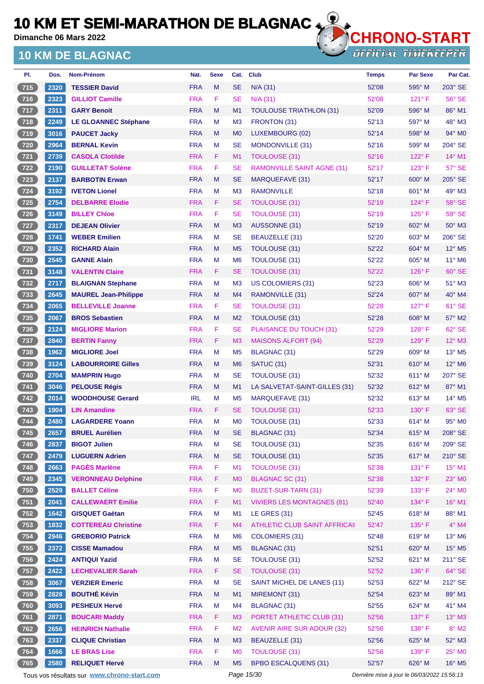**Dimanche 06 Mars 2022**

## **10 KM DE BLAGNAC**



**OFFICIAL TIMEKEEPER** 

| PI.   | Dos. | Nom-Prénom                  | Nat.       | <b>Sexe</b> | Cat.           | <b>Club</b>                       | <b>Temps</b> | <b>Par Sexe</b> | Par Cat.                    |
|-------|------|-----------------------------|------------|-------------|----------------|-----------------------------------|--------------|-----------------|-----------------------------|
| 715   | 2320 | <b>TESSIER David</b>        | <b>FRA</b> | M           | <b>SE</b>      | $N/A$ (31)                        | 52'08        | 595° M          | 203° SE                     |
| $716$ | 2323 | <b>GILLIOT Camille</b>      | <b>FRA</b> | F           | <b>SE</b>      | $N/A$ (31)                        | 52'08        | $121^\circ$ F   | $56^\circ$ SE               |
| 717   | 2311 | <b>GARY Benoit</b>          | <b>FRA</b> | M           | M <sub>1</sub> | <b>TOULOUSE TRIATHLON (31)</b>    | 52'09        | $596^\circ$ M   | 86° M1                      |
| $718$ | 2249 | <b>LE GLOANNEC Stéphane</b> | <b>FRA</b> | М           | M <sub>3</sub> | FRONTON (31)                      | 52'13        | 597° M          | 48° M3                      |
| $719$ | 3016 | <b>PAUCET Jacky</b>         | <b>FRA</b> | M           | M <sub>0</sub> | LUXEMBOURG (02)                   | 52'14        | 598° M          | $94^\circ$ M <sub>0</sub>   |
| $720$ | 2964 | <b>BERNAL Kevin</b>         | <b>FRA</b> | М           | <b>SE</b>      | MONDONVILLE (31)                  | 52'16        | 599° M          | 204° SE                     |
| 721   | 2739 | <b>CASOLA Clotilde</b>      | <b>FRA</b> | F           | M <sub>1</sub> | <b>TOULOUSE (31)</b>              | 52'16        | 122°F           | 14° M1                      |
| $722$ | 2190 | <b>GUILLETAT Solène</b>     | <b>FRA</b> | F           | <b>SE</b>      | <b>RAMONVILLE SAINT AGNE (31)</b> | 52'17        | $123^\circ$ F   | 57° SE                      |
| 723   | 2137 | <b>BARBOTIN Erwan</b>       | <b>FRA</b> | M           | <b>SE</b>      | <b>MARQUEFAVE (31)</b>            | 52'17        | 600° M          | 205° SE                     |
| $724$ | 3192 | <b>IVETON Lionel</b>        | <b>FRA</b> | M           | M <sub>3</sub> | <b>RAMONVILLE</b>                 | 52'18        | $601^\circ$ M   | 49° M3                      |
| 725   | 2754 | <b>DELBARRE Elodie</b>      | <b>FRA</b> | F.          | <b>SE</b>      | TOULOUSE (31)                     | 52'19        | $124^{\circ}$ F | 58° SE                      |
| $726$ | 3149 | <b>BILLEY Chloe</b>         | <b>FRA</b> | F           | <b>SE</b>      | <b>TOULOUSE (31)</b>              | 52'19        | $125^\circ$ F   | 59° SE                      |
| 727   | 2317 | <b>DEJEAN Olivier</b>       | <b>FRA</b> | M           | M3             | AUSSONNE (31)                     | 52'19        | 602° M          | $50^\circ$ M3               |
| 728   | 1741 | <b>WEBER Emilien</b>        | <b>FRA</b> | M           | <b>SE</b>      | BEAUZELLE (31)                    | 52'20        | 603° M          | 206° SE                     |
| 729   | 2352 | <b>RICHARD Alain</b>        | <b>FRA</b> | M           | M <sub>5</sub> | TOULOUSE (31)                     | 52'22        | 604° M          | 12° M5                      |
| $730$ | 2545 | <b>GANNE Alain</b>          | <b>FRA</b> | м           | M <sub>6</sub> | <b>TOULOUSE (31)</b>              | 52'22        | 605° M          | $11^{\circ}$ M6             |
| 731   | 3148 | <b>VALENTIN Claire</b>      | <b>FRA</b> | F.          | <b>SE</b>      | <b>TOULOUSE (31)</b>              | 52'22        | $126^\circ$ F   | $60^\circ$ SE               |
| $732$ | 2717 | <b>BLAIGNAN Stephane</b>    | <b>FRA</b> | М           | M <sub>3</sub> | <b>US COLOMIERS (31)</b>          | 52'23        | $606^\circ$ M   | $51^\circ$ M3               |
| $733$ | 2645 | <b>MAUREL Jean-Philippe</b> | <b>FRA</b> | M           | M4             | RAMONVILLE (31)                   | 52'24        | $607^\circ$ M   | 40° M4                      |
| $734$ | 2065 | <b>BELLEVILLE Joanne</b>    | <b>FRA</b> | F           | <b>SE</b>      | <b>TOULOUSE (31)</b>              | 52'28        | $127^\circ$ F   | 61° SE                      |
| $735$ | 2067 | <b>BROS Sebastien</b>       | <b>FRA</b> | M           | M <sub>2</sub> | TOULOUSE (31)                     | 52'28        | 608° M          | 57° M2                      |
| $736$ | 2124 | <b>MIGLIORE Marion</b>      | <b>FRA</b> | F           | <b>SE</b>      | PLAISANCE DU TOUCH (31)           | 52'29        | $128^\circ$ F   | $62^\circ$ SE               |
| 737   | 2840 | <b>BERTIN Fanny</b>         | <b>FRA</b> | F           | M <sub>3</sub> | <b>MAISONS ALFORT (94)</b>        | 52'29        | $129^\circ$ F   | 12° M3                      |
| $738$ | 1962 | <b>MIGLIORE Joel</b>        | <b>FRA</b> | M           | M <sub>5</sub> | BLAGNAC (31)                      | 52'29        | $609°$ M        | $13^\circ$ M <sub>5</sub>   |
| 739   | 3124 | <b>LABOURROIRE Gilles</b>   | <b>FRA</b> | M           | M <sub>6</sub> | SATUC (31)                        | 52'31        | $610^\circ$ M   | 12° M6                      |
| $740$ | 2704 | <b>MAMPRIN Hugo</b>         | <b>FRA</b> | М           | <b>SE</b>      | <b>TOULOUSE (31)</b>              | 52'32        | $611^\circ$ M   | 207° SE                     |
| 741   | 3046 | <b>PELOUSE Régis</b>        | <b>FRA</b> | M           | M1             | LA SALVETAT-SAINT-GILLES (31)     | 52'32        | $612^\circ$ M   | 87° M1                      |
| $742$ | 2014 | <b>WOODHOUSE Gerard</b>     | <b>IRL</b> | м           | M <sub>5</sub> | MARQUEFAVE (31)                   | 52'32        | 613° M          | $14^{\circ}$ M <sub>5</sub> |
| $743$ | 1904 | <b>LIN Amandine</b>         | <b>FRA</b> | F.          | <b>SE</b>      | TOULOUSE (31)                     | 52'33        | $130^\circ$ F   | 63° SE                      |
| 744   | 2480 | <b>LAGARDERE Yoann</b>      | <b>FRA</b> | M           | M <sub>0</sub> | TOULOUSE (31)                     | 52'33        | $614^\circ$ M   | $95^\circ$ MO               |
| $745$ | 2657 | <b>BRUEL Aurélien</b>       | <b>FRA</b> | Μ           | <b>SE</b>      | BLAGNAC (31)                      | 52'34        | 615° M          | 208° SE                     |
| 746   | 2837 | <b>BIGOT Julien</b>         | <b>FRA</b> | M           | <b>SE</b>      | <b>TOULOUSE (31)</b>              | 52'35        | 616° M          | 209° SE                     |
| $747$ | 2479 | <b>LUGUERN Adrien</b>       | <b>FRA</b> | M           | <b>SE</b>      | TOULOUSE (31)                     | 52'35        | 617° M          | 210° SE                     |
| $748$ | 2663 | <b>PAGÈS Marlène</b>        | <b>FRA</b> | F           | M1             | <b>TOULOUSE (31)</b>              | 52'38        | 131° F          | 15° M1                      |
| 749   | 2345 | <b>VERONNEAU Delphine</b>   | <b>FRA</b> | F.          | <b>MO</b>      | <b>BLAGNAC SC (31)</b>            | 52'38        | 132° F          | 23° M0                      |
| $750$ | 2529 | <b>BALLET Céline</b>        | <b>FRA</b> | F           | M <sub>0</sub> | BUZET-SUR-TARN (31)               | 52'39        | $133^\circ$ F   | $24^{\circ}$ MO             |
| 751   | 2041 | <b>CALLEWAERT Emilie</b>    | <b>FRA</b> | F           | M1             | <b>VIVIERS LES MONTAGNES (81)</b> | 52'40        | 134° F          | 16° M1                      |
| $752$ | 1642 | <b>GISQUET Gaétan</b>       | <b>FRA</b> | M           | M1             | <b>LE GRES (31)</b>               | 52'45        | 618° M          | 88° M1                      |
| 753   | 1832 | <b>COTTEREAU Christine</b>  | <b>FRA</b> | F           | M <sub>4</sub> | ATHLETIC CLUB SAINT AFFRICAII     | 52'47        | 135°F           | $4^\circ$ M4                |
| $754$ | 2946 | <b>GREBORIO Patrick</b>     | <b>FRA</b> | M           | M <sub>6</sub> | <b>COLOMIERS (31)</b>             | 52'48        | 619° M          | 13° M6                      |
| 755   | 2372 | <b>CISSE Mamadou</b>        | <b>FRA</b> | M           | M <sub>5</sub> | BLAGNAC (31)                      | 52'51        | 620° M          | $15^{\circ}$ M5             |
| $756$ | 2424 | <b>ANTIQUI Yazid</b>        | <b>FRA</b> | M           | <b>SE</b>      | <b>TOULOUSE (31)</b>              | 52'52        | 621° M          | 211° SE                     |
| 757   | 2422 | <b>LECHEVALIER Sarah</b>    | <b>FRA</b> | F           | <b>SE</b>      | <b>TOULOUSE (31)</b>              | 52'52        | 136°F           | $64^\circ$ SE               |
| 758   | 3067 | <b>VERZIER Emeric</b>       | <b>FRA</b> | M           | <b>SE</b>      | SAINT MICHEL DE LANES (11)        | 52'53        | 622° M          | 212° SE                     |
| 759   | 2828 | <b>BOUTHÉ Kévin</b>         | <b>FRA</b> | M           | M1             | MIREMONT (31)                     | 52'54        | 623° M          | 89° M1                      |
| 760   | 3093 | <b>PESHEUX Hervé</b>        | <b>FRA</b> | M           | M <sub>4</sub> | <b>BLAGNAC (31)</b>               | 52'55        | 624° M          | 41° M4                      |
| 761   | 2871 | <b>BOUCARI Maddy</b>        | <b>FRA</b> | F           | M <sub>3</sub> | PORTET ATHLETIC CLUB (31)         | 52'56        | 137° F          | $13^\circ$ M3               |
| $762$ | 2656 | <b>HEINRICH Nathalie</b>    | <b>FRA</b> | F           | M <sub>2</sub> | <b>AVENIR AIRE SUR ADOUR (32)</b> | 52'56        | $138^\circ$ F   | $8^\circ$ M2                |
| 763   | 2337 | <b>CLIQUE Christian</b>     | <b>FRA</b> | M           | M3             | BEAUZELLE (31)                    | 52'56        | 625° M          | $52^\circ$ M3               |
| 764   | 1666 | <b>LE BRAS Lise</b>         | <b>FRA</b> | F.          | M <sub>0</sub> | <b>TOULOUSE (31)</b>              | 52'56        | 139° F          | $25^\circ$ MO               |
| 765   | 2580 | <b>RELIQUET Hervé</b>       | <b>FRA</b> | M           | M <sub>5</sub> | <b>BPBO ESCALQUENS (31)</b>       | 52'57        | 626° M          | 16° M5                      |

Tous vos résultats sur **[www.chrono-start.com](https://www.chrono-start.com/)** Page 15/30 Page 15/30 Dernière mise à jour le 06/03/2022 15:56:13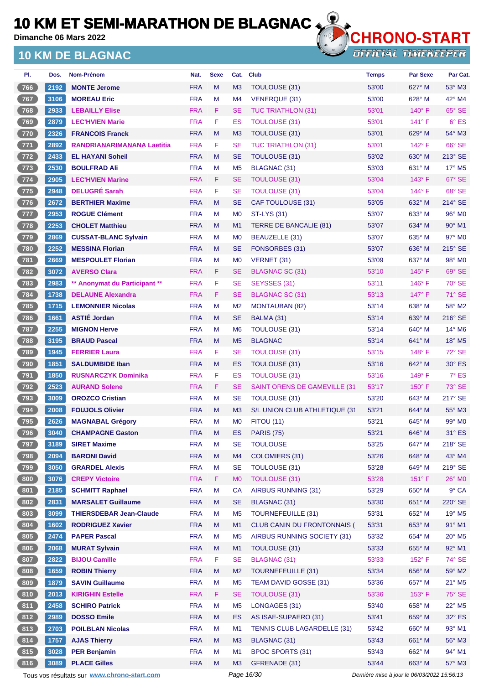**Dimanche 06 Mars 2022**

## **10 KM DE BLAGNAC**



**OFFICIAL TIMEKEEPER** 

| PI.          | Dos. | <b>Nom-Prénom</b>              | Nat.       | <b>Sexe</b> | Cat.           | Club                                 | <b>Temps</b> | <b>Par Sexe</b> | Par Cat.                    |
|--------------|------|--------------------------------|------------|-------------|----------------|--------------------------------------|--------------|-----------------|-----------------------------|
| 766          | 2192 | <b>MONTE Jerome</b>            | <b>FRA</b> | M           | M <sub>3</sub> | TOULOUSE (31)                        | 53'00        | 627° M          | $53^\circ$ M3               |
| $767$        | 3106 | <b>MOREAU Eric</b>             | <b>FRA</b> | М           | M4             | VENERQUE (31)                        | 53'00        | 628° M          | $42^{\circ}$ M4             |
| 768          | 2933 | <b>LEBAILLY Elise</b>          | <b>FRA</b> | F.          | <b>SE</b>      | <b>TUC TRIATHLON (31)</b>            | 53'01        | $140^\circ$ F   | 65° SE                      |
| 769          | 2879 | <b>LEC'HVIEN Marie</b>         | <b>FRA</b> | F           | ES             | <b>TOULOUSE (31)</b>                 | 53'01        | $141^\circ$ F   | $6°$ ES                     |
| 770          | 2326 | <b>FRANCOIS Franck</b>         | <b>FRA</b> | M           | M <sub>3</sub> | TOULOUSE (31)                        | 53'01        | $629^\circ$ M   | $54^\circ$ M3               |
| $771$        | 2892 | RANDRIANARIMANANA Laetitia     | <b>FRA</b> | F           | <b>SE</b>      | <b>TUC TRIATHLON (31)</b>            | 53'01        | 142° F          | 66° SE                      |
| $\sqrt{772}$ | 2433 | <b>EL HAYANI Soheil</b>        | <b>FRA</b> | M           | <b>SE</b>      | TOULOUSE (31)                        | 53'02        | 630° M          | $213^\circ$ SE              |
| $773$        | 2530 | <b>BOULFRAD Ali</b>            | <b>FRA</b> | М           | M <sub>5</sub> | <b>BLAGNAC (31)</b>                  | 53'03        | 631° M          | $17^\circ$ M <sub>5</sub>   |
| $774$        | 2905 | <b>LEC'HVIEN Marine</b>        | <b>FRA</b> | F           | <b>SE</b>      | TOULOUSE (31)                        | 53'04        | $143^\circ$ F   | 67° SE                      |
| $775$        | 2948 | <b>DELUGRÉ Sarah</b>           | <b>FRA</b> | F           | <b>SE</b>      | <b>TOULOUSE (31)</b>                 | 53'04        | $144^\circ$ F   | 68° SE                      |
| 776          | 2672 | <b>BERTHIER Maxime</b>         | <b>FRA</b> | M           | <b>SE</b>      | CAF TOULOUSE (31)                    | 53'05        | $632^\circ$ M   | $214^\circ$ SE              |
| $777$        | 2953 | <b>ROGUE Clément</b>           | <b>FRA</b> | М           | M <sub>0</sub> | <b>ST-LYS (31)</b>                   | 53'07        | $633^\circ$ M   | 96° M <sub>0</sub>          |
| 778          | 2253 | <b>CHOLET Matthieu</b>         | <b>FRA</b> | M           | M <sub>1</sub> | TERRE DE BANCALIE (81)               | 53'07        | $634^\circ$ M   | $90^\circ$ M1               |
| $779$        | 2869 | <b>CUSSAT-BLANC Sylvain</b>    | <b>FRA</b> | M           | M <sub>0</sub> | BEAUZELLE (31)                       | 53'07        | 635° M          | 97° M0                      |
| 780          | 2252 | <b>MESSINA Florian</b>         | <b>FRA</b> | M           | <b>SE</b>      | FONSORBES (31)                       | 53'07        | 636° M          | $215^\circ$ SE              |
| $781$        | 2669 | <b>MESPOULET Florian</b>       | <b>FRA</b> | M           | M <sub>0</sub> | VERNET (31)                          | 53'09        | 637° M          | 98° M <sub>0</sub>          |
| 782          | 3072 | <b>AVERSO Clara</b>            | <b>FRA</b> | F           | <b>SE</b>      | <b>BLAGNAC SC (31)</b>               | 53'10        | $145^\circ$ F   | 69° SE                      |
| $783$        | 2983 | ** Anonymat du Participant **  | <b>FRA</b> | F           | <b>SE</b>      | SEYSSES (31)                         | 53'11        | $146^\circ$ F   | $70^\circ$ SE               |
| 784          | 1738 | <b>DELAUNE Alexandra</b>       | <b>FRA</b> | F           | <b>SE</b>      | <b>BLAGNAC SC (31)</b>               | 53'13        | 147°F           | 71° SE                      |
| 785          | 1715 | <b>LEMONNIER Nicolas</b>       | <b>FRA</b> | M           | M <sub>2</sub> | <b>MONTAUBAN (82)</b>                | 53'14        | $638^\circ$ M   | 58° M2                      |
| $786$        | 1661 | <b>ASTIÉ Jordan</b>            | <b>FRA</b> | M           | <b>SE</b>      | BALMA (31)                           | 53'14        | 639° M          | 216° SE                     |
| $787$        | 2255 | <b>MIGNON Herve</b>            | <b>FRA</b> | М           | M <sub>6</sub> | <b>TOULOUSE (31)</b>                 | 53'14        | $640^\circ$ M   | $14^{\circ}$ M <sub>6</sub> |
| $788$        | 3195 | <b>BRAUD Pascal</b>            | <b>FRA</b> | M           | M <sub>5</sub> | <b>BLAGNAC</b>                       | 53'14        | $641^\circ$ M   | $18^\circ$ M <sub>5</sub>   |
| 789          | 1945 | <b>FERRIER Laura</b>           | <b>FRA</b> | F           | <b>SE</b>      | <b>TOULOUSE (31)</b>                 | 53'15        | $148^\circ$ F   | $72^\circ$ SE               |
| 790          | 1851 | <b>SALDUMBIDE Iban</b>         | <b>FRA</b> | M           | ES             | <b>TOULOUSE (31)</b>                 | 53'16        | 642° M          | $30^\circ$ ES               |
| $791$        | 1850 | <b>RUSNARCZYK Dominika</b>     | <b>FRA</b> | F           | ES             | <b>TOULOUSE (31)</b>                 | 53'16        | $149^\circ$ F   | $7^\circ$ ES                |
| $792$        | 2523 | <b>AURAND Solene</b>           | <b>FRA</b> | F.          | <b>SE</b>      | <b>SAINT ORENS DE GAMEVILLE (31)</b> | 53'17        | $150^\circ$ F   | 73° SE                      |
| $793$        | 3009 | <b>OROZCO Cristian</b>         | <b>FRA</b> | М           | <b>SE</b>      | TOULOUSE (31)                        | 53'20        | $643^\circ$ M   | 217° SE                     |
| 794          | 2008 | <b>FOUJOLS Olivier</b>         | <b>FRA</b> | M           | M3             | S/L UNION CLUB ATHLETIQUE (3'        | 53'21        | 644° M          | 55° M3                      |
| $795$        | 2626 | <b>MAGNABAL Grégory</b>        | <b>FRA</b> | M           | M <sub>0</sub> | <b>FITOU (11)</b>                    | 53'21        | 645° M          | $99^\circ$ M <sub>0</sub>   |
| (796)        | 3040 | <b>CHAMPAGNE Gaston</b>        | <b>FRA</b> | м           | <b>ES</b>      | <b>PARIS (75)</b>                    | 53'21        | 646° M          | 31° ES                      |
| (797)        | 3189 | <b>SIRET Maxime</b>            | <b>FRA</b> | M           | SE             | <b>TOULOUSE</b>                      | 53'25        | 647° M          | 218° SE                     |
| $798$        | 2094 | <b>BARONI David</b>            | <b>FRA</b> | M           | M4             | <b>COLOMIERS (31)</b>                | 53'26        | 648° M          | 43° M4                      |
| $799$        | 3050 | <b>GRARDEL Alexis</b>          | <b>FRA</b> | M           | <b>SE</b>      | <b>TOULOUSE (31)</b>                 | 53'28        | 649° M          | 219° SE                     |
| 800          | 3076 | <b>CREPY Victoire</b>          | <b>FRA</b> | F           | M <sub>0</sub> | <b>TOULOUSE (31)</b>                 | 53'28        | $151^\circ$ F   | $26^{\circ}$ MO             |
| 801          | 2185 | <b>SCHMITT Raphael</b>         | <b>FRA</b> | M           | <b>CA</b>      | AIRBUS RUNNING (31)                  | 53'29        | 650° M          | $9°$ CA                     |
| 802          | 2831 | <b>MARSALET Guillaume</b>      | <b>FRA</b> | M           | <b>SE</b>      | BLAGNAC (31)                         | 53'30        | 651° M          | 220° SE                     |
| 803          | 3099 | <b>THIERSDEBAR Jean-Claude</b> | <b>FRA</b> | M           | M <sub>5</sub> | <b>TOURNEFEUILLE (31)</b>            | 53'31        | 652° M          | $19^\circ$ M <sub>5</sub>   |
| 804          | 1602 | <b>RODRIGUEZ Xavier</b>        | <b>FRA</b> | M           | M1             | <b>CLUB CANIN DU FRONTONNAIS (</b>   | 53'31        | 653° M          | 91° M1                      |
| 805          | 2474 | <b>PAPER Pascal</b>            | <b>FRA</b> | M           | M <sub>5</sub> | AIRBUS RUNNING SOCIETY (31)          | 53'32        | 654° M          | $20^\circ$ M <sub>5</sub>   |
| 806          | 2068 | <b>MURAT Sylvain</b>           | <b>FRA</b> | M           | M <sub>1</sub> | TOULOUSE (31)                        | 53'33        | 655° M          | 92° M1                      |
| 807          | 2822 | <b>BIJOU Camille</b>           | <b>FRA</b> | F.          | <b>SE</b>      | BLAGNAC (31)                         | 53'33        | $152^{\circ}$ F | 74° SE                      |
| 808          | 1659 | <b>ROBIN Thierry</b>           | <b>FRA</b> | M           | M <sub>2</sub> | <b>TOURNEFEUILLE (31)</b>            | 53'34        | 656° M          | 59° M2                      |
| 809          | 1879 | <b>SAVIN Guillaume</b>         | <b>FRA</b> | M           | M <sub>5</sub> | TEAM DAVID GOSSE (31)                | 53'36        | 657° M          | $21^{\circ}$ M <sub>5</sub> |
| 810          | 2013 | <b>KIRIGHIN Estelle</b>        | <b>FRA</b> | F           | <b>SE</b>      | <b>TOULOUSE (31)</b>                 | 53'36        | 153° F          | 75° SE                      |
| 811          | 2458 | <b>SCHIRO Patrick</b>          | <b>FRA</b> | M           | M <sub>5</sub> | LONGAGES (31)                        | 53'40        | 658° M          | $22^{\circ}$ M <sub>5</sub> |
| 812          | 2989 | <b>DOSSO Emile</b>             | <b>FRA</b> | M           | ES             | AS ISAE-SUPAERO (31)                 | 53'41        | 659° M          | $32^\circ$ ES               |
| 813          | 2703 | <b>POILBLAN Nicolas</b>        | <b>FRA</b> | M           | M1             | TENNIS CLUB LAGARDELLE (31)          | 53'42        | 660° M          | 93° M1                      |
| 814          | 1757 | <b>AJAS Thierry</b>            | <b>FRA</b> | M           | M <sub>3</sub> | <b>BLAGNAC (31)</b>                  | 53'43        | 661° M          | $56^\circ$ M3               |
| 815          | 3028 | <b>PER Benjamin</b>            | <b>FRA</b> | M           | M1             | <b>BPOC SPORTS (31)</b>              | 53'43        | 662° M          | 94° M1                      |
| 816          | 3089 | <b>PLACE Gilles</b>            | <b>FRA</b> | M           | M <sub>3</sub> | GFRENADE (31)                        | 53'44        | 663° M          | 57° M3                      |

Tous vos résultats sur **[www.chrono-start.com](https://www.chrono-start.com/)** Page 16/30 Page 16/30 Dernière mise à jour le 06/03/2022 15:56:13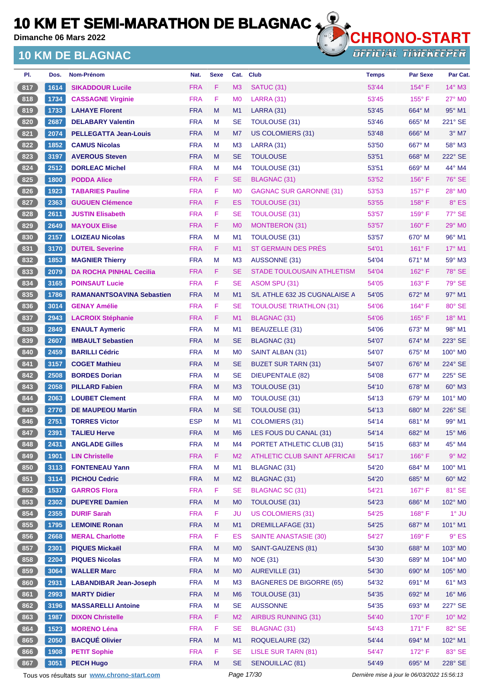**Dimanche 06 Mars 2022**

### **10 KM DE BLAGNAC**



| Dos. | <b>Nom-Prénom</b>                | Nat.       | <b>Sexe</b> | Cat.           | Club                              | <b>Temps</b> | <b>Par Sexe</b> | Par Cat.                  |
|------|----------------------------------|------------|-------------|----------------|-----------------------------------|--------------|-----------------|---------------------------|
| 1614 | <b>SIKADDOUR Lucile</b>          | <b>FRA</b> | F           | M <sub>3</sub> | <b>SATUC (31)</b>                 | 53'44        | $154^\circ$ F   | $14^\circ$ M3             |
| 1734 | <b>CASSAGNE Virginie</b>         | <b>FRA</b> | F           | M <sub>0</sub> | <b>LARRA (31)</b>                 | 53'45        | $155^{\circ}$ F | $27^\circ$ MO             |
| 1733 | <b>LAHAYE Florent</b>            | <b>FRA</b> | M           | M1             | <b>LARRA (31)</b>                 | 53'45        | 664° M          | $95^\circ$ M1             |
| 2687 | <b>DELABARY Valentin</b>         | <b>FRA</b> | м           | SE             | TOULOUSE (31)                     | 53'46        | $665^\circ$ M   | 221° SE                   |
| 2074 | <b>PELLEGATTA Jean-Louis</b>     | <b>FRA</b> | M           | M7             | US COLOMIERS (31)                 | 53'48        | $666^\circ$ M   | $3°$ M7                   |
| 1852 | <b>CAMUS Nicolas</b>             | <b>FRA</b> | м           | M <sub>3</sub> | <b>LARRA (31)</b>                 | 53'50        | $667^\circ$ M   | 58° M3                    |
| 3197 | <b>AVEROUS Steven</b>            | <b>FRA</b> | M           | <b>SE</b>      | <b>TOULOUSE</b>                   | 53'51        | $668^\circ$ M   | 222° SE                   |
| 2512 | <b>DORLEAC Michel</b>            | <b>FRA</b> | м           | M4             | TOULOUSE (31)                     | 53'51        | $669^\circ$ M   | 44° M4                    |
| 1800 | <b>PODDA Alice</b>               | <b>FRA</b> | F.          | <b>SE</b>      | <b>BLAGNAC (31)</b>               | 53'52        | $156^\circ$ F   | 76° SE                    |
| 1923 | <b>TABARIES Pauline</b>          | <b>FRA</b> | F           | M <sub>0</sub> | <b>GAGNAC SUR GARONNE (31)</b>    | 53'53        | $157^\circ$ F   | $28^\circ$ MO             |
| 2363 | <b>GUGUEN Clémence</b>           | <b>FRA</b> | F.          | ES             | TOULOUSE (31)                     | 53'55        | 158°F           | 8° ES                     |
| 2611 | <b>JUSTIN Elisabeth</b>          | <b>FRA</b> | F           | SE             | <b>TOULOUSE (31)</b>              | 53'57        | $159^{\circ}$ F | 77° SE                    |
| 2649 | <b>MAYOUX Elise</b>              | <b>FRA</b> | F.          | M <sub>0</sub> | MONTBERON (31)                    | 53'57        | $160^\circ$ F   | 29° MO                    |
| 2157 | <b>LOIZEAU Nicolas</b>           | <b>FRA</b> | M           | M1             | TOULOUSE (31)                     | 53'57        | $670^\circ$ M   | $96^\circ$ M1             |
| 3170 | <b>DUTEIL Severine</b>           | <b>FRA</b> | F.          | M1             | ST GERMAIN DES PRÉS               | 54'01        | $161^\circ$ F   | 17° M1                    |
| 1853 | <b>MAGNIER Thierry</b>           | <b>FRA</b> | M           | M <sub>3</sub> | AUSSONNE (31)                     | 54'04        | $671^\circ$ M   | $59^\circ$ M3             |
| 2079 | <b>DA ROCHA PINHAL Cecilia</b>   | <b>FRA</b> | F.          | <b>SE</b>      | <b>STADE TOULOUSAIN ATHLETISM</b> | 54'04        | $162^\circ$ F   | $78^\circ$ SE             |
| 3165 | <b>POINSAUT Lucie</b>            | <b>FRA</b> | F           | SE             | ASOM SPU (31)                     | 54'05        | $163^\circ$ F   | $79^\circ$ SE             |
| 1786 | <b>RAMANANTSOAVINA Sebastien</b> | <b>FRA</b> | M           | M1             | S/L ATHLE 632 JS CUGNALAISE A     | 54'05        | 672° M          | $97^\circ$ M1             |
| 3014 | <b>GENAY Amélie</b>              | <b>FRA</b> | F           | SE             | <b>TOULOUSE TRIATHLON (31)</b>    | 54'06        | $164^\circ$ F   | 80° SE                    |
| 2943 | <b>LACROIX Stéphanie</b>         | <b>FRA</b> | F.          | M1             | <b>BLAGNAC (31)</b>               | 54'06        | $165^{\circ}$ F | $18^{\circ}$ M1           |
| 2849 | <b>ENAULT Aymeric</b>            | <b>FRA</b> | M           | M <sub>1</sub> | BEAUZELLE (31)                    | 54'06        | 673° M          | 98° M1                    |
| 2607 | <b>IMBAULT Sebastien</b>         | <b>FRA</b> | M           | <b>SE</b>      | <b>BLAGNAC (31)</b>               | 54'07        | $674^\circ$ M   | $223^\circ$ SE            |
| 2459 | <b>BARILLI Cédric</b>            | <b>FRA</b> | м           | M <sub>0</sub> | SAINT ALBAN (31)                  | 54'07        | $675^\circ$ M   | $100^\circ$ MO            |
| 3157 | <b>COGET Mathieu</b>             | <b>FRA</b> | M           | <b>SE</b>      | <b>BUZET SUR TARN (31)</b>        | 54'07        | $676^\circ$ M   | $224^\circ$ SE            |
| 2508 | <b>BORDES Dorian</b>             | <b>FRA</b> | M           | <b>SE</b>      | <b>DIEUPENTALE (82)</b>           | 54'08        | 677° M          | 225° SE                   |
| 2058 | <b>PILLARD Fabien</b>            | <b>FRA</b> | M           | M <sub>3</sub> | TOULOUSE (31)                     | 54'10        | $678^\circ$ M   | $60^\circ$ M3             |
| 2063 | <b>LOUBET Clement</b>            | <b>FRA</b> | м           | M <sub>0</sub> | TOULOUSE (31)                     | 54'13        | $679^\circ$ M   | 101° MO                   |
| 2776 | <b>DE MAUPEOU Martin</b>         | <b>FRA</b> | M           | <b>SE</b>      | TOULOUSE (31)                     | 54'13        | $680^\circ$ M   | $226^\circ$ SE            |
| 2751 | <b>TORRES Victor</b>             | <b>ESP</b> | M           | M1             | COLOMIERS (31)                    | 54'14        | $681^\circ$ M   | $99^\circ$ M1             |
| 2391 | <b>TALIEU Herve</b>              | <b>FRA</b> | M           | M6             | LES FOUS DU CANAL (31)            | 54'14        | 682° M          | $15^\circ$ M <sub>6</sub> |
| 2431 | <b>ANGLADE Gilles</b>            | <b>FRA</b> | M           | M4             | PORTET ATHLETIC CLUB (31)         | 54'15        | 683° M          | 45° M4                    |
| 1901 | <b>LIN Christelle</b>            | <b>FRA</b> | F           | M <sub>2</sub> | ATHLETIC CLUB SAINT AFFRICAII     | 54'17        | 166°F           | $9^\circ$ M2              |
| 3113 | <b>FONTENEAU Yann</b>            | <b>FRA</b> | M           | M1             | BLAGNAC (31)                      | 54'20        | 684° M          | 100° M1                   |
| 3114 | <b>PICHOU Cedric</b>             | <b>FRA</b> | M           | M <sub>2</sub> | <b>BLAGNAC (31)</b>               | 54'20        | 685° M          | 60° M2                    |
| 1537 | <b>GARROS Flora</b>              | <b>FRA</b> | F           | <b>SE</b>      | <b>BLAGNAC SC (31)</b>            | 54'21        | $167^\circ$ F   | 81° SE                    |
| 2302 | <b>DUPEYRE Damien</b>            | <b>FRA</b> | M           | M <sub>0</sub> | TOULOUSE (31)                     | 54'23        | 686° M          | 102° M0                   |
| 2355 | <b>DURIF Sarah</b>               | <b>FRA</b> | F           | <b>JU</b>      | <b>US COLOMIERS (31)</b>          | 54'25        | $168^\circ$ F   | $1^\circ$ JU              |
| 1795 | <b>LEMOINE Ronan</b>             | <b>FRA</b> | M           | M1             | <b>DREMILLAFAGE (31)</b>          | 54'25        | 687° M          | 101° M1                   |
| 2668 | <b>MERAL Charlotte</b>           | <b>FRA</b> | F.          | <b>ES</b>      | <b>SAINTE ANASTASIE (30)</b>      | 54'27        | $169^\circ$ F   | $9°$ ES                   |
| 2301 | <b>PIQUES Mickaël</b>            | <b>FRA</b> | M           | M <sub>0</sub> | SAINT-GAUZENS (81)                | 54'30        | 688° M          | 103° MO                   |
| 2204 | <b>PIQUES Nicolas</b>            | <b>FRA</b> | M           | M <sub>0</sub> | <b>NOE (31)</b>                   | 54'30        | 689° M          | 104° M0                   |
| 3064 | <b>WALLER Marc</b>               | <b>FRA</b> | M           | M <sub>0</sub> | AUREVILLE (31)                    | 54'30        | 690° M          | 105° MO                   |
| 2931 | <b>LABANDIBAR Jean-Joseph</b>    | <b>FRA</b> | M           | M <sub>3</sub> | <b>BAGNERES DE BIGORRE (65)</b>   | 54'32        | 691° M          | $61^\circ$ M3             |
| 2993 | <b>MARTY Didier</b>              | <b>FRA</b> | M           | M <sub>6</sub> | TOULOUSE (31)                     | 54'35        | 692° M          | 16° M6                    |
| 3196 | <b>MASSARELLI Antoine</b>        | <b>FRA</b> | M           | <b>SE</b>      | <b>AUSSONNE</b>                   | 54'35        | 693° M          | 227° SE                   |
| 1987 | <b>DIXON Christelle</b>          | <b>FRA</b> | F.          | M <sub>2</sub> | <b>AIRBUS RUNNING (31)</b>        | 54'40        | $170^\circ$ F   | $10^{\circ}$ M2           |
| 1523 | <b>MORENO Léna</b>               | <b>FRA</b> | F           | <b>SE</b>      | <b>BLAGNAC (31)</b>               | 54'43        | $171^\circ$ F   | 82° SE                    |
| 2050 | <b>BACQUÉ Olivier</b>            | <b>FRA</b> | M           | M1             | <b>ROQUELAURE (32)</b>            | 54'44        | $694^\circ$ M   | 102° M1                   |
| 1908 | <b>PETIT Sophie</b>              | <b>FRA</b> | F           | <b>SE</b>      | <b>LISLE SUR TARN (81)</b>        | 54'47        | $172^\circ$ F   | 83° SE                    |
| 3051 | <b>PECH Hugo</b>                 | <b>FRA</b> | M           | <b>SE</b>      | <b>SENOUILLAC (81)</b>            | 54'49        | 695° M          | 228° SE                   |
|      |                                  |            |             |                |                                   |              |                 |                           |

Tous vos résultats sur **[www.chrono-start.com](https://www.chrono-start.com/)** Page 17/30 Page 17/30 Dernière mise à jour le 06/03/2022 15:56:13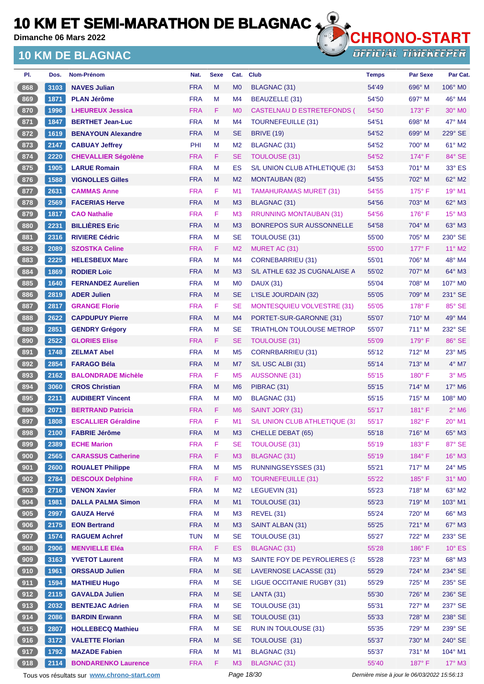**Dimanche 06 Mars 2022**

### **10 KM DE BLAGNAC**



**OFFICIAL TIMEKEEPER** 

| PI.               | Dos. | Nom-Prénom                 | Nat.       | <b>Sexe</b> | Cat.           | <b>Club</b>                      | <b>Temps</b> | <b>Par Sexe</b> | Par Cat.                    |
|-------------------|------|----------------------------|------------|-------------|----------------|----------------------------------|--------------|-----------------|-----------------------------|
| 868               | 3103 | <b>NAVES Julian</b>        | <b>FRA</b> | M           | M <sub>0</sub> | <b>BLAGNAC (31)</b>              | 54'49        | 696° M          | 106° M0                     |
| 869               | 1871 | <b>PLAN Jérôme</b>         | <b>FRA</b> | M           | M <sub>4</sub> | BEAUZELLE (31)                   | 54'50        | 697° M          | $46^\circ$ M4               |
| 870               | 1996 | <b>LHEUREUX Jessica</b>    | <b>FRA</b> | F.          | M <sub>0</sub> | CASTELNAU D ESTRETEFONDS (       | 54'50        | $173^\circ$ F   | $30^\circ$ MO               |
| 871               | 1847 | <b>BERTHET Jean-Luc</b>    | <b>FRA</b> | M           | M4             | TOURNEFEUILLE (31)               | 54'51        | $698^\circ$ M   | 47° M4                      |
| $872$             | 1619 | <b>BENAYOUN Alexandre</b>  | <b>FRA</b> | M           | <b>SE</b>      | <b>BRIVE (19)</b>                | 54'52        | 699° M          | 229° SE                     |
| 873               | 2147 | <b>CABUAY Jeffrey</b>      | PHI        | м           | M <sub>2</sub> | BLAGNAC (31)                     | 54'52        | 700° M          | 61° M2                      |
| 874               | 2220 | <b>CHEVALLIER Ségolène</b> | <b>FRA</b> | F.          | <b>SE</b>      | <b>TOULOUSE (31)</b>             | 54'52        | $174^\circ$ F   | 84° SE                      |
| $875$             | 1905 | <b>LARUE Romain</b>        | <b>FRA</b> | M           | ES             | S/L UNION CLUB ATHLETIQUE (31    | 54'53        | $701^\circ$ M   | 33° ES                      |
| 876               | 1588 | <b>VIGNOLLES Gilles</b>    | <b>FRA</b> | M           | M <sub>2</sub> | <b>MONTAUBAN (82)</b>            | 54'55        | $702^\circ$ M   | 62° M2                      |
| 877               | 2631 | <b>CAMMAS Anne</b>         | <b>FRA</b> | F.          | M <sub>1</sub> | <b>TAMAHURAMAS MURET (31)</b>    | 54'55        | 175° F          | 19° M1                      |
| 878               | 2569 | <b>FACERIAS Herve</b>      | <b>FRA</b> | M           | M3             | BLAGNAC (31)                     | 54'56        | 703° M          | 62° M3                      |
| 879               | 1817 | <b>CAO Nathalie</b>        | <b>FRA</b> | F           | M <sub>3</sub> | <b>RRUNNING MONTAUBAN (31)</b>   | 54'56        | $176^\circ$ F   | $15^\circ$ M3               |
| 880               | 2231 | <b>BILLIÈRES Eric</b>      | <b>FRA</b> | M           | M <sub>3</sub> | <b>BONREPOS SUR AUSSONNELLE</b>  | 54'58        | 704° M          | 63° M3                      |
| 881               | 2316 | <b>RIVIERE Cédric</b>      | <b>FRA</b> | M           | <b>SE</b>      | TOULOUSE (31)                    | 55'00        | 705° M          | $230^\circ$ SE              |
| 882               | 2089 | <b>SZOSTKA Celine</b>      | <b>FRA</b> | F           | M <sub>2</sub> | MURET AC (31)                    | 55'00        | $177^\circ$ F   | $11^{\circ}$ M2             |
| 883               | 2225 | <b>HELESBEUX Marc</b>      | <b>FRA</b> | M           | M <sub>4</sub> | <b>CORNEBARRIEU (31)</b>         | 55'01        | 706° M          | 48° M4                      |
| $884$             | 1869 | <b>RODIER Loïc</b>         | <b>FRA</b> | M           | M <sub>3</sub> | S/L ATHLE 632 JS CUGNALAISE A    | 55'02        | 707° M          | $64^\circ$ M3               |
| 885               | 1640 | <b>FERNANDEZ Aurelien</b>  | <b>FRA</b> | м           | M <sub>0</sub> | <b>DAUX (31)</b>                 | 55'04        | 708° M          | 107° M0                     |
| 886               | 2819 | <b>ADER Julien</b>         | <b>FRA</b> | M           | <b>SE</b>      | L'ISLE JOURDAIN (32)             | 55'05        | 709° M          | 231° SE                     |
| 887               | 2817 | <b>GRANGE Florie</b>       | <b>FRA</b> | F           | <b>SE</b>      | MONTESQUIEU VOLVESTRE (31)       | 55'05        | $178^\circ$ F   | 85° SE                      |
| 888               | 2622 | <b>CAPDUPUY Pierre</b>     | <b>FRA</b> | M           | M <sub>4</sub> | PORTET-SUR-GARONNE (31)          | 55'07        | $710^\circ$ M   | 49° M4                      |
| 889               | 2851 | <b>GENDRY Grégory</b>      | <b>FRA</b> | M           | <b>SE</b>      | <b>TRIATHLON TOULOUSE METROP</b> | 55'07        | 711° M          | 232° SE                     |
| 890               | 2522 | <b>GLORIES Elise</b>       | <b>FRA</b> | F.          | <b>SE</b>      | <b>TOULOUSE (31)</b>             | 55'09        | $179^\circ$ F   | 86° SE                      |
| 891               | 1748 | <b>ZELMAT Abel</b>         | <b>FRA</b> | М           | M <sub>5</sub> | <b>CORNRBARRIEU (31)</b>         | 55'12        | $712^\circ$ M   | 23° M5                      |
| 892               | 2854 | <b>FARAGO Béla</b>         | <b>FRA</b> | M           | M7             | S/L USC ALBI (31)                | 55'14        | $713^\circ$ M   | $4^\circ$ M7                |
| 893               | 2162 | <b>BALONDRADE Michèle</b>  | <b>FRA</b> | F           | M <sub>5</sub> | AUSSONNE (31)                    | 55'15        | $180^\circ$ F   | $3^\circ$ M5                |
| 894               | 3060 | <b>CROS Christian</b>      | <b>FRA</b> | M           | M <sub>6</sub> | PIBRAC (31)                      | 55'15        | 714° M          | 17° M6                      |
| 895               | 2211 | <b>AUDIBERT Vincent</b>    | <b>FRA</b> | м           | M <sub>0</sub> | BLAGNAC (31)                     | 55'15        | 715° M          | 108° M <sub>0</sub>         |
| 896               | 2071 | <b>BERTRAND Patricia</b>   | <b>FRA</b> | F.          | M <sub>6</sub> | SAINT JORY (31)                  | 55'17        | $181^\circ$ F   | $2^{\circ}$ M <sub>6</sub>  |
| 897               | 1808 | <b>ESCALLIER Géraldine</b> | <b>FRA</b> | F           | M <sub>1</sub> | S/L UNION CLUB ATHLETIQUE (31    | 55'17        | $182^{\circ}$ F | $20^\circ$ M1               |
| 898               | 2100 | <b>FABRIE Jérôme</b>       | <b>FRA</b> | M           | M <sub>3</sub> | CHELLE DEBAT (65)                | 55'18        | $716^\circ$ M   | 65° M3                      |
| 899               | 2389 | <b>ECHE Marion</b>         | <b>FRA</b> | F           | SЕ             | <b>TOULOUSE (31)</b>             | 55'19        | 183° F          | 87° SE                      |
| $\frac{1}{2}$ 900 | 2565 | <b>CARASSUS Catherine</b>  | <b>FRA</b> | F           | M3             | <b>BLAGNAC (31)</b>              | 55'19        | 184°F           | $16^\circ$ M3               |
| 901               | 2600 | <b>ROUALET Philippe</b>    | <b>FRA</b> | M           | M <sub>5</sub> | <b>RUNNINGSEYSSES (31)</b>       | 55'21        | 717° M          | $24^{\circ}$ M <sub>5</sub> |
| 902               | 2784 | <b>DESCOUX Delphine</b>    | <b>FRA</b> | F           | M <sub>0</sub> | <b>TOURNEFEUILLE (31)</b>        | 55'22        | 185°F           | 31° MO                      |
| 903               | 2716 | <b>VENON Xavier</b>        | <b>FRA</b> | М           | M <sub>2</sub> | LEGUEVIN (31)                    | 55'23        | 718° M          | $63^\circ$ M2               |
| $\frac{904}{ }$   | 1981 | <b>DALLA PALMA Simon</b>   | <b>FRA</b> | M           | M1             | TOULOUSE (31)                    | 55'23        | 719° M          | 103° M1                     |
| 905               | 2997 | <b>GAUZA Hervé</b>         | <b>FRA</b> | M           | M <sub>3</sub> | <b>REVEL (31)</b>                | 55'24        | 720° M          | 66° M3                      |
| 906               | 2175 | <b>EON Bertrand</b>        | <b>FRA</b> | M           | M3             | SAINT ALBAN (31)                 | 55'25        | 721° M          | 67° M3                      |
| 907               | 1574 | <b>RAGUEM Achref</b>       | <b>TUN</b> | М           | <b>SE</b>      | <b>TOULOUSE (31)</b>             | 55'27        | 722° M          | 233° SE                     |
| 908               | 2906 | <b>MENVIELLE Eléa</b>      | <b>FRA</b> | F.          | ES             | BLAGNAC (31)                     | 55'28        | 186°F           | $10^{\circ}$ ES             |
| 909               | 3163 | <b>YVETOT Laurent</b>      | <b>FRA</b> | M           | M <sub>3</sub> | SAINTE FOY DE PEYROLIERES (3)    | 55'28        | $723^\circ$ M   | 68° M3                      |
| 910               | 1961 | <b>ORSSAUD Julien</b>      | <b>FRA</b> | M           | <b>SE</b>      | LAVERNOSE LACASSE (31)           | 55'29        | 724° M          | 234° SE                     |
| 911               | 1594 | <b>MATHIEU Hugo</b>        | <b>FRA</b> | M           | <b>SE</b>      | LIGUE OCCITANIE RUGBY (31)       | 55'29        | 725° M          | 235° SE                     |
| 912               | 2115 | <b>GAVALDA Julien</b>      | <b>FRA</b> | M           | <b>SE</b>      | <b>LANTA (31)</b>                | 55'30        | 726° M          | 236° SE                     |
| 913               | 2032 | <b>BENTEJAC Adrien</b>     | <b>FRA</b> | M           | <b>SE</b>      | TOULOUSE (31)                    | 55'31        | 727° M          | 237° SE                     |
| 914               | 2086 | <b>BARDIN Erwann</b>       | <b>FRA</b> | M           | <b>SE</b>      | TOULOUSE (31)                    | 55'33        | 728° M          | 238° SE                     |
| 915               | 2807 | <b>HOLLEBECQ Mathieu</b>   | <b>FRA</b> | M           | <b>SE</b>      | RUN IN TOULOUSE (31)             | 55'35        | 729° M          | 239° SE                     |
| 916               | 3172 | <b>VALETTE Florian</b>     | <b>FRA</b> | M           | <b>SE</b>      | TOULOUSE (31)                    | 55'37        | 730° M          | 240° SE                     |
| 917               | 1792 | <b>MAZADE Fabien</b>       | <b>FRA</b> | M           | M1             | BLAGNAC (31)                     | 55'37        | 731° M          | 104° M1                     |
| 918               | 2114 | <b>BONDARENKO Laurence</b> | <b>FRA</b> | F.          | M <sub>3</sub> | BLAGNAC (31)                     | 55'40        | 187°F           | $17^\circ$ M3               |

Tous vos résultats sur **[www.chrono-start.com](https://www.chrono-start.com/)** Page 18/30 Page 18/30 Dernière mise à jour le 06/03/2022 15:56:13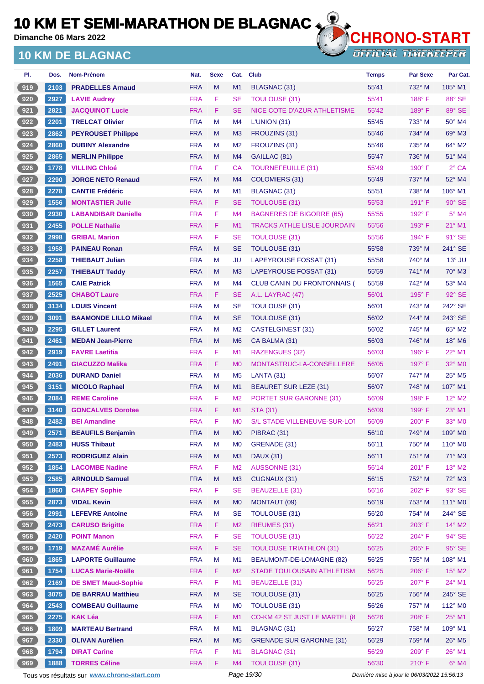**Dimanche 06 Mars 2022**

## **10 KM DE BLAGNAC**



| PI. | Dos.         | Nom-Prénom                                      | Nat.       | <b>Sexe</b> | Cat.           | <b>Club</b>                        | <b>Temps</b>                                | <b>Par Sexe</b> | Par Cat.           |
|-----|--------------|-------------------------------------------------|------------|-------------|----------------|------------------------------------|---------------------------------------------|-----------------|--------------------|
| 919 | 2103         | <b>PRADELLES Arnaud</b>                         | <b>FRA</b> | M           | M <sub>1</sub> | BLAGNAC (31)                       | 55'41                                       | 732° M          | 105° M1            |
| 920 | 2927         | <b>LAVIE Audrey</b>                             | <b>FRA</b> | F           | <b>SE</b>      | <b>TOULOUSE (31)</b>               | 55'41                                       | $188^\circ$ F   | 88° SE             |
| 921 | 2821         | <b>JACQUINOT Lucie</b>                          | <b>FRA</b> | F           | <b>SE</b>      | NICE COTE D'AZUR ATHLETISME        | 55'42                                       | 189°F           | 89° SE             |
| 922 | 2201         | <b>TRELCAT Olivier</b>                          | <b>FRA</b> | M           | M4             | L'UNION(31)                        | 55'45                                       | 733° M          | 50° M4             |
| 923 | 2862         | <b>PEYROUSET Philippe</b>                       | <b>FRA</b> | M           | M <sub>3</sub> | FROUZINS (31)                      | 55'46                                       | 734° M          | $69^\circ$ M3      |
| 924 | 2860         | <b>DUBINY Alexandre</b>                         | <b>FRA</b> | м           | M <sub>2</sub> | FROUZINS (31)                      | 55'46                                       | 735° M          | 64° M2             |
| 925 | 2865         | <b>MERLIN Philippe</b>                          | <b>FRA</b> | M           | M <sub>4</sub> | GAILLAC (81)                       | 55'47                                       | 736° M          | 51° M4             |
| 926 | 1778         | <b>VILLING Chloé</b>                            | <b>FRA</b> | F           | <b>CA</b>      | <b>TOURNEFEUILLE (31)</b>          | 55'49                                       | $190^\circ$ F   | $2°$ CA            |
| 927 | 2290         | <b>JORGE NETO Renaud</b>                        | <b>FRA</b> | M           | M4             | <b>COLOMIERS (31)</b>              | 55'49                                       | 737° M          | 52° M4             |
| 928 | 2278         | <b>CANTIE Frédéric</b>                          | <b>FRA</b> | м           | M1             | <b>BLAGNAC (31)</b>                | 55'51                                       | 738° M          | 106° M1            |
| 929 | 1556         | <b>MONTASTIER Julie</b>                         | <b>FRA</b> | F           | <b>SE</b>      | TOULOUSE (31)                      | 55'53                                       | $191^\circ$ F   | $90^\circ$ SE      |
| 930 | 2930         | <b>LABANDIBAR Danielle</b>                      | <b>FRA</b> | F           | M <sub>4</sub> | <b>BAGNERES DE BIGORRE (65)</b>    | 55'55                                       | $192^\circ$ F   | $5^\circ$ M4       |
| 931 | 2455         | <b>POLLE Nathalie</b>                           | <b>FRA</b> | F           | M1             | <b>TRACKS ATHLE LISLE JOURDAIN</b> | 55'56                                       | $193^\circ$ F   | 21° M1             |
| 932 | 2998         | <b>GRIBAL Marion</b>                            | <b>FRA</b> | F           | <b>SE</b>      | <b>TOULOUSE (31)</b>               | 55'56                                       | 194°F           | $91^\circ$ SE      |
| 933 | 1958         | <b>PAINEAU Ronan</b>                            | <b>FRA</b> | M           | <b>SE</b>      | <b>TOULOUSE (31)</b>               | 55'58                                       | 739° M          | 241° SE            |
| 934 | 2258         | <b>THIEBAUT Julian</b>                          | <b>FRA</b> | м           | JU             | LAPEYROUSE FOSSAT (31)             | 55'58                                       | 740° M          | $13^\circ$ JU      |
| 935 | 2257         | <b>THIEBAUT Teddy</b>                           | <b>FRA</b> | M           | M <sub>3</sub> | LAPEYROUSE FOSSAT (31)             | 55'59                                       | 741° M          | $70^\circ$ M3      |
| 936 | 1565         | <b>CAIE Patrick</b>                             | <b>FRA</b> | M           | M <sub>4</sub> | CLUB CANIN DU FRONTONNAIS (        | 55'59                                       | 742° M          | 53° M4             |
| 937 | 2525         | <b>CHABOT Laure</b>                             | <b>FRA</b> | F           | <b>SE</b>      | A.L. LAYRAC (47)                   | 56'01                                       | 195°F           | $92^\circ$ SE      |
| 938 | 3134         | <b>LOUIS Vincent</b>                            | <b>FRA</b> | M           | <b>SE</b>      | TOULOUSE (31)                      | 56'01                                       | 743° M          | 242° SE            |
| 939 | 3091         | <b>BAAMONDE LILLO Mikael</b>                    | <b>FRA</b> | M           | <b>SE</b>      | TOULOUSE (31)                      | 56'02                                       | 744° M          | 243° SE            |
| 940 | 2295         | <b>GILLET Laurent</b>                           | <b>FRA</b> | м           | M <sub>2</sub> | CASTELGINEST (31)                  | 56'02                                       | 745° M          | 65° M2             |
| 941 | 2461         | <b>MEDAN Jean-Pierre</b>                        | <b>FRA</b> | M           | M <sub>6</sub> | CA BALMA (31)                      | 56'03                                       | 746° M          | 18° M6             |
| 942 | 2919         | <b>FAVRE Laetitia</b>                           | <b>FRA</b> | F           | M <sub>1</sub> | RAZENGUES (32)                     | 56'03                                       | $196^\circ$ F   | $22^{\circ}$ M1    |
| 943 | 2491         | <b>GIACUZZO Malika</b>                          | <b>FRA</b> | F           | M <sub>0</sub> | MONTASTRUC-LA-CONSEILLERE          | 56'05                                       | $197^\circ$ F   | 32° M0             |
| 944 | 2036         | <b>DURAND Daniel</b>                            | <b>FRA</b> | м           | M <sub>5</sub> | LANTA (31)                         | 56'07                                       | 747° M          | 25° M5             |
| 945 | 3151         | <b>MICOLO Raphael</b>                           | <b>FRA</b> | M           | M1             | <b>BEAURET SUR LEZE (31)</b>       | 56'07                                       | 748° M          | $107^\circ$ M1     |
| 946 | 2084         | <b>REME Caroline</b>                            | <b>FRA</b> | F           | M <sub>2</sub> | <b>PORTET SUR GARONNE (31)</b>     | 56'09                                       | $198^\circ$ F   | $12^{\circ}$ M2    |
| 947 | 3140         | <b>GONCALVES Dorotee</b>                        | <b>FRA</b> | F           | M1             | <b>STA (31)</b>                    | 56'09                                       | $199^\circ$ F   | $23^\circ$ M1      |
| 948 | 2482         | <b>BEI Amandine</b>                             | <b>FRA</b> | F           | M <sub>0</sub> | S/L STADE VILLENEUVE-SUR-LOT       | 56'09                                       | $200^\circ$ F   | 33° M <sub>0</sub> |
| 949 |              |                                                 | <b>FRA</b> | M           | M <sub>0</sub> | PIBRAC (31)                        |                                             | 749° M          | 109° M0            |
| 950 | 2571<br>2483 | <b>BEAUFILS Benjamin</b><br><b>HUSS Thibaut</b> | <b>FRA</b> | M           | M <sub>0</sub> | GRENADE (31)                       | 56'10<br>56'11                              | 750° M          | 110° M0            |
| 951 | 2573         | <b>RODRIGUEZ Alain</b>                          | <b>FRA</b> | ${\sf M}$   | M <sub>3</sub> | <b>DAUX (31)</b>                   |                                             | 751° M          | 71° M3             |
|     |              |                                                 |            |             |                |                                    | 56'11                                       | 201° F          |                    |
| 952 | 1854         | <b>LACOMBE Nadine</b>                           | <b>FRA</b> | F           | M <sub>2</sub> | <b>AUSSONNE (31)</b>               | 56'14                                       |                 | $13^\circ$ M2      |
| 953 | 2585         | <b>ARNOULD Samuel</b>                           | <b>FRA</b> | ${\sf M}$   | M <sub>3</sub> | <b>CUGNAUX (31)</b>                | 56'15                                       | 752° M          | 72° M3             |
| 954 | 1860         | <b>CHAPEY Sophie</b>                            | <b>FRA</b> | F           | <b>SE</b>      | <b>BEAUZELLE (31)</b>              | 56'16                                       | 202°F           | $93^\circ$ SE      |
| 955 | 2873         | <b>VIDAL Kevin</b>                              | <b>FRA</b> | M           | M <sub>0</sub> | MONTAUT (09)                       | 56'19                                       | 753° M          | 111° M0            |
| 956 | 2991         | <b>LEFEVRE Antoine</b>                          | <b>FRA</b> | M           | <b>SE</b>      | TOULOUSE (31)                      | 56'20                                       | 754° M          | 244° SE            |
| 957 | 2473         | <b>CARUSO Brigitte</b>                          | <b>FRA</b> | F           | M <sub>2</sub> | RIEUMES (31)                       | 56'21                                       | 203° F          | $14^{\circ}$ M2    |
| 958 | 2420         | <b>POINT Manon</b>                              | <b>FRA</b> | F           | <b>SE</b>      | <b>TOULOUSE (31)</b>               | 56'22                                       | 204°F           | 94° SE             |
| 959 | 1719         | <b>MAZAMÉ Aurélie</b>                           | <b>FRA</b> | F           | <b>SE</b>      | <b>TOULOUSE TRIATHLON (31)</b>     | 56'25                                       | $205^\circ$ F   | $95^\circ$ SE      |
| 960 | 1865         | <b>LAPORTE Guillaume</b>                        | <b>FRA</b> | M           | M1             | BEAUMONT-DE-LOMAGNE (82)           | 56'25                                       | 755° M          | 108° M1            |
| 961 | 1754         | <b>LUCAS Marie-Noëlle</b>                       | <b>FRA</b> | F           | M <sub>2</sub> | STADE TOULOUSAIN ATHLETISM         | 56'25                                       | 206°F           | 15° M2             |
| 962 | 2169         | <b>DE SMET Maud-Sophie</b>                      | <b>FRA</b> | F           | M1             | <b>BEAUZELLE (31)</b>              | 56'25                                       | 207°F           | 24° M1             |
| 963 | 3075         | <b>DE BARRAU Matthieu</b>                       | <b>FRA</b> | ${\sf M}$   | <b>SE</b>      | TOULOUSE (31)                      | 56'25                                       | 756° M          | 245° SE            |
| 964 | 2543         | <b>COMBEAU Guillaume</b>                        | <b>FRA</b> | M           | M <sub>0</sub> | TOULOUSE (31)                      | 56'26                                       | 757° M          | 112° M0            |
| 965 | 2275         | <b>KAK Léa</b>                                  | <b>FRA</b> | F.          | M1             | CO-KM 42 ST JUST LE MARTEL (8      | 56'26                                       | 208°F           | $25^{\circ}$ M1    |
| 966 | 1809         | <b>MARTEAU Bertrand</b>                         | <b>FRA</b> | M           | M1             | <b>BLAGNAC (31)</b>                | 56'27                                       | 758° M          | 109° M1            |
| 967 | 2330         | <b>OLIVAN Aurélien</b>                          | <b>FRA</b> | M           | M <sub>5</sub> | <b>GRENADE SUR GARONNE (31)</b>    | 56'29                                       | 759° M          | 26° M5             |
| 968 | 1794         | <b>DIRAT Carine</b>                             | <b>FRA</b> | F           | M1             | <b>BLAGNAC (31)</b>                | 56'29                                       | 209°F           | 26° M1             |
| 969 | 1888         | <b>TORRES Céline</b>                            | <b>FRA</b> | F.          | M4             | <b>TOULOUSE (31)</b>               | 56'30                                       | 210°F           | $6°$ M4            |
|     |              | Tous vos résultats sur www.chrono-start.com     |            |             | Page 19/30     |                                    | Dernière mise à jour le 06/03/2022 15:56:13 |                 |                    |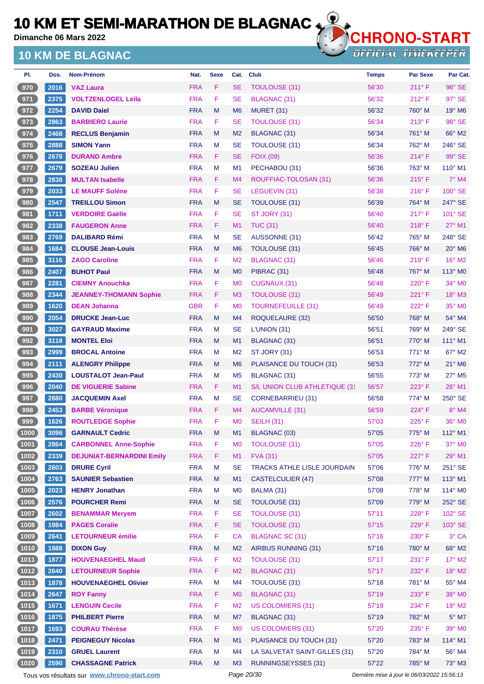**Dimanche 06 Mars 2022**

### **10 KM DE BLAGNAC**



**OFFICIAL TIMEKEEPER** 

| PI.    | Dos. | Nom-Prénom                       | Nat.       | <b>Sexe</b> | Cat.           | <b>Club</b>                   | <b>Temps</b> | <b>Par Sexe</b> | Par Cat.                  |
|--------|------|----------------------------------|------------|-------------|----------------|-------------------------------|--------------|-----------------|---------------------------|
| 970    | 2016 | <b>VAZ Laura</b>                 | <b>FRA</b> | F           | <b>SE</b>      | <b>TOULOUSE (31)</b>          | 56'30        | $211^{\circ}$ F | 96° SE                    |
| 971    | 2375 | <b>VOLTZENLOGEL Leila</b>        | <b>FRA</b> | F           | <b>SE</b>      | <b>BLAGNAC (31)</b>           | 56'32        | $212^{\circ}$ F | $97^\circ$ SE             |
| 972    | 2254 | <b>DAVID Daiel</b>               | <b>FRA</b> | M           | M6             | MURET (31)                    | 56'32        | 760° M          | $19^\circ$ M <sub>6</sub> |
| 973    | 2863 | <b>BARBIERO Laurie</b>           | <b>FRA</b> | F           | <b>SE</b>      | <b>TOULOUSE (31)</b>          | 56'34        | $213^\circ$ F   | 98° SE                    |
| 974    | 2468 | <b>RECLUS Benjamin</b>           | <b>FRA</b> | M           | M <sub>2</sub> | <b>BLAGNAC (31)</b>           | 56'34        | 761° M          | 66° M2                    |
| 975    | 2888 | <b>SIMON Yann</b>                | <b>FRA</b> | M           | <b>SE</b>      | TOULOUSE (31)                 | 56'34        | 762° M          | 246° SE                   |
| 976    | 2678 | <b>DURAND Ambre</b>              | <b>FRA</b> | F           | SE             | <b>FOIX (09)</b>              | 56'36        | $214^{\circ}$ F | 99° SE                    |
| 977    | 2679 | <b>SOZEAU Julien</b>             | <b>FRA</b> | M           | M1             | PECHABOU (31)                 | 56'36        | $763^\circ$ M   | $110^{\circ}$ M1          |
| 978    | 2838 | <b>MULTAN Isabelle</b>           | <b>FRA</b> | F           | M4             | ROUFFIAC-TOLOSAN (31)         | 56'36        | $215^{\circ}$ F | $7^\circ$ M4              |
| 979    | 2033 | <b>LE MAUFF Solène</b>           | <b>FRA</b> | F           | <b>SE</b>      | LEGUEVIN (31)                 | 56'38        | $216^{\circ}$ F | 100° SE                   |
| 980    | 2547 | <b>TREILLOU Simon</b>            | <b>FRA</b> | M           | SE             | TOULOUSE (31)                 | 56'39        | 764° M          | 247° SE                   |
| 981    | 1711 | <b>VERDOIRE Gaëlle</b>           | <b>FRA</b> | F           | <b>SE</b>      | ST JORY (31)                  | 56'40        | $217^\circ$ F   | 101° SE                   |
| 982    | 2338 | <b>FAUGERON Anne</b>             | <b>FRA</b> | F           | M1             | <b>TUC (31)</b>               | 56'40        | $218^\circ$ F   | $27^\circ$ M1             |
| 983    | 2769 | <b>DALIBARD Rémi</b>             | <b>FRA</b> | M           | SE             | AUSSONNE (31)                 | 56'42        | 765° M          | 248° SE                   |
| 984    | 1684 | <b>CLOUSE Jean-Louis</b>         | <b>FRA</b> | M           | M <sub>6</sub> | <b>TOULOUSE (31)</b>          | 56'45        | 766° M          | $20^\circ$ M <sub>6</sub> |
| 985    | 3116 | <b>ZAGO Caroline</b>             | <b>FRA</b> | F           | M <sub>2</sub> | <b>BLAGNAC (31)</b>           | 56'46        | $219^\circ$ F   | 16° M2                    |
| 986    | 2407 | <b>BUHOT Paul</b>                | <b>FRA</b> | M           | M <sub>0</sub> | PIBRAC (31)                   | 56'48        | 767° M          | $113^\circ$ MO            |
| 987    | 2281 | <b>CIEMNY Anouchka</b>           | <b>FRA</b> | F           | M <sub>0</sub> | <b>CUGNAUX (31)</b>           | 56'48        | $220^\circ$ F   | 34° MO                    |
| 988    | 2344 | <b>JEANNEY-THOMANN Sophie</b>    | <b>FRA</b> | F           | MЗ             | <b>TOULOUSE (31)</b>          | 56'49        | $221^\circ F$   | $18^\circ$ M3             |
| 989    | 1620 | <b>DEAN Johanna</b>              | <b>GBR</b> | F           | M <sub>0</sub> | <b>TOURNEFEUILLE (31)</b>     | 56'49        | $222^{\circ}$ F | 35° MO                    |
| 990    | 2054 | <b>DRUCKE Jean-Luc</b>           | <b>FRA</b> | M           | M <sub>4</sub> | ROQUELAURE (32)               | 56'50        | 768° M          | 54° M4                    |
| 991    | 3027 | <b>GAYRAUD Maxime</b>            | <b>FRA</b> | M           | SE             | L'UNION(31)                   | 56'51        | 769° M          | 249° SE                   |
| 992    | 3118 | <b>MONTEL Eloi</b>               | <b>FRA</b> | M           | M1             | BLAGNAC (31)                  | 56'51        | $770^\circ$ M   | 111° M1                   |
| 993    | 2999 | <b>BROCAL Antoine</b>            | <b>FRA</b> | M           | M <sub>2</sub> | ST JORY (31)                  | 56'53        | $771^\circ$ M   | $67^\circ$ M2             |
| 994    | 2111 | <b>ALENGRY Philippe</b>          | <b>FRA</b> | M           | M <sub>6</sub> | PLAISANCE DU TOUCH (31)       | 56'53        | 772° M          | $21^\circ$ M6             |
| 995    | 2430 | <b>LOUSTALOT Jean-Paul</b>       | <b>FRA</b> | M           | M <sub>5</sub> | BLAGNAC (31)                  | 56'55        | $773^\circ$ M   | $27^\circ$ M <sub>5</sub> |
| 996    | 2040 | <b>DE VIGUERIE Sabine</b>        | <b>FRA</b> | F           | M1             | S/L UNION CLUB ATHLETIQUE (31 | 56'57        | $223^\circ$ F   | 28° M1                    |
| 997    | 2880 | <b>JACQUEMIN Axel</b>            | <b>FRA</b> | M           | SE             | <b>CORNEBARRIEU (31)</b>      | 56'58        | $774^\circ$ M   | 250° SE                   |
| 998    | 2453 | <b>BARBE Véronique</b>           | <b>FRA</b> | F           | M4             | <b>AUCAMVILLE (31)</b>        | 56'59        | $224^\circ$ F   | $8^\circ$ M4              |
| 999    | 1626 | <b>ROUTLEDGE Sophie</b>          | <b>FRA</b> | F           | M <sub>0</sub> | <b>SEILH (31)</b>             | 57'03        | $225^\circ$ F   | $36^\circ$ MO             |
| (1000) | 3096 | <b>GARNAULT Cedric</b>           | <b>FRA</b> | M           | M1             | BLAGNAC (03)                  | 57'05        | 775° M          | 112° M1                   |
| (1001) | 2864 | <b>CARBONNEL Anne-Sophie</b>     | <b>FRA</b> | F           | M <sub>0</sub> | <b>TOULOUSE (31)</b>          | 57'05        | 226°F           | 37° MO                    |
| (1002) | 2339 | <b>DEJUNIAT-BERNARDINI Emily</b> | <b>FRA</b> | F           | M1             | <b>FVA (31)</b>               | 57'05        | 227°F           | 29° M1                    |
| (1003) | 2603 | <b>DRURE Cyril</b>               | <b>FRA</b> | M           | <b>SE</b>      | TRACKS ATHLE LISLE JOURDAIN   | 57'06        | 776° M          | 251° SE                   |
| (1004) | 2763 | <b>SAUNIER Sebastien</b>         | <b>FRA</b> | M           | M1             | <b>CASTELCULIER (47)</b>      | 57'08        | 777° M          | 113° M1                   |
| (1005) | 2023 | <b>HENRY Jonathan</b>            | <b>FRA</b> | M           | M <sub>0</sub> | BALMA (31)                    | 57'08        | 778° M          | 114° MO                   |
| (1006) | 2576 | <b>POURCHER Remi</b>             | <b>FRA</b> | M           | <b>SE</b>      | <b>TOULOUSE (31)</b>          | 57'09        | 779° M          | 252° SE                   |
| (1007) | 2602 | <b>BENAMMAR Mervem</b>           | <b>FRA</b> | F           | <b>SE</b>      | <b>TOULOUSE (31)</b>          | 57'11        | 228°F           | 102° SE                   |
| (1008) | 1984 | <b>PAGES Coralie</b>             | <b>FRA</b> | F           | <b>SE</b>      | <b>TOULOUSE (31)</b>          | 57'15        | 229°F           | 103° SE                   |
| (1009) | 2641 | <b>LETOURNEUR émilie</b>         | <b>FRA</b> | F           | CA             | <b>BLAGNAC SC (31)</b>        | 57'16        | 230° F          | 3° CA                     |
| (1010) | 1988 | <b>DIXON Guy</b>                 | <b>FRA</b> | M           | M <sub>2</sub> | AIRBUS RUNNING (31)           | 57'16        | 780° M          | 68° M2                    |
| (1011) | 1877 | <b>HOUVENAEGHEL Maud</b>         | <b>FRA</b> | F           | M <sub>2</sub> | <b>TOULOUSE (31)</b>          | 57'17        | 231° F          | 17° M2                    |
| (1012) | 2640 | <b>LETOURNEUR Sophie</b>         | <b>FRA</b> | F           | M <sub>2</sub> | <b>BLAGNAC (31)</b>           | 57'17        | 232° F          | 18° M2                    |
| (1013) | 1878 | <b>HOUVENAEGHEL Olivier</b>      | <b>FRA</b> | M           | M4             | TOULOUSE (31)                 | 57'18        | 781° M          | 55° M4                    |
| (1014) | 2647 | <b>ROY Fanny</b>                 | <b>FRA</b> | F           | M <sub>0</sub> | <b>BLAGNAC (31)</b>           | 57'19        | 233° F          | 38° MO                    |
| (1015) | 1671 | <b>LENGUIN Cecile</b>            | <b>FRA</b> | F           | M <sub>2</sub> | <b>US COLOMIERS (31)</b>      | 57'19        | $234^\circ$ F   | 19° M2                    |
| (1016) | 1875 | <b>PHILBERT Pierre</b>           | <b>FRA</b> | M           | M7             | BLAGNAC (31)                  | 57'19        | 782° M          | $5^\circ$ M7              |
| (1017) | 1693 | <b>COURAU Thérèse</b>            | <b>FRA</b> | F           | M <sub>0</sub> | <b>US COLOMIERS (31)</b>      | 57'20        | 235°F           | 39° MO                    |
| (1018) | 2471 | <b>PEIGNEGUY Nicolas</b>         | <b>FRA</b> | M           | M1             | PLAISANCE DU TOUCH (31)       | 57'20        | 783° M          | 114° M1                   |
| (1019) | 2310 | <b>GRUEL Laurent</b>             | <b>FRA</b> | M           | M4             | LA SALVETAT SAINT-GILLES (31) | 57'20        | 784° M          | 56° M4                    |
| (1020) | 2590 | <b>CHASSAGNE Patrick</b>         | <b>FRA</b> | M           | M <sub>3</sub> | <b>RUNNINGSEYSSES (31)</b>    | 57'22        | 785° M          | 73° M3                    |
|        |      |                                  |            |             |                |                               |              |                 |                           |

Tous vos résultats sur **[www.chrono-start.com](https://www.chrono-start.com/)** Page 20/30 Page 20/30 Dernière mise à jour le 06/03/2022 15:56:13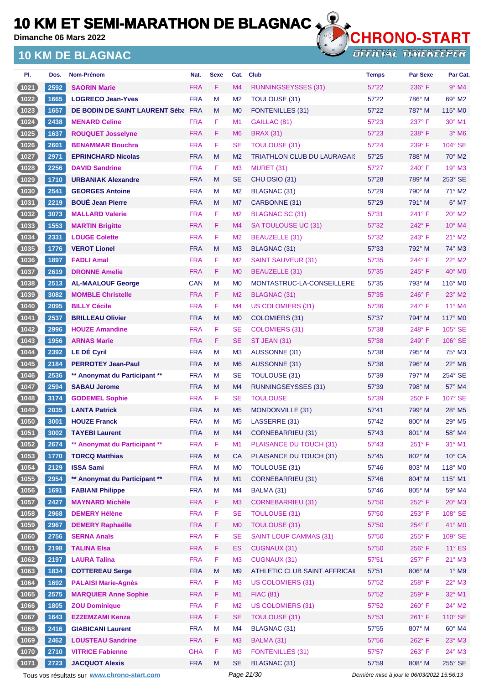**Dimanche 06 Mars 2022**

### **10 KM DE BLAGNAC**



| PI.            | Dos. | Nom-Prénom                                  | Nat.       | <b>Sexe</b> | Cat.           | <b>Club</b>                        | <b>Temps</b>                                | <b>Par Sexe</b> | Par Cat.                  |
|----------------|------|---------------------------------------------|------------|-------------|----------------|------------------------------------|---------------------------------------------|-----------------|---------------------------|
| (1021)         | 2592 | <b>SAORIN Marie</b>                         | <b>FRA</b> | F           | M4             | RUNNINGSEYSSES (31)                | 57'22                                       | $236^\circ$ F   | $9°$ M4                   |
| (1022)         | 1665 | <b>LOGRECO Jean-Yves</b>                    | <b>FRA</b> | M           | M <sub>2</sub> | <b>TOULOUSE (31)</b>               | 57'22                                       | 786° M          | 69° M2                    |
| (1023)         | 1657 | DE BODIN DE SAINT LAURENT Séba FRA          |            | M           | M <sub>0</sub> | <b>FONTENILLES (31)</b>            | 57'22                                       | 787° M          | $115^\circ$ MO            |
| (1024)         | 2438 | <b>MENARD Celine</b>                        | <b>FRA</b> | F           | M1             | GAILLAC (81)                       | 57'23                                       | 237°F           | 30° M1                    |
| (1025)         | 1637 | <b>ROUQUET Josselyne</b>                    | <b>FRA</b> | F           | M <sub>6</sub> | <b>BRAX (31)</b>                   | 57'23                                       | 238°F           | $3°$ M <sub>6</sub>       |
| (1026)         | 2601 | <b>BENAMMAR Bouchra</b>                     | <b>FRA</b> | F           | SE             | <b>TOULOUSE (31)</b>               | 57'24                                       | $239^\circ$ F   | 104° SE                   |
| (1027)         | 2971 | <b>EPRINCHARD Nicolas</b>                   | <b>FRA</b> | M           | M <sub>2</sub> | <b>TRIATHLON CLUB DU LAURAGAIS</b> | 57'25                                       | 788° M          | $70^\circ$ M2             |
| (1028)         | 2256 | <b>DAVID Sandrine</b>                       | <b>FRA</b> | F           | M <sub>3</sub> | MURET (31)                         | 57'27                                       | $240^\circ$ F   | 19° M3                    |
| (1029)         | 1710 | <b>URBANIAK Alexandre</b>                   | <b>FRA</b> | M           | SE             | CHU DSIO (31)                      | 57'28                                       | 789° M          | 253° SE                   |
| (1030)         | 2541 | <b>GEORGES Antoine</b>                      | <b>FRA</b> | M           | M <sub>2</sub> | BLAGNAC (31)                       | 57'29                                       | 790° M          | $71^\circ$ M2             |
| (1031)         | 2219 | <b>BOUÉ Jean Pierre</b>                     | <b>FRA</b> | M           | M7             | CARBONNE (31)                      | 57'29                                       | 791° M          | $6^{\circ}$ M7            |
| (1032)         | 3073 | <b>MALLARD Valerie</b>                      | <b>FRA</b> | F           | M <sub>2</sub> | <b>BLAGNAC SC (31)</b>             | 57'31                                       | 241°F           | $20^\circ$ M2             |
| (1033)         | 1553 | <b>MARTIN Brigitte</b>                      | <b>FRA</b> | F           | M4             | SA TOULOUSE UC (31)                | 57'32                                       | $242^\circ$ F   | 10° M4                    |
| (1034)         | 2331 | <b>LOUGE Colette</b>                        | <b>FRA</b> | F           | M2             | BEAUZELLE (31)                     | 57'32                                       | 243° F          | $21^{\circ}$ M2           |
| (1035)         | 1776 | <b>VEROT Lionel</b>                         | <b>FRA</b> | M           | M <sub>3</sub> | <b>BLAGNAC (31)</b>                | 57'33                                       | 792° M          | $74^\circ$ M3             |
| $(1036)$       | 1897 | <b>FADLI Amal</b>                           | <b>FRA</b> | F           | M <sub>2</sub> | <b>SAINT SAUVEUR (31)</b>          | 57'35                                       | 244°F           | 22° M2                    |
| (1037)         | 2619 | <b>DRONNE Amelie</b>                        | <b>FRA</b> | F           | M <sub>0</sub> | <b>BEAUZELLE (31)</b>              | 57'35                                       | $245^\circ$ F   | $40^\circ$ MO             |
| (1038)         | 2513 | <b>AL-MAALOUF George</b>                    | <b>CAN</b> | M           | M <sub>0</sub> | MONTASTRUC-LA-CONSEILLERE          | 57'35                                       | 793° M          | 116° M0                   |
| (1039)         | 3082 | <b>MOMBLE Christelle</b>                    | <b>FRA</b> | F           | M <sub>2</sub> | BLAGNAC (31)                       | 57'35                                       | $246^\circ$ F   | $23^\circ$ M2             |
| (1040)         | 2095 | <b>BILLY Cécile</b>                         | <b>FRA</b> | F           | M4             | <b>US COLOMIERS (31)</b>           | 57'36                                       | 247°F           | 11° M4                    |
| (1041)         | 2537 | <b>BRILLEAU Olivier</b>                     | <b>FRA</b> | M           | M <sub>0</sub> | <b>COLOMIERS (31)</b>              | 57'37                                       | 794° M          | $117^\circ$ MO            |
| (1042)         | 2996 | <b>HOUZE Amandine</b>                       | <b>FRA</b> | F           | <b>SE</b>      | <b>COLOMIERS (31)</b>              | 57'38                                       | 248°F           | $105^\circ$ SE            |
| (1043)         | 1956 | <b>ARNAS Marie</b>                          | <b>FRA</b> | F           | <b>SE</b>      | ST JEAN (31)                       | 57'38                                       | $249^\circ$ F   | 106° SE                   |
| (1044)         | 2392 | <b>LE DÉ Cyril</b>                          | <b>FRA</b> | M           | M <sub>3</sub> | AUSSONNE (31)                      | 57'38                                       | 795° M          | 75° M3                    |
| (1045)         | 2184 | <b>PERROTEY Jean-Paul</b>                   | <b>FRA</b> | M           | M <sub>6</sub> | AUSSONNE (31)                      | 57'38                                       | 796° M          | $22^{\circ}$ M6           |
| (1046)         | 2536 | ** Anonymat du Participant **               | <b>FRA</b> | M           | SE             | <b>TOULOUSE (31)</b>               | 57'39                                       | 797° M          | 254° SE                   |
| (1047)         | 2594 | <b>SABAU Jerome</b>                         | <b>FRA</b> | M           | M <sub>4</sub> | <b>RUNNINGSEYSSES (31)</b>         | 57'39                                       | 798° M          | 57° M4                    |
| $\boxed{1048}$ | 3174 | <b>GODEMEL Sophie</b>                       | <b>FRA</b> | F           | SE             | <b>TOULOUSE</b>                    | 57'39                                       | $250^\circ$ F   | 107° SE                   |
| (1049          | 2035 | <b>LANTA Patrick</b>                        | <b>FRA</b> | M           | M <sub>5</sub> | MONDONVILLE (31)                   | 57'41                                       | 799° M          | $28^\circ$ M <sub>5</sub> |
| (1050)         | 3001 | <b>HOUZE Franck</b>                         | <b>FRA</b> | M           | M <sub>5</sub> | LASSERRE (31)                      | 57'42                                       | $800^\circ$ M   | $29^\circ$ M <sub>5</sub> |
| (1051)         | 3002 | <b>TAYEBI Laurent</b>                       | <b>FRA</b> | M           | M4             | <b>CORNEBARRIEU (31)</b>           | 57'43                                       | 801° M          | 58° M4                    |
| (1052)         | 2674 | ** Anonymat du Participant **               | <b>FRA</b> | F           | M1             | PLAISANCE DU TOUCH (31)            | 57'43                                       | 251°F           | 31° M1                    |
| (1053)         | 1770 | <b>TORCQ Matthias</b>                       | <b>FRA</b> | M           | <b>CA</b>      | PLAISANCE DU TOUCH (31)            | 57'45                                       | 802° M          | $10^{\circ}$ CA           |
| (1054)         | 2129 | <b>ISSA Sami</b>                            | <b>FRA</b> | M           | M <sub>0</sub> | TOULOUSE (31)                      | 57'46                                       | $803^\circ$ M   | 118° MO                   |
| (1055)         | 2954 | ** Anonymat du Participant **               | <b>FRA</b> | M           | M1             | <b>CORNEBARRIEU (31)</b>           | 57'46                                       | 804° M          | 115° M1                   |
| (1056)         | 1691 | <b>FABIANI Philippe</b>                     | <b>FRA</b> | M           | M4             | BALMA (31)                         | 57'46                                       | 805° M          | 59° M4                    |
| (1057)         | 2427 | <b>MAYNARD Michèle</b>                      | <b>FRA</b> | F           | M <sub>3</sub> | <b>CORNEBARRIEU (31)</b>           | 57'50                                       | 252°F           | $20^\circ$ M3             |
| (1058)         | 2968 | <b>DEMERY Hélène</b>                        | <b>FRA</b> | F           | <b>SE</b>      | <b>TOULOUSE (31)</b>               | 57'50                                       | 253° F          | 108° SE                   |
| (1059)         | 2967 | <b>DEMERY Raphaëlle</b>                     | <b>FRA</b> | F           | M <sub>0</sub> | <b>TOULOUSE (31)</b>               | 57'50                                       | 254°F           | 41° MO                    |
| (1060)         | 2756 | <b>SERNA Anaïs</b>                          | <b>FRA</b> | F           | <b>SE</b>      | <b>SAINT LOUP CAMMAS (31)</b>      | 57'50                                       | 255°F           | 109° SE                   |
| (1061)         | 2198 | <b>TALINA Elsa</b>                          | <b>FRA</b> | F           | <b>ES</b>      | <b>CUGNAUX (31)</b>                | 57'50                                       | 256°F           | $11^{\circ}$ ES           |
| (1062)         | 2197 | <b>LAURA Talina</b>                         | <b>FRA</b> | F           | M <sub>3</sub> | <b>CUGNAUX (31)</b>                | 57'51                                       | 257°F           | $21^{\circ}$ M3           |
| (1063)         | 1834 | <b>COTTEREAU Serge</b>                      | <b>FRA</b> | ${\sf M}$   | M <sub>9</sub> | ATHLETIC CLUB SAINT AFFRICAII      | 57'51                                       | 806° M          | $1^\circ$ M9              |
| (1064)         | 1692 | <b>PALAISI Marie-Agnès</b>                  | <b>FRA</b> | F           | M <sub>3</sub> | <b>US COLOMIERS (31)</b>           | 57'52                                       | 258°F           | 22° M3                    |
| (1065)         | 2575 | <b>MARQUIER Anne Sophie</b>                 | <b>FRA</b> | F           | M1             | <b>FIAC (81)</b>                   | 57'52                                       | 259°F           | 32° M1                    |
| (1066)         | 1805 | <b>ZOU Dominique</b>                        | <b>FRA</b> | F           | M <sub>2</sub> | <b>US COLOMIERS (31)</b>           | 57'52                                       | $260^\circ$ F   | 24° M2                    |
| (1067)         | 1643 | <b>EZZEMZAMI Kenza</b>                      | <b>FRA</b> | F           | <b>SE</b>      | <b>TOULOUSE (31)</b>               | 57'53                                       | $261^\circ$ F   | 110° SE                   |
| (1068)         | 2416 | <b>GIABICANI Laurent</b>                    | <b>FRA</b> | M           | M4             | BLAGNAC (31)                       | 57'55                                       | 807° M          | 60° M4                    |
| (1069)         | 2462 | <b>LOUSTEAU Sandrine</b>                    | <b>FRA</b> | F           | M <sub>3</sub> | BALMA (31)                         | 57'56                                       | 262°F           | 23° M3                    |
| (1070)         | 2710 | <b>VITRICE Fabienne</b>                     | <b>GHA</b> | F           | M <sub>3</sub> | <b>FONTENILLES (31)</b>            | 57'57                                       | $263^\circ$ F   | 24° M3                    |
| (1071)         | 2723 | <b>JACQUOT Alexis</b>                       | <b>FRA</b> | M           | <b>SE</b>      | BLAGNAC (31)                       | 57'59                                       | 808° M          | 255° SE                   |
|                |      | Tous vos résultats sur www.chrono-start.com |            |             | Page 21/30     |                                    | Dernière mise à jour le 06/03/2022 15:56:13 |                 |                           |
|                |      |                                             |            |             |                |                                    |                                             |                 |                           |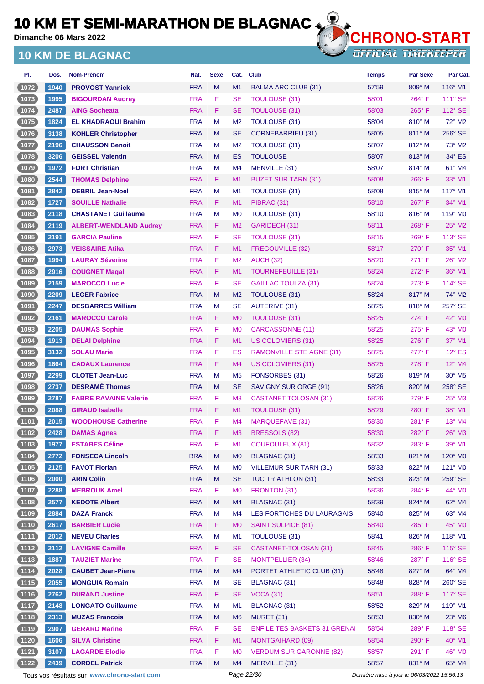**Dimanche 06 Mars 2022**

## **10 KM DE BLAGNAC**



| PI.            | Dos.                 | Nom-Prénom                    | Nat.       | <b>Sexe</b> | Cat.           | <b>Club</b>                         | <b>Temps</b> | <b>Par Sexe</b> | Par Cat.                  |
|----------------|----------------------|-------------------------------|------------|-------------|----------------|-------------------------------------|--------------|-----------------|---------------------------|
| (1072)         | 1940                 | <b>PROVOST Yannick</b>        | <b>FRA</b> | M           | M1             | <b>BALMA ARC CLUB (31)</b>          | 57'59        | 809° M          | 116° M1                   |
| (1073)         | 1995                 | <b>BIGOURDAN Audrey</b>       | <b>FRA</b> | F           | SE             | <b>TOULOUSE (31)</b>                | 58'01        | 264°F           | 111° SE                   |
| (1074)         | 2487                 | <b>AING Socheata</b>          | <b>FRA</b> | F.          | <b>SE</b>      | <b>TOULOUSE (31)</b>                | 58'03        | $265^{\circ}$ F | 112° SE                   |
| (1075)         | 1824                 | <b>EL KHADRAOUI Brahim</b>    | <b>FRA</b> | M           | M <sub>2</sub> | TOULOUSE (31)                       | 58'04        | $810^\circ$ M   | 72° M2                    |
| (1076)         | 3138                 | <b>KOHLER Christopher</b>     | <b>FRA</b> | M           | <b>SE</b>      | <b>CORNEBARRIEU (31)</b>            | 58'05        | 811° M          | 256° SE                   |
| $1077$         | 2196                 | <b>CHAUSSON Benoit</b>        | <b>FRA</b> | M           | M <sub>2</sub> | TOULOUSE (31)                       | 58'07        | $812^\circ$ M   | $73^\circ$ M2             |
| (1078)         | 3206                 | <b>GEISSEL Valentin</b>       | <b>FRA</b> | M           | <b>ES</b>      | <b>TOULOUSE</b>                     | 58'07        | 813° M          | 34° ES                    |
| 1079           | 1972                 | <b>FORT Christian</b>         | <b>FRA</b> | M           | M4             | MENVILLE (31)                       | 58'07        | 814° M          | 61° M4                    |
| (1080)         | 2544                 | <b>THOMAS Delphine</b>        | <b>FRA</b> | F.          | M1             | <b>BUZET SUR TARN (31)</b>          | 58'08        | $266^\circ$ F   | 33° M1                    |
| (1081)         | 2842                 | <b>DEBRIL Jean-Noel</b>       | <b>FRA</b> | M           | M1             | TOULOUSE (31)                       | 58'08        | 815° M          | $117^\circ$ M1            |
| (1082)         | 1727                 | <b>SOUILLE Nathalie</b>       | <b>FRA</b> | F.          | M1             | PIBRAC (31)                         | 58'10        | $267^\circ$ F   | $34^\circ$ M1             |
| $\boxed{1083}$ | 2118                 | <b>CHASTANET Guillaume</b>    | <b>FRA</b> | M           | M <sub>0</sub> | TOULOUSE (31)                       | 58'10        | 816° M          | $119^\circ$ MO            |
| (1084)         | 2119                 | <b>ALBERT-WENDLAND Audrey</b> | <b>FRA</b> | F.          | M <sub>2</sub> | GARIDECH (31)                       | 58'11        | $268^\circ$ F   | $25^\circ$ M2             |
| (1085)         | 2191                 | <b>GARCIA Pauline</b>         | <b>FRA</b> | F           | SE             | <b>TOULOUSE (31)</b>                | 58'15        | 269°F           | 113° SE                   |
| (1086)         | 2973                 | <b>VEISSAIRE Atika</b>        | <b>FRA</b> | F.          | M1             | FREGOUVILLE (32)                    | 58'17        | $270^\circ$ F   | 35° M1                    |
| (1087)         | 1994                 | <b>LAURAY Séverine</b>        | <b>FRA</b> | F.          | M <sub>2</sub> | <b>AUCH (32)</b>                    | 58'20        | $271^\circ$ F   | 26° M2                    |
| (1088)         | 2916                 | <b>COUGNET Magali</b>         | <b>FRA</b> | F.          | M1             | <b>TOURNEFEUILLE (31)</b>           | 58'24        | $272^{\circ}$ F | 36° M1                    |
| 1089           | 2159                 | <b>MAROCCO Lucie</b>          | <b>FRA</b> | F.          | SE             | <b>GAILLAC TOULZA (31)</b>          | 58'24        | 273° F          | $114^\circ$ SE            |
| (1090)         | 2209                 | <b>LEGER Fabrice</b>          | <b>FRA</b> | M           | M <sub>2</sub> | <b>TOULOUSE (31)</b>                | 58'24        | $817^\circ$ M   | 74° M2                    |
| (1091)         | 2247                 | <b>DESBARRES William</b>      | <b>FRA</b> | M           | SE             | <b>AUTERIVE (31)</b>                | 58'25        | $818^\circ$ M   | $257^\circ$ SE            |
| (1092)         | 2161                 | <b>MAROCCO Carole</b>         | <b>FRA</b> | F.          | M <sub>0</sub> | TOULOUSE (31)                       | 58'25        | $274^\circ$ F   | 42° M <sub>0</sub>        |
| (1093)         | 2205                 | <b>DAUMAS Sophie</b>          | <b>FRA</b> | F           | M <sub>0</sub> | CARCASSONNE (11)                    | 58'25        | $275^{\circ}$ F | 43° MO                    |
| (1094)         | 1913                 | <b>DELAI Delphine</b>         | <b>FRA</b> | F.          | M1             | <b>US COLOMIERS (31)</b>            | 58'25        | $276^\circ$ F   | $37^\circ$ M1             |
| (1095)         | 3132                 | <b>SOLAU Marie</b>            | <b>FRA</b> | F           | ES             | <b>RAMONVILLE STE AGNE (31)</b>     | 58'25        | $277^\circ$ F   | $12^\circ$ ES             |
| (1096          | 1664                 | <b>CADAUX Laurence</b>        | <b>FRA</b> | F.          | M4             | <b>US COLOMIERS (31)</b>            | 58'25        | $278^\circ$ F   | 12° M4                    |
| (1097)         | 2299                 | <b>CLOTET Jean-Luc</b>        | <b>FRA</b> | M           | M <sub>5</sub> | FONSORBES (31)                      | 58'26        | 819° M          | $30^\circ$ M <sub>5</sub> |
| (1098)         | 2737                 | <b>DESRAMÉ Thomas</b>         | <b>FRA</b> | M           | <b>SE</b>      | SAVIGNY SUR ORGE (91)               | 58'26        | 820° M          | 258° SE                   |
| (1099)         | 2787                 | <b>FABRE RAVAINE Valerie</b>  | <b>FRA</b> | F.          | M <sub>3</sub> | CASTANET TOLOSAN (31)               | 58'26        | $279^\circ$ F   | $25^\circ$ M3             |
| (1100)         | 2088                 | <b>GIRAUD Isabelle</b>        | <b>FRA</b> | F.          | M1             | TOULOUSE (31)                       | 58'29        | $280^\circ$ F   | 38° M1                    |
| (1101          | 2015                 | <b>WOODHOUSE Catherine</b>    | <b>FRA</b> | F           | M <sub>4</sub> | <b>MARQUEFAVE (31)</b>              | 58'30        | 281°F           | $13^\circ$ M4             |
| $(1102)$       | $\vert$ 2428 $\vert$ | <b>DAMAS Agnes</b>            | <b>FRA</b> | F           | M <sub>3</sub> | BRESSOLS (82)                       | 58'30        | 282°F           | $26^{\circ}$ M3           |
| (1103)         | 1977                 | <b>ESTABES Céline</b>         | <b>FRA</b> | F           | M1             | <b>COUFOULEUX (81)</b>              | 58'32        | 283° F          | 39° M1                    |
| (1104)         | 2772                 | <b>FONSECA Lincoln</b>        | <b>BRA</b> | M           | <b>MO</b>      | <b>BLAGNAC (31)</b>                 | 58'33        | 821° M          | 120° M0                   |
| (1105)         | 2125                 | <b>FAVOT Florian</b>          | <b>FRA</b> | M           | M <sub>0</sub> | <b>VILLEMUR SUR TARN (31)</b>       | 58'33        | 822° M          | 121° M0                   |
| (1106)         | 2000                 | <b>ARIN Colin</b>             | <b>FRA</b> | M           | SE             | TUC TRIATHLON (31)                  | 58'33        | $823^\circ$ M   | $259^{\circ}$ SE          |
| (1107)         | 2288                 | <b>MEBROUK Amel</b>           | <b>FRA</b> | F           | M <sub>0</sub> | FRONTON (31)                        | 58'36        | 284°F           | 44° MO                    |
| (1108)         | 2577                 | <b>KEDOTE Albert</b>          | <b>FRA</b> | M           | M4             | BLAGNAC (31)                        | 58'39        | $824^\circ$ M   | 62° M4                    |
| (1109)         | 2884                 | <b>DAZA Franck</b>            | <b>FRA</b> | M           | M <sub>4</sub> | LES FORTICHES DU LAURAGAIS          | 58'40        | 825° M          | 63° M4                    |
| (1110)         | 2617                 | <b>BARBIER Lucie</b>          | <b>FRA</b> | F.          | M <sub>0</sub> | <b>SAINT SULPICE (81)</b>           | 58'40        | 285°F           | 45° MO                    |
| (1111)         | 2012                 | <b>NEVEU Charles</b>          | <b>FRA</b> | M           | M1             | TOULOUSE (31)                       | 58'41        | 826° M          | 118° M1                   |
| (1112)         | 2112                 | <b>LAVIGNE Camille</b>        | <b>FRA</b> | F.          | <b>SE</b>      | CASTANET-TOLOSAN (31)               | 58'45        | 286°F           | 115° SE                   |
| (1113)         | 1887                 | <b>TAUZIET Marine</b>         | <b>FRA</b> | F.          | <b>SE</b>      | <b>MONTPELLIER (34)</b>             | 58'46        | 287°F           | $116^\circ$ SE            |
| (1114)         | 2028                 | <b>CAUBET Jean-Pierre</b>     | <b>FRA</b> | M           | M4             | PORTET ATHLETIC CLUB (31)           | 58'48        | $827^\circ$ M   | 64° M4                    |
| (1115)         | 2055                 | <b>MONGUIA Romain</b>         | <b>FRA</b> | M           | <b>SE</b>      | <b>BLAGNAC (31)</b>                 | 58'48        | 828° M          | 260° SE                   |
| (1116)         | 2762                 | <b>DURAND Justine</b>         | <b>FRA</b> | F.          | <b>SE</b>      | <b>VOCA (31)</b>                    | 58'51        | 288°F           | 117° SE                   |
| (1117)         | 2148                 | <b>LONGATO Guillaume</b>      | <b>FRA</b> | M           | M1             | <b>BLAGNAC (31)</b>                 | 58'52        | $829^\circ$ M   | 119° M1                   |
| (1118)         | 2313                 | <b>MUZAS Francois</b>         | <b>FRA</b> | M           | M <sub>6</sub> | <b>MURET (31)</b>                   | 58'53        | 830° M          | $23^\circ$ M6             |
| (1119)         | 2907                 | <b>GERARD Marine</b>          | <b>FRA</b> | F           | <b>SE</b>      | <b>ENFILE TES BASKETS 31 GRENAI</b> | 58'54        | 289°F           | $118^\circ$ SE            |
| (1120)         | 1606                 | <b>SILVA Christine</b>        | <b>FRA</b> | F.          | M1             | <b>MONTGAIHARD (09)</b>             | 58'54        | 290°F           | 40° M1                    |
| (1121)         | 3107                 | <b>LAGARDE Elodie</b>         | <b>FRA</b> | F.          | M <sub>0</sub> | <b>VERDUM SUR GARONNE (82)</b>      | 58'57        | 291°F           | 46° M0                    |
| (1122)         | 2439                 | <b>CORDEL Patrick</b>         | <b>FRA</b> | M           | M4             | MERVILLE (31)                       | 58'57        | 831° M          | 65° M4                    |

Tous vos résultats sur **[www.chrono-start.com](https://www.chrono-start.com/)** Page 22/30 Page 22/30 Dernière mise à jour le 06/03/2022 15:56:13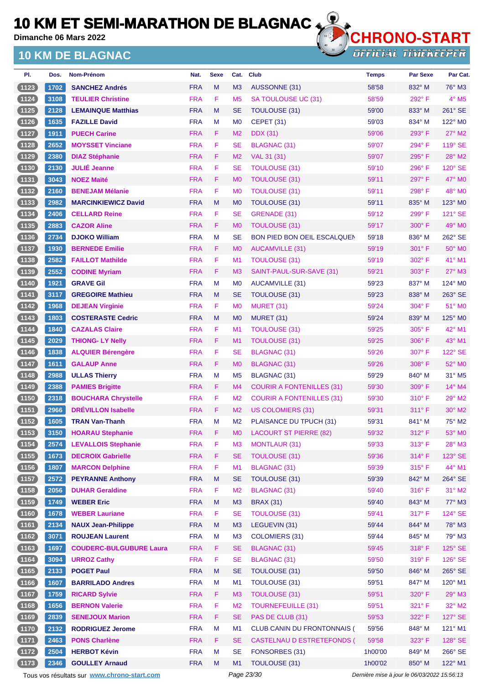**Dimanche 06 Mars 2022**

### **10 KM DE BLAGNAC**



**OFFICIAL TIMEKEEPER** 

| PI.      | Dos. | Nom-Prénom                     | Nat.       | <b>Sexe</b> | Cat.           | <b>Club</b>                        | <b>Temps</b> | <b>Par Sexe</b> | Par Cat.                 |
|----------|------|--------------------------------|------------|-------------|----------------|------------------------------------|--------------|-----------------|--------------------------|
| (1123)   | 1702 | <b>SANCHEZ Andrés</b>          | <b>FRA</b> | M           | M <sub>3</sub> | AUSSONNE (31)                      | 58'58        | 832° M          | 76° M3                   |
| (1124)   | 3108 | <b>TEULIER Christine</b>       | <b>FRA</b> | F           | M <sub>5</sub> | SA TOULOUSE UC (31)                | 58'59        | 292°F           | $4^\circ$ M <sub>5</sub> |
| (1125)   | 2128 | <b>LEMAINQUE Matthias</b>      | <b>FRA</b> | M           | <b>SE</b>      | <b>TOULOUSE (31)</b>               | 59'00        | $833^\circ$ M   | 261° SE                  |
| (1126)   | 1635 | <b>FAZILLE David</b>           | <b>FRA</b> | M           | M <sub>0</sub> | CEPET (31)                         | 59'03        | 834° M          | 122° MO                  |
| (1127)   | 1911 | <b>PUECH Carine</b>            | <b>FRA</b> | F.          | M <sub>2</sub> | <b>DDX</b> (31)                    | 59'06        | 293° F          | 27° M2                   |
| (1128)   | 2652 | <b>MOYSSET Vinciane</b>        | <b>FRA</b> | F           | <b>SE</b>      | <b>BLAGNAC (31)</b>                | 59'07        | 294°F           | 119° SE                  |
| (1129)   | 2380 | <b>DIAZ Stéphanie</b>          | <b>FRA</b> | F           | M <sub>2</sub> | VAL 31 (31)                        | 59'07        | 295°F           | 28° M2                   |
| (1130)   | 2130 | <b>JULIÉ Jeanne</b>            | <b>FRA</b> | F           | <b>SE</b>      | <b>TOULOUSE (31)</b>               | 59'10        | 296°F           | 120° SE                  |
| (1131)   | 3043 | <b>NOEZ Maïté</b>              | <b>FRA</b> | F           | M <sub>0</sub> | <b>TOULOUSE (31)</b>               | 59'11        | 297°F           | 47° MO                   |
| (1132)   | 2160 | <b>BENEJAM Mélanie</b>         | <b>FRA</b> | F           | M <sub>0</sub> | TOULOUSE (31)                      | 59'11        | 298°F           | 48° MO                   |
| (1133)   | 2982 | <b>MARCINKIEWICZ David</b>     | <b>FRA</b> | M           | M <sub>0</sub> | <b>TOULOUSE (31)</b>               | 59'11        | 835° M          | $123^\circ$ MO           |
| (1134)   | 2406 | <b>CELLARD Reine</b>           | <b>FRA</b> | F           | <b>SE</b>      | GRENADE (31)                       | 59'12        | 299°F           | 121° SE                  |
| (1135)   | 2883 | <b>CAZOR Aline</b>             | <b>FRA</b> | F           | M <sub>0</sub> | TOULOUSE (31)                      | 59'17        | $300^\circ$ F   | $49^\circ$ MO            |
| (1136)   | 2734 | <b>DJOKO William</b>           | <b>FRA</b> | M           | <b>SE</b>      | <b>BON PIED BON OEIL ESCALQUEN</b> | 59'18        | 836° M          | 262° SE                  |
| (1137)   | 1930 | <b>BERNEDE Emilie</b>          | <b>FRA</b> | F           | M <sub>0</sub> | <b>AUCAMVILLE (31)</b>             | 59'19        | $301^\circ$ F   | 50° MO                   |
| (1138)   | 2582 | <b>FAILLOT Mathilde</b>        | <b>FRA</b> | F           | M1             | <b>TOULOUSE (31)</b>               | 59'19        | 302° F          | 41° M1                   |
| (1139)   | 2552 | <b>CODINE Myriam</b>           | <b>FRA</b> | F           | M <sub>3</sub> | SAINT-PAUL-SUR-SAVE (31)           | 59'21        | $303^\circ$ F   | $27^\circ$ M3            |
| (1140)   | 1921 | <b>GRAVE Gil</b>               | <b>FRA</b> | м           | M <sub>0</sub> | <b>AUCAMVILLE (31)</b>             | 59'23        | 837° M          | 124° M0                  |
| (1141)   | 3117 | <b>GREGOIRE Mathieu</b>        | <b>FRA</b> | M           | <b>SE</b>      | TOULOUSE (31)                      | 59'23        | $838^\circ$ M   | 263° SE                  |
| (1142)   | 1968 | <b>DEJEAN Virginie</b>         | <b>FRA</b> | F           | M <sub>0</sub> | <b>MURET (31)</b>                  | 59'24        | 304° F          | $51^\circ$ MO            |
| (1143)   | 1803 | <b>COSTERASTE Cedric</b>       | <b>FRA</b> | M           | M <sub>0</sub> | MURET (31)                         | 59'24        | 839° M          | 125° MO                  |
| (1144)   | 1840 | <b>CAZALAS Claire</b>          | <b>FRA</b> | F           | M <sub>1</sub> | TOULOUSE (31)                      | 59'25        | $305^{\circ}$ F | 42° M1                   |
| (1145)   | 2029 | <b>THIONG-LY Nelly</b>         | <b>FRA</b> | F           | M1             | <b>TOULOUSE (31)</b>               | 59'25        | $306^\circ$ F   | 43° M1                   |
| (1146)   | 1838 | <b>ALQUIER Bérengère</b>       | <b>FRA</b> | F           | <b>SE</b>      | <b>BLAGNAC (31)</b>                | 59'26        | 307°F           | 122° SE                  |
| (1147)   | 1611 | <b>GALAUP Anne</b>             | <b>FRA</b> | F           | M <sub>0</sub> | <b>BLAGNAC (31)</b>                | 59'26        | 308°F           | 52° MO                   |
| (1148)   | 2988 | <b>ULLAS Thierry</b>           | <b>FRA</b> | M           | M <sub>5</sub> | BLAGNAC (31)                       | 59'29        | 840° M          | 31° M5                   |
| (1149)   | 2388 | <b>PAMIES Brigitte</b>         | <b>FRA</b> | F.          | M4             | <b>COURIR A FONTENILLES (31)</b>   | 59'30        | $309^\circ$ F   | $14^{\circ}$ M4          |
| (1150)   | 2318 | <b>BOUCHARA Chrystelle</b>     | <b>FRA</b> | F           | M <sub>2</sub> | <b>COURIR A FONTENILLES (31)</b>   | 59'30        | $310^\circ$ F   | 29° M2                   |
| (1151)   | 2966 | <b>DRÉVILLON Isabelle</b>      | <b>FRA</b> | F           | M <sub>2</sub> | US COLOMIERS (31)                  | 59'31        | $311^{\circ}$ F | $30^\circ$ M2            |
| (1152)   | 1605 | <b>TRAN Van-Thanh</b>          | <b>FRA</b> | M           | M <sub>2</sub> | PLAISANCE DU TPUCH (31)            | 59'31        | 841° M          | 75° M2                   |
| (1153)   | 3150 | <b>HOARAU Stephanie</b>        | <b>FRA</b> | F           | <b>MO</b>      | <b>LACOURT ST PIERRE (82)</b>      | 59'32        | 312° F          | 53° MO                   |
| (1154)   | 2574 | <b>LEVALLOIS Stephanie</b>     | <b>FRA</b> | F           | M <sub>3</sub> | <b>MONTLAUR (31)</b>               | 59'33        | 313° F          | 28° M3                   |
| (1155)   | 1673 | <b>DECROIX Gabrielle</b>       | <b>FRA</b> | F           | <b>SE</b>      | <b>TOULOUSE (31)</b>               | 59'36        | 314°F           | 123° SE                  |
| (1156)   | 1807 | <b>MARCON Delphine</b>         | <b>FRA</b> | F           | M1             | BLAGNAC (31)                       | 59'39        | 315°F           | 44° M1                   |
| (1157)   | 2572 | <b>PEYRANNE Anthony</b>        | <b>FRA</b> | ${\sf M}$   | <b>SE</b>      | <b>TOULOUSE (31)</b>               | 59'39        | 842° M          | 264° SE                  |
| (1158)   | 2056 | <b>DUHAR Geraldine</b>         | <b>FRA</b> | F           | M <sub>2</sub> | <b>BLAGNAC (31)</b>                | 59'40        | 316°F           | $31^\circ$ M2            |
| (1159)   | 1749 | <b>WEBER Eric</b>              | <b>FRA</b> | ${\sf M}$   | M <sub>3</sub> | <b>BRAX (31)</b>                   | 59'40        | 843° M          | 77° M3                   |
| (1160)   | 1678 | <b>WEBER Lauriane</b>          | <b>FRA</b> | F           | <b>SE</b>      | <b>TOULOUSE (31)</b>               | 59'41        | $317^\circ$ F   | 124° SE                  |
| (1161)   | 2134 | <b>NAUX Jean-Philippe</b>      | <b>FRA</b> | ${\sf M}$   | M <sub>3</sub> | LEGUEVIN (31)                      | 59'44        | 844° M          | 78° M3                   |
| (1162)   | 3071 | <b>ROUJEAN Laurent</b>         | <b>FRA</b> | M           | M3             | <b>COLOMIERS (31)</b>              | 59'44        | 845° M          | 79° M3                   |
| (1163)   | 1697 | <b>COUDERC-BULGUBURE Laura</b> | <b>FRA</b> | F           | <b>SE</b>      | <b>BLAGNAC (31)</b>                | 59'45        | 318°F           | 125° SE                  |
| (1164)   | 3094 | <b>URROZ Cathy</b>             | <b>FRA</b> | F           | <b>SE</b>      | BLAGNAC (31)                       | 59'50        | 319°F           | 126° SE                  |
| (1165)   | 2133 | <b>POGET Paul</b>              | <b>FRA</b> | ${\sf M}$   | <b>SE</b>      | <b>TOULOUSE (31)</b>               | 59'50        | 846° M          | 265° SE                  |
|          |      |                                |            |             |                |                                    |              |                 |                          |
| (1166)   | 1607 | <b>BARRILADO Andres</b>        | <b>FRA</b> | M           | M1             | TOULOUSE (31)                      | 59'51        | 847° M          | 120° M1                  |
| (1167)   | 1759 | <b>RICARD Sylvie</b>           | <b>FRA</b> | F           | M <sub>3</sub> | <b>TOULOUSE (31)</b>               | 59'51        | 320° F          | 29° M3                   |
| (1168)   | 1656 | <b>BERNON Valerie</b>          | <b>FRA</b> | F           | M <sub>2</sub> | <b>TOURNEFEUILLE (31)</b>          | 59'51        | 321° F          | 32° M2                   |
| (1169)   | 2839 | <b>SENEJOUX Marion</b>         | <b>FRA</b> | F           | <b>SE</b>      | PAS DE CLUB (31)                   | 59'53        | 322° F          | 127° SE                  |
| (1170)   | 2132 | <b>RODRIGUEZ Jerome</b>        | <b>FRA</b> | M           | M1             | <b>CLUB CANIN DU FRONTONNAIS (</b> | 59'56        | 848° M          | 121° M1                  |
| (1171)   | 2463 | <b>PONS Charlène</b>           | <b>FRA</b> | F           | <b>SE</b>      | CASTELNAU D ESTRETEFONDS (         | 59'58        | 323° F          | 128° SE                  |
| $(1172)$ | 2504 | <b>HERBOT Kévin</b>            | <b>FRA</b> | M           | <b>SE</b>      | FONSORBES (31)                     | 1h00'00      | 849° M          | 266° SE                  |
| (1173)   | 2346 | <b>GOULLEY Arnaud</b>          | <b>FRA</b> | M           | M1             | TOULOUSE (31)                      | 1h00'02      | 850° M          | 122° M1                  |

Tous vos résultats sur **[www.chrono-start.com](https://www.chrono-start.com/)** Page 23/30 Page 23/30 Dernière mise à jour le 06/03/2022 15:56:13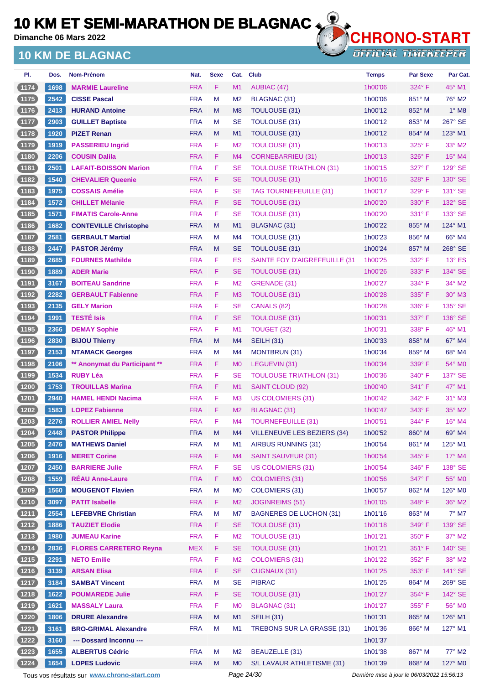**Dimanche 06 Mars 2022**

## **10 KM DE BLAGNAC**



**OFFICIAL TIMEKEEPER** 

| PI.    | Dos. | <b>Nom-Prénom</b>             | Nat.       | <b>Sexe</b> | Cat.           | <b>Club</b>                          | <b>Temps</b> | <b>Par Sexe</b> | Par Cat.        |
|--------|------|-------------------------------|------------|-------------|----------------|--------------------------------------|--------------|-----------------|-----------------|
| (1174) | 1698 | <b>MARMIE Laureline</b>       | <b>FRA</b> | F           | M1             | AUBIAC (47)                          | 1h00'06      | 324° F          | 45° M1          |
| $1175$ | 2542 | <b>CISSE Pascal</b>           | <b>FRA</b> | M           | M <sub>2</sub> | BLAGNAC (31)                         | 1h00'06      | $851^\circ$ M   | 76° M2          |
| $1176$ | 2413 | <b>HURAND Antoine</b>         | <b>FRA</b> | M           | M <sub>8</sub> | <b>TOULOUSE (31)</b>                 | 1h00'12      | 852° M          | $1^\circ$ M8    |
| $1177$ | 2903 | <b>GUILLET Baptiste</b>       | <b>FRA</b> | M           | <b>SE</b>      | <b>TOULOUSE (31)</b>                 | 1h00'12      | 853° M          | 267° SE         |
| (1178) | 1920 | <b>PIZET Renan</b>            | <b>FRA</b> | M           | M1             | TOULOUSE (31)                        | 1h00'12      | $854^\circ$ M   | 123° M1         |
| (1179  | 1919 | <b>PASSERIEU Ingrid</b>       | <b>FRA</b> | F           | M <sub>2</sub> | <b>TOULOUSE (31)</b>                 | 1h00'13      | 325° F          | 33° M2          |
| (1180) | 2206 | <b>COUSIN Dalila</b>          | <b>FRA</b> | F           | M4             | <b>CORNEBARRIEU (31)</b>             | 1h00'13      | 326°F           | $15^{\circ}$ M4 |
| (1181) | 2501 | <b>LAFAIT-BOISSON Marion</b>  | <b>FRA</b> | F           | <b>SE</b>      | <b>TOULOUSE TRIATHLON (31)</b>       | 1h00'15      | 327°F           | 129° SE         |
| (1182  | 1540 | <b>CHEVALIER Queenie</b>      | <b>FRA</b> | F           | <b>SE</b>      | <b>TOULOUSE (31)</b>                 | 1h00'16      | $328^\circ$ F   | 130° SE         |
| (1183) | 1975 | <b>COSSAIS Amélie</b>         | <b>FRA</b> | F           | <b>SE</b>      | <b>TAG TOURNEFEUILLE (31)</b>        | 1h00'17      | 329° F          | 131° SE         |
| (1184) | 1572 | <b>CHILLET Mélanie</b>        | <b>FRA</b> | F           | <b>SE</b>      | TOULOUSE (31)                        | 1h00'20      | $330^\circ$ F   | $132^\circ$ SE  |
| (1185) | 1571 | <b>FIMATIS Carole-Anne</b>    | <b>FRA</b> | F           | <b>SE</b>      | TOULOUSE (31)                        | 1h00'20      | $331^\circ$ F   | 133° SE         |
| (1186) | 1682 | <b>CONTEVILLE Christophe</b>  | <b>FRA</b> | M           | M1             | BLAGNAC (31)                         | 1h00'22      | $855^\circ$ M   | 124° M1         |
| $1187$ | 2581 | <b>GERBAULT Martial</b>       | <b>FRA</b> | M           | M4             | <b>TOULOUSE (31)</b>                 | 1h00'23      | 856° M          | 66° M4          |
| (1188) | 2447 | <b>PASTOR Jérémy</b>          | <b>FRA</b> | M           | <b>SE</b>      | TOULOUSE (31)                        | 1h00'24      | 857° M          | 268° SE         |
| (1189) | 2685 | <b>FOURNES Mathilde</b>       | <b>FRA</b> | F           | ES             | <b>SAINTE FOY D'AIGREFEUILLE (31</b> | 1h00'25      | 332° F          | $13^\circ$ ES   |
| (1190  | 1889 | <b>ADER Marie</b>             | <b>FRA</b> | F           | <b>SE</b>      | <b>TOULOUSE (31)</b>                 | 1h00'26      | 333° F          | 134° SE         |
| 1191   | 3167 | <b>BOITEAU Sandrine</b>       | <b>FRA</b> | F           | M <sub>2</sub> | GRENADE (31)                         | 1h00'27      | 334°F           | $34^\circ$ M2   |
| (1192) | 2282 | <b>GERBAULT Fabienne</b>      | <b>FRA</b> | F           | M <sub>3</sub> | <b>TOULOUSE (31)</b>                 | 1h00'28      | $335^\circ$ F   | $30^\circ$ M3   |
| (1193) | 2135 | <b>GELY Marion</b>            | <b>FRA</b> | F           | <b>SE</b>      | CANALS (82)                          | 1h00'28      | $336^\circ$ F   | 135° SE         |
| (1194) | 1991 | <b>TESTÉ Isis</b>             | <b>FRA</b> | F.          | <b>SE</b>      | TOULOUSE (31)                        | 1h00'31      | 337° F          | 136° SE         |
| (1195) | 2366 | <b>DEMAY Sophie</b>           | <b>FRA</b> | F           | M <sub>1</sub> | TOUGET (32)                          | 1h00'31      | $338^\circ$ F   | 46° M1          |
| (1196) | 2830 | <b>BIJOU Thierry</b>          | <b>FRA</b> | M           | M4             | <b>SEILH (31)</b>                    | 1h00'33      | 858° M          | $67^\circ$ M4   |
| $1197$ | 2153 | <b>NTAMACK Georges</b>        | <b>FRA</b> | M           | M4             | MONTBRUN (31)                        | 1h00'34      | 859° M          | 68° M4          |
| (1198) | 2106 | ** Anonymat du Participant ** | <b>FRA</b> | F.          | M <sub>0</sub> | LEGUEVIN (31)                        | 1h00'34      | $339^\circ$ F   | $54^\circ$ MO   |
| $1199$ | 1534 | <b>RUBY Léa</b>               | <b>FRA</b> | F           | <b>SE</b>      | <b>TOULOUSE TRIATHLON (31)</b>       | 1h00'36      | 340° F          | 137° SE         |
| (1200) | 1753 | <b>TROUILLAS Marina</b>       | <b>FRA</b> | F.          | M1             | SAINT CLOUD (92)                     | 1h00'40      | 341° F          | $47^\circ$ M1   |
| (1201  | 2940 | <b>HAMEL HENDI Nacima</b>     | <b>FRA</b> | F           | M <sub>3</sub> | US COLOMIERS (31)                    | 1h00'42      | 342° F          | 31° M3          |
| (1202) | 1583 | <b>LOPEZ Fabienne</b>         | <b>FRA</b> | F.          | M <sub>2</sub> | BLAGNAC (31)                         | 1h00'47      | $343^\circ$ F   | $35^\circ$ M2   |
| 1203   | 2276 | <b>ROLLIER AMIEL Nelly</b>    | <b>FRA</b> | F           | M4             | <b>TOURNEFEUILLE (31)</b>            | 1h00'51      | 344°F           | $16^{\circ}$ M4 |
| (1204) | 2448 | <b>PASTOR Philippe</b>        | <b>FRA</b> | M           | M4             | <b>VILLENEUVE LES BEZIERS (34)</b>   | 1h00'52      | 860° M          | 69° M4          |
| (1205) | 2476 | <b>MATHEWS Daniel</b>         | <b>FRA</b> | M           | M1             | AIRBUS RUNNING (31)                  | 1h00'54      | 861° M          | $125^\circ$ M1  |
| (1206) | 1916 | <b>MERET Corine</b>           | <b>FRA</b> | F.          | M4             | <b>SAINT SAUVEUR (31)</b>            | 1h00'54      | 345° F          | 17° M4          |
| $1207$ | 2450 | <b>BARRIERE Julie</b>         | <b>FRA</b> | F           | <b>SE</b>      | <b>US COLOMIERS (31)</b>             | 1h00'54      | $346^\circ$ F   | 138° SE         |
| (1208) | 1559 | <b>RÉAU Anne-Laure</b>        | <b>FRA</b> | F           | M <sub>0</sub> | <b>COLOMIERS (31)</b>                | 1h00'56      | $347^\circ$ F   | 55° MO          |
| (1209) | 1560 | <b>MOUGENOT Flavien</b>       | <b>FRA</b> | M           | M <sub>0</sub> | <b>COLOMIERS (31)</b>                | 1h00'57      | 862° M          | 126° MO         |
| (1210) | 3097 | <b>PATIT Isabelle</b>         | <b>FRA</b> | F           | M <sub>2</sub> | <b>JOGINREIMS (51)</b>               | 1h01'05      | 348°F           | 36° M2          |
| (1211) | 2554 | <b>LEFEBVRE Christian</b>     | <b>FRA</b> | M           | M7             | <b>BAGNERES DE LUCHON (31)</b>       | 1h01'16      | 863° M          | $7^\circ$ M7    |
| (1212) | 1886 | <b>TAUZIET Elodie</b>         | <b>FRA</b> | F.          | <b>SE</b>      | <b>TOULOUSE (31)</b>                 | 1h01'18      | 349°F           | 139° SE         |
| (1213) | 1980 | <b>JUMEAU Karine</b>          | <b>FRA</b> | F           | M <sub>2</sub> | <b>TOULOUSE (31)</b>                 | 1h01'21      | 350° F          | $37^\circ$ M2   |
| (1214) | 2836 | <b>FLORES CARRETERO Reyna</b> | <b>MEX</b> | F           | <b>SE</b>      | <b>TOULOUSE (31)</b>                 | 1h01'21      | $351^\circ$ F   | 140° SE         |
| (1215) | 2291 | <b>NETO Emilie</b>            | <b>FRA</b> | F           | M <sub>2</sub> | <b>COLOMIERS (31)</b>                | 1h01'22      | 352°F           | 38° M2          |
| (1216) | 3139 | <b>ARSAN Elisa</b>            | <b>FRA</b> | F           | <b>SE</b>      | <b>CUGNAUX (31)</b>                  | 1h01'25      | 353° F          | 141° SE         |
| (1217) | 3184 | <b>SAMBAT Vincent</b>         | <b>FRA</b> | M           | <b>SE</b>      | <b>PIBRAC</b>                        | 1h01'25      | 864° M          | 269° SE         |
| (1218) | 1622 | <b>POUMAREDE Julie</b>        | <b>FRA</b> | F           | <b>SE</b>      | <b>TOULOUSE (31)</b>                 | 1h01'27      | 354°F           | 142° SE         |
| (1219) | 1621 | <b>MASSALY Laura</b>          | <b>FRA</b> | F           | M <sub>0</sub> | <b>BLAGNAC (31)</b>                  | 1h01'27      | 355°F           | 56° MO          |
| (1220) | 1806 | <b>DRURE Alexandre</b>        | <b>FRA</b> | M           | M1             | <b>SEILH (31)</b>                    | 1h01'31      | 865° M          | 126° M1         |
| (1221) | 3161 | <b>BRO-GRIMAL Alexandre</b>   | <b>FRA</b> | M           | M1             | TREBONS SUR LA GRASSE (31)           | 1h01'36      | 866° M          | 127° M1         |
| (1222) | 3160 | --- Dossard Inconnu ---       |            |             |                |                                      | 1h01'37      |                 |                 |
| 1223   | 1655 | <b>ALBERTUS Cédric</b>        | <b>FRA</b> | M           | M <sub>2</sub> | <b>BEAUZELLE (31)</b>                | 1h01'38      | 867° M          | 77° M2          |
| (1224) | 1654 | <b>LOPES Ludovic</b>          | <b>FRA</b> | M           | <b>MO</b>      | S/L LAVAUR ATHLETISME (31)           | 1h01'39      | 868° M          | 127° M0         |

Tous vos résultats sur **[www.chrono-start.com](https://www.chrono-start.com/)** Page 24/30 Page 24/30 Dernière mise à jour le 06/03/2022 15:56:13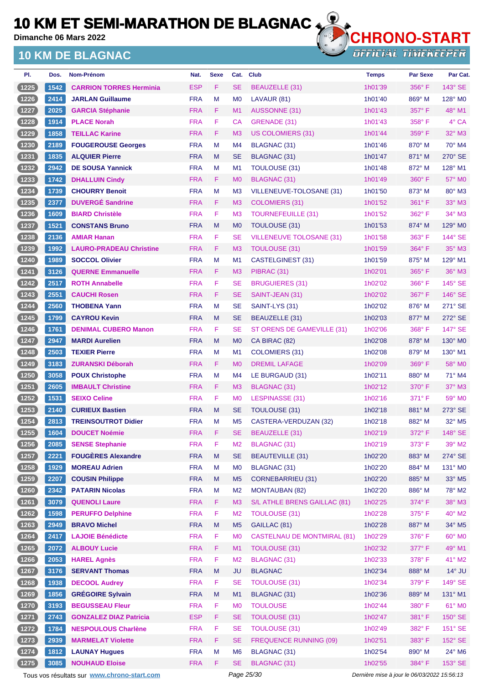**Dimanche 06 Mars 2022**

## **10 KM DE BLAGNAC**



| PI.      | Dos. | <b>Nom-Prénom</b>              | Nat.       | <b>Sexe</b> | Cat.           | <b>Club</b>                        | <b>Temps</b> | <b>Par Sexe</b> | Par Cat.                  |
|----------|------|--------------------------------|------------|-------------|----------------|------------------------------------|--------------|-----------------|---------------------------|
| (1225)   | 1542 | <b>CARRION TORRES Herminia</b> | <b>ESP</b> | F.          | <b>SE</b>      | BEAUZELLE (31)                     | 1h01'39      | 356°F           | 143° SE                   |
| (1226)   | 2414 | <b>JARLAN Guillaume</b>        | <b>FRA</b> | M           | M <sub>0</sub> | LAVAUR (81)                        | 1h01'40      | $869^\circ$ M   | 128° M <sub>0</sub>       |
| (1227)   | 2025 | <b>GARCIA Stéphanie</b>        | <b>FRA</b> | F.          | M <sub>1</sub> | <b>AUSSONNE (31)</b>               | 1h01'43      | 357°F           | 48° M1                    |
| $(1228)$ | 1914 | <b>PLACE Norah</b>             | <b>FRA</b> | F           | CA             | GRENADE (31)                       | 1h01'43      | 358°F           | 4° CA                     |
| (1229)   | 1858 | <b>TEILLAC Karine</b>          | <b>FRA</b> | F.          | M <sub>3</sub> | <b>US COLOMIERS (31)</b>           | 1h01'44      | $359^\circ$ F   | 32° M3                    |
| $(1230$  | 2189 | <b>FOUGEROUSE Georges</b>      | <b>FRA</b> | M           | M <sub>4</sub> | BLAGNAC (31)                       | 1h01'46      | 870° M          | 70° M4                    |
| (1231)   | 1835 | <b>ALQUIER Pierre</b>          | <b>FRA</b> | M           | <b>SE</b>      | BLAGNAC (31)                       | 1h01'47      | 871° M          | 270° SE                   |
| (1232)   | 2942 | <b>DE SOUSA Yannick</b>        | <b>FRA</b> | M           | M <sub>1</sub> | TOULOUSE (31)                      | 1h01'48      | 872° M          | 128° M1                   |
| (1233)   | 1742 | <b>DHALLUIN Cindy</b>          | <b>FRA</b> | F.          | M <sub>0</sub> | BLAGNAC (31)                       | 1h01'49      | $360^\circ$ F   | 57° M0                    |
| (1234)   | 1739 | <b>CHOURRY Benoit</b>          | <b>FRA</b> | M           | M <sub>3</sub> | VILLENEUVE-TOLOSANE (31)           | 1h01'50      | 873° M          | 80° M3                    |
| (1235)   | 2377 | <b>DUVERGÉ Sandrine</b>        | <b>FRA</b> | F.          | M <sub>3</sub> | COLOMIERS (31)                     | 1h01'52      | $361^\circ$ F   | $33^\circ$ M3             |
| (1236)   | 1609 | <b>BIARD Christèle</b>         | <b>FRA</b> | F           | M <sub>3</sub> | <b>TOURNEFEUILLE (31)</b>          | 1h01'52      | 362° F          | 34° M3                    |
| (1237)   | 1521 | <b>CONSTANS Bruno</b>          | <b>FRA</b> | M           | M <sub>0</sub> | TOULOUSE (31)                      | 1h01'53      | $874^\circ$ M   | $129^\circ$ MO            |
| (1238)   | 2136 | <b>AMIAR Hanan</b>             | <b>FRA</b> | F           | <b>SE</b>      | <b>VILLENEUVE TOLOSANE (31)</b>    | 1h01'58      | $363^\circ$ F   | 144° SE                   |
| (1239)   | 1992 | <b>LAURO-PRADEAU Christine</b> | <b>FRA</b> | F           | M <sub>3</sub> | <b>TOULOUSE (31)</b>               | 1h01'59      | 364°F           | $35^\circ$ M3             |
| (1240)   | 1989 | <b>SOCCOL Olivier</b>          | <b>FRA</b> | M           | M <sub>1</sub> | CASTELGINEST (31)                  | 1h01'59      | 875° M          | 129° M1                   |
| (1241)   | 3126 | <b>QUERNE Emmanuelle</b>       | <b>FRA</b> | F           | M <sub>3</sub> | PIBRAC (31)                        | 1h02'01      | $365^{\circ}$ F | 36° M3                    |
| (1242)   | 2517 | <b>ROTH Annabelle</b>          | <b>FRA</b> | F           | <b>SE</b>      | <b>BRUGUIERES (31)</b>             | 1h02'02      | $366^\circ$ F   | 145° SE                   |
| (1243)   | 2551 | <b>CAUCHI Rosen</b>            | <b>FRA</b> | F           | <b>SE</b>      | SAINT-JEAN (31)                    | 1h02'02      | 367°F           | 146° SE                   |
| (1244)   | 2560 | <b>THOBENA Yann</b>            | <b>FRA</b> | M           | <b>SE</b>      | SAINT-LYS (31)                     | 1h02'02      | 876° M          | 271° SE                   |
| (1245)   | 1799 | <b>CAYROU Kevin</b>            | <b>FRA</b> | M           | <b>SE</b>      | BEAUZELLE (31)                     | 1h02'03      | 877° M          | 272° SE                   |
| (1246)   | 1761 | <b>DENIMAL CUBERO Manon</b>    | <b>FRA</b> | F           | <b>SE</b>      | ST ORENS DE GAMEVILLE (31)         | 1h02'06      | $368^\circ$ F   | 147° SE                   |
| (1247)   | 2947 | <b>MARDI Aurelien</b>          | <b>FRA</b> | M           | M <sub>0</sub> | CA BIRAC (82)                      | 1h02'08      | 878° M          | 130° MO                   |
| (1248)   | 2503 | <b>TEXIER Pierre</b>           | <b>FRA</b> | M           | M1             | COLOMIERS (31)                     | 1h02'08      | 879° M          | $130^\circ$ M1            |
| (1249)   | 3183 | <b>ZURANSKI Déborah</b>        | <b>FRA</b> | F.          | M <sub>0</sub> | <b>DREMIL LAFAGE</b>               | 1h02'09      | $369^\circ$ F   | 58° MO                    |
| (1250)   | 3058 | <b>POUX Christophe</b>         | <b>FRA</b> | M           | M <sub>4</sub> | LE BURGAUD (31)                    | 1h02'11      | 880° M          | $71^\circ$ M4             |
| (1251)   | 2605 | <b>IMBAULT Christine</b>       | <b>FRA</b> | F.          | M <sub>3</sub> | BLAGNAC (31)                       | 1h02'12      | $370^\circ$ F   | $37^\circ$ M3             |
| (1252)   | 1531 | <b>SEIXO Celine</b>            | <b>FRA</b> | F           | M <sub>0</sub> | <b>LESPINASSE (31)</b>             | 1h02'16      | $371^\circ$ F   | 59° M0                    |
| (1253)   | 2140 | <b>CURIEUX Bastien</b>         | <b>FRA</b> | M           | <b>SE</b>      | TOULOUSE (31)                      | 1h02'18      | 881° M          | 273° SE                   |
| 1254     | 2813 | <b>TREINSOUTROT Didier</b>     | <b>FRA</b> | м           | M <sub>5</sub> | CASTERA-VERDUZAN (32)              | 1h02'18      | 882° M          | 32° M5                    |
| (1255)   | 1604 | <b>DOUCET Noémie</b>           | <b>FRA</b> | F           | SE.            | BEAUZELLE (31)                     | 1h02'19      | 372° F          | $148^\circ$ SE            |
| (1256)   | 2085 | <b>SENSE Stephanie</b>         | <b>FRA</b> | F           | M <sub>2</sub> | <b>BLAGNAC (31)</b>                | 1h02'19      | 373° F          | 39° M2                    |
| (1257)   | 2221 | <b>FOUGÈRES Alexandre</b>      | <b>FRA</b> | ${\sf M}$   | <b>SE</b>      | <b>BEAUTEVILLE (31)</b>            | 1h02'20      | 883° M          | 274° SE                   |
| (1258)   | 1929 | <b>MOREAU Adrien</b>           | <b>FRA</b> | M           | M <sub>0</sub> | <b>BLAGNAC (31)</b>                | 1h02'20      | 884° M          | 131° M0                   |
| (1259)   | 2207 | <b>COUSIN Philippe</b>         | <b>FRA</b> | M           | M <sub>5</sub> | <b>CORNEBARRIEU (31)</b>           | 1h02'20      | 885° M          | $33^\circ$ M <sub>5</sub> |
| (1260)   | 2342 | <b>PATARIN Nicolas</b>         | <b>FRA</b> | M           | M <sub>2</sub> | <b>MONTAUBAN (82)</b>              | 1h02'20      | 886° M          | 78° M2                    |
| (1261)   | 3079 | <b>QUENOLI Laure</b>           | <b>FRA</b> | F           | M <sub>3</sub> | S/L ATHLE BRENS GAILLAC (81)       | 1h02'25      | 374°F           | 38° M3                    |
| (1262)   | 1598 | <b>PERUFFO Delphine</b>        | <b>FRA</b> | F           | M <sub>2</sub> | <b>TOULOUSE (31)</b>               | 1h02'28      | 375°F           | 40° M2                    |
| (1263)   | 2949 | <b>BRAVO Michel</b>            | <b>FRA</b> | M           | M <sub>5</sub> | GAILLAC (81)                       | 1h02'28      | 887° M          | 34° M5                    |
| $(1264)$ | 2417 | <b>LAJOIE Bénédicte</b>        | <b>FRA</b> | F           | M <sub>0</sub> | <b>CASTELNAU DE MONTMIRAL (81)</b> | 1h02'29      | 376°F           | 60° M0                    |
| (1265)   | 2072 | <b>ALBOUY Lucie</b>            | <b>FRA</b> | F.          | M1             | <b>TOULOUSE (31)</b>               | 1h02'32      | 377° F          | 49° M1                    |
| (1266)   | 2053 | <b>HAREL Agnès</b>             | <b>FRA</b> | F           | M <sub>2</sub> | <b>BLAGNAC (31)</b>                | 1h02'33      | 378°F           | 41° M2                    |
| (1267)   | 3176 | <b>SERVANT Thomas</b>          | <b>FRA</b> | M           | <b>JU</b>      | <b>BLAGNAC</b>                     | 1h02'34      | 888° M          | $14^\circ$ JU             |
| (1268)   | 1938 | <b>DECOOL Audrey</b>           | <b>FRA</b> | F           | <b>SE</b>      | <b>TOULOUSE (31)</b>               | 1h02'34      | $379^\circ$ F   | 149° SE                   |
| (1269)   | 1856 | <b>GRÉGOIRE Sylvain</b>        | <b>FRA</b> | ${\sf M}$   | M1             | BLAGNAC (31)                       | 1h02'36      | 889° M          | 131° M1                   |
| (1270)   | 3193 | <b>BEGUSSEAU Fleur</b>         | <b>FRA</b> | F           | M <sub>0</sub> | <b>TOULOUSE</b>                    | 1h02'44      | 380°F           | 61° MO                    |
| (1271)   | 2743 | <b>GONZALEZ DIAZ Patricia</b>  | <b>ESP</b> | F           | <b>SE</b>      | <b>TOULOUSE (31)</b>               | 1h02'47      | 381°F           | 150° SE                   |
| (1272)   | 1784 | <b>NESPOULOUS Charlène</b>     | <b>FRA</b> | F           | <b>SE</b>      | <b>TOULOUSE (31)</b>               | 1h02'49      | 382°F           | 151° SE                   |
| (1273)   | 2939 | <b>MARMELAT Violette</b>       | <b>FRA</b> | F           | <b>SE</b>      | <b>FREQUENCE RUNNING (09)</b>      | 1h02'51      | 383° F          | 152° SE                   |
| (1274)   | 1812 | <b>LAUNAY Hugues</b>           | <b>FRA</b> | M           | M <sub>6</sub> | <b>BLAGNAC (31)</b>                | 1h02'54      | 890° M          | 24° M6                    |
| (1275)   | 3085 | <b>NOUHAUD Eloise</b>          | <b>FRA</b> | F.          | <b>SE</b>      | BLAGNAC (31)                       | 1h02'55      | 384°F           | 153° SE                   |

Tous vos résultats sur **[www.chrono-start.com](https://www.chrono-start.com/)** Page 25/30 Page 25/30 Dernière mise à jour le 06/03/2022 15:56:13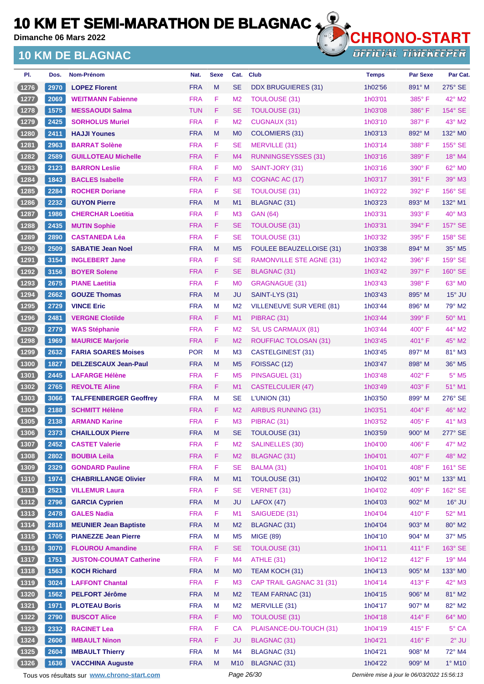**Dimanche 06 Mars 2022**

### **10 KM DE BLAGNAC**



**OFFICIAL TIMEKEEPER** 

| PI.              | Dos. | Nom-Prénom                     | Nat.       | <b>Sexe</b> | Cat.           | <b>Club</b>                     | <b>Temps</b> | <b>Par Sexe</b> | Par Cat.           |
|------------------|------|--------------------------------|------------|-------------|----------------|---------------------------------|--------------|-----------------|--------------------|
| (1276)           | 2970 | <b>LOPEZ Florent</b>           | <b>FRA</b> | M           | <b>SE</b>      | DDX BRUGUIERES (31)             | 1h02'56      | 891° M          | $275^\circ$ SE     |
| (1277)           | 2069 | <b>WEITMANN Fabienne</b>       | <b>FRA</b> | F           | M <sub>2</sub> | <b>TOULOUSE (31)</b>            | 1h03'01      | $385^\circ$ F   | $42^{\circ}$ M2    |
| (1278)           | 1575 | <b>MESSAOUDI Salma</b>         | <b>TUN</b> | F           | <b>SE</b>      | <b>TOULOUSE (31)</b>            | 1h03'08      | $386^\circ$ F   | 154° SE            |
| 1279             | 2425 | <b>SORHOLUS Muriel</b>         | <b>FRA</b> | F           | M <sub>2</sub> | <b>CUGNAUX (31)</b>             | 1h03'10      | 387°F           | 43° M2             |
| (1280)           | 2411 | <b>HAJJI Younes</b>            | <b>FRA</b> | M           | M <sub>0</sub> | COLOMIERS (31)                  | 1h03'13      | $892^\circ$ M   | 132° MO            |
| $1281$           | 2963 | <b>BARRAT Solène</b>           | <b>FRA</b> | F.          | <b>SE</b>      | MERVILLE (31)                   | 1h03'14      | 388°F           | 155° SE            |
| (1282)           | 2589 | <b>GUILLOTEAU Michelle</b>     | <b>FRA</b> | F           | M <sub>4</sub> | RUNNINGSEYSSES (31)             | 1h03'16      | 389° F          | $18^\circ$ M4      |
| 1283             | 2123 | <b>BARRON Leslie</b>           | <b>FRA</b> | F           | M <sub>0</sub> | SAINT-JORY (31)                 | 1h03'16      | 390° F          | 62° M <sub>0</sub> |
| (1284)           | 1843 | <b>BACLES Isabelle</b>         | <b>FRA</b> | F           | M <sub>3</sub> | COGNAC AC (17)                  | 1h03'17      | 391° F          | 39° M3             |
| (1285)           | 2284 | <b>ROCHER Doriane</b>          | <b>FRA</b> | F           | <b>SE</b>      | <b>TOULOUSE (31)</b>            | 1h03'22      | $392^\circ$ F   | 156° SE            |
| (1286)           | 2232 | <b>GUYON Pierre</b>            | <b>FRA</b> | M           | M <sub>1</sub> | BLAGNAC (31)                    | 1h03'23      | 893° M          | 132° M1            |
| 1287             | 1986 | <b>CHERCHAR Loetitia</b>       | <b>FRA</b> | F           | M <sub>3</sub> | <b>GAN (64)</b>                 | 1h03'31      | $393^\circ$ F   | 40° M3             |
| (1288)           | 2435 | <b>MUTIN Sophie</b>            | <b>FRA</b> | F.          | <b>SE</b>      | <b>TOULOUSE (31)</b>            | 1h03'31      | 394°F           | $157^\circ$ SE     |
| (1289)           | 2890 | <b>CASTANEDA Léa</b>           | <b>FRA</b> | F           | <b>SE</b>      | <b>TOULOUSE (31)</b>            | 1h03'32      | 395° F          | 158° SE            |
| (1290)           | 2509 | <b>SABATIE Jean Noel</b>       | <b>FRA</b> | M           | M <sub>5</sub> | <b>FOULEE BEAUZELLOISE (31)</b> | 1h03'38      | 894° M          | 35° M5             |
| 1291             | 3154 | <b>INGLEBERT Jane</b>          | <b>FRA</b> | F           | <b>SE</b>      | RAMONVILLE STE AGNE (31)        | 1h03'42      | 396°F           | $159^\circ$ SE     |
| 1292             | 3156 | <b>BOYER Solene</b>            | <b>FRA</b> | F.          | <b>SE</b>      | BLAGNAC (31)                    | 1h03'42      | 397° F          | $160^\circ$ SE     |
| (1293)           | 2675 | <b>PIANE Laetitia</b>          | <b>FRA</b> | F           | M <sub>0</sub> | GRAGNAGUE (31)                  | 1h03'43      | 398°F           | $63^\circ$ MO      |
| (1294)           | 2662 | <b>GOUZE Thomas</b>            | <b>FRA</b> | M           | JU             | SAINT-LYS (31)                  | 1h03'43      | $895^\circ$ M   | $15^\circ$ JU      |
| 1295             | 2729 | <b>VINCE Eric</b>              | <b>FRA</b> | М           | M <sub>2</sub> | <b>VILLENEUVE SUR VERE (81)</b> | 1h03'44      | 896° M          | 79° M2             |
| (1296)           | 2481 | <b>VERGNE Clotilde</b>         | <b>FRA</b> | F           | M1             | PIBRAC (31)                     | 1h03'44      | 399°F           | $50^\circ$ M1      |
| 1297             | 2779 | <b>WAS Stéphanie</b>           | <b>FRA</b> | F           | M <sub>2</sub> | S/L US CARMAUX (81)             | 1h03'44      | $400^{\circ}$ F | 44° M2             |
| (1298)           | 1969 | <b>MAURICE Marjorie</b>        | <b>FRA</b> | F           | M <sub>2</sub> | ROUFFIAC TOLOSAN (31)           | 1h03'45      | $401^{\circ}$ F | $45^\circ$ M2      |
| $1299$           | 2632 | <b>FARIA SOARES Moises</b>     | <b>POR</b> | М           | M <sub>3</sub> | CASTELGINEST (31)               | 1h03'45      | 897° M          | $81^\circ$ M3      |
| 1300             | 1827 | <b>DELZESCAUX Jean-Paul</b>    | <b>FRA</b> | M           | M <sub>5</sub> | FOISSAC (12)                    | 1h03'47      | $898^\circ$ M   | 36° M5             |
| $1301$           | 2445 | <b>LAFARGE Hélène</b>          | <b>FRA</b> | F           | M <sub>5</sub> | PINSAGUEL (31)                  | 1h03'48      | 402°F           | $5^\circ$ M5       |
| (1302)           | 2765 | <b>REVOLTE Aline</b>           | <b>FRA</b> | F.          | M1             | <b>CASTELCULIER (47)</b>        | 1h03'49      | $403^\circ$ F   | $51^\circ$ M1      |
| (1303)           | 3066 | <b>TALFFENBERGER Geoffrey</b>  | <b>FRA</b> | М           | <b>SE</b>      | L'UNION (31)                    | 1h03'50      | 899° M          | 276° SE            |
| (1304)           | 2188 | <b>SCHMITT Hélène</b>          | <b>FRA</b> | F           | M <sub>2</sub> | AIRBUS RUNNING (31)             | 1h03'51      | $404^{\circ}$ F | 46° M2             |
| $\boxed{1305}$   | 2138 | <b>ARMAND Karine</b>           | <b>FRA</b> | F           | M <sub>3</sub> | PIBRAC (31)                     | 1h03'52      | $405^\circ$ F   | $41^\circ$ M3      |
| 【1306】           | 2373 | <b>CHAILLOUX Pierre</b>        | <b>FRA</b> | M           | <b>SE</b>      | TOULOUSE (31)                   | 1h03'59      | 900° M          | 277° SE            |
| (1307)           | 2452 | <b>CASTET Valerie</b>          | <b>FRA</b> | F           | M <sub>2</sub> | <b>SALINELLES (30)</b>          | 1h04'00      | 406°F           | 47° M2             |
| (1308)           | 2802 | <b>BOUBIA Leila</b>            | <b>FRA</b> | F           | M <sub>2</sub> | <b>BLAGNAC (31)</b>             | 1h04'01      | 407° F          | 48° M2             |
| (1309)           | 2329 | <b>GONDARD Pauline</b>         | <b>FRA</b> | F           | <b>SE</b>      | BALMA (31)                      | 1h04'01      | 408° F          | 161° SE            |
| (1310)           | 1974 | <b>CHABRILLANGE Olivier</b>    | <b>FRA</b> | M           | M1             | TOULOUSE (31)                   | 1h04'02      | 901° M          | 133° M1            |
| $(1311)$         | 2521 | <b>VILLEMUR Laura</b>          | <b>FRA</b> | F           | <b>SE</b>      | VERNET (31)                     | 1h04'02      | 409° F          | 162° SE            |
| (1312)           | 2796 | <b>GARCIA Cyprien</b>          | <b>FRA</b> | M           | <b>JU</b>      | LAFOX (47)                      | 1h04'03      | 902° M          | $16^\circ$ JU      |
| (1313)           | 2478 | <b>GALES Nadia</b>             | <b>FRA</b> | F           | M1             | SAIGUEDE (31)                   | 1h04'04      | 410°F           | 52° M1             |
| (1314)           | 2818 | <b>MEUNIER Jean Baptiste</b>   | <b>FRA</b> | M           | M <sub>2</sub> | BLAGNAC (31)                    | 1h04'04      | 903° M          | 80° M2             |
| $(1315)$         | 1705 | <b>PIANEZZE Jean Pierre</b>    | <b>FRA</b> | M           | M <sub>5</sub> | <b>MIGE (89)</b>                | 1h04'10      | 904° M          | 37° M5             |
| (1316)           | 3070 | <b>FLOUROU Amandine</b>        | <b>FRA</b> | F.          | <b>SE</b>      | TOULOUSE (31)                   | 1h04'11      | 411° F          | 163° SE            |
| (1317)           | 1751 | <b>JUSTON-COUMAT Catherine</b> | <b>FRA</b> | $\mathsf F$ | M4             | ATHLE (31)                      | 1h04'12      | 412°F           | 19° M4             |
| (1318)           | 1563 | <b>KOCH Richard</b>            | <b>FRA</b> | M           | M <sub>0</sub> | TEAM KOCH (31)                  | 1h04'13      | 905° M          | 133° MO            |
|                  | 3024 | <b>LAFFONT Chantal</b>         | <b>FRA</b> | F           | M <sub>3</sub> | CAP TRAIL GAGNAC 31 (31)        | 1h04'14      | 413° F          | 42° M3             |
| (1319)<br>(1320) | 1562 | <b>PELFORT Jérôme</b>          | <b>FRA</b> | M           | M <sub>2</sub> | <b>TEAM FARNAC (31)</b>         | 1h04'15      | 906° M          | 81° M2             |
|                  |      | <b>PLOTEAU Boris</b>           | <b>FRA</b> | M           | M <sub>2</sub> | MERVILLE (31)                   | 1h04'17      | 907° M          | 82° M2             |
| (1321)           | 1971 |                                |            |             |                |                                 |              |                 |                    |
| (1322)           | 2790 | <b>BUSCOT Alice</b>            | <b>FRA</b> | F           | M <sub>0</sub> | TOULOUSE (31)                   | 1h04'18      | 414°F           | 64° M0             |
| (1323)           | 2332 | <b>RACINET Lea</b>             | <b>FRA</b> | F           | <b>CA</b>      | PLAISANCE-DU-TOUCH (31)         | 1h04'19      | 415°F           | 5° CA              |
| (1324)           | 2606 | <b>IMBAULT Ninon</b>           | <b>FRA</b> | F           | <b>JU</b>      | <b>BLAGNAC (31)</b>             | 1h04'21      | 416°F           | $2^{\circ}$ JU     |
| (1325)           | 2604 | <b>IMBAULT Thierry</b>         | <b>FRA</b> | M           | M4             | <b>BLAGNAC (31)</b>             | 1h04'21      | 908° M          | 72° M4             |
| (1326)           | 1636 | <b>VACCHINA Auguste</b>        | <b>FRA</b> | M           | M10            | BLAGNAC (31)                    | 1h04'22      | 909° M          | 1° M10             |

Tous vos résultats sur **[www.chrono-start.com](https://www.chrono-start.com/)** Page 26/30 Page 26/30 Dernière mise à jour le 06/03/2022 15:56:13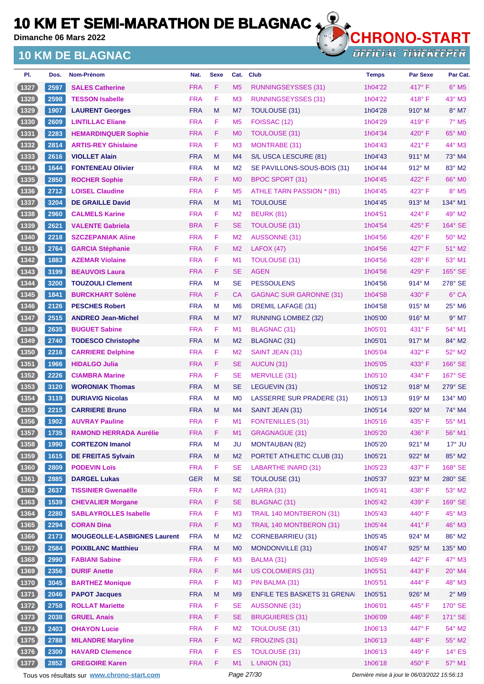**Dimanche 06 Mars 2022**

### **10 KM DE BLAGNAC**



OFFICIAL TIMEKEEPER

| Dos. | Nom-Prénom                         | Nat.       | <b>Sexe</b> | Cat.           | <b>Club</b>                        | <b>Temps</b> | <b>Par Sexe</b> | Par Cat.                 |
|------|------------------------------------|------------|-------------|----------------|------------------------------------|--------------|-----------------|--------------------------|
| 2597 | <b>SALES Catherine</b>             | <b>FRA</b> | F.          | M <sub>5</sub> | RUNNINGSEYSSES (31)                | 1h04'22      | 417°F           | $6^\circ$ M <sub>5</sub> |
| 2598 | <b>TESSON Isabelle</b>             | <b>FRA</b> | F           | M <sub>3</sub> | <b>RUNNINGSEYSSES (31)</b>         | 1h04'22      | $418^\circ$ F   | $43^\circ$ M3            |
| 1907 | <b>LAURENT Georges</b>             | <b>FRA</b> | M           | M7             | TOULOUSE (31)                      | 1h04'28      | $910^\circ$ M   | $8^\circ$ M7             |
| 2609 | <b>LINTILLAC Eliane</b>            | <b>FRA</b> | F           | M <sub>5</sub> | FOISSAC (12)                       | 1h04'29      | 419° F          | $7°$ M <sub>5</sub>      |
| 2283 | <b>HEMARDINQUER Sophie</b>         | <b>FRA</b> | F           | M <sub>0</sub> | TOULOUSE (31)                      | 1h04'34      | 420°F           | 65° MO                   |
| 2814 | <b>ARTIS-REY Ghislaine</b>         | <b>FRA</b> | F           | M <sub>3</sub> | <b>MONTRABE (31)</b>               | 1h04'43      | 421° F          | 44° M3                   |
| 2616 | <b>VIOLLET Alain</b>               | <b>FRA</b> | M           | M <sub>4</sub> | S/L USCA LESCURE (81)              | 1h04'43      | $911^\circ$ M   | 73° M4                   |
| 1644 | <b>FONTENEAU Olivier</b>           | <b>FRA</b> | M           | M <sub>2</sub> | SE PAVILLONS-SOUS-BOIS (31)        | 1h04'44      | $912^\circ$ M   | 83° M2                   |
| 2850 | <b>ROCHER Sophie</b>               | <b>FRA</b> | F.          | M <sub>0</sub> | BPOC SPORT (31)                    | 1h04'45      | 422°F           | 66° MO                   |
| 2712 | <b>LOISEL Claudine</b>             | <b>FRA</b> | F           | M <sub>5</sub> | ATHLE TARN PASSION * (81)          | 1h04'45      | 423° F          | 8° M5                    |
| 3204 | <b>DE GRAILLE David</b>            | <b>FRA</b> | M           | M <sub>1</sub> | <b>TOULOUSE</b>                    | 1h04'45      | $913^\circ$ M   | 134° M1                  |
| 2960 | <b>CALMELS Karine</b>              | <b>FRA</b> | F           | M <sub>2</sub> | <b>BEURK (81)</b>                  | 1h04'51      | 424° F          | 49° M2                   |
| 2621 | <b>VALENTE Gabriela</b>            | <b>BRA</b> | F           | <b>SE</b>      | <b>TOULOUSE (31)</b>               | 1h04'54      | 425°F           | 164° SE                  |
| 2218 | <b>SZCZEPANIAK Aline</b>           | <b>FRA</b> | F           | M <sub>2</sub> | <b>AUSSONNE (31)</b>               | 1h04'56      | 426°F           | $50^\circ$ M2            |
| 2764 | <b>GARCIA Stéphanie</b>            | <b>FRA</b> | F           | M <sub>2</sub> | <b>LAFOX (47)</b>                  | 1h04'56      | 427°F           | 51° M2                   |
| 1883 | <b>AZEMAR Violaine</b>             | <b>FRA</b> | F           | M <sub>1</sub> | <b>TOULOUSE (31)</b>               | 1h04'56      | 428°F           | 53° M1                   |
| 3199 | <b>BEAUVOIS Laura</b>              | <b>FRA</b> | F           | <b>SE</b>      | <b>AGEN</b>                        | 1h04'56      | 429°F           | 165° SE                  |
| 3200 | <b>TOUZOULI Clement</b>            | <b>FRA</b> | M           | <b>SE</b>      | <b>PESSOULENS</b>                  | 1h04'56      | 914° M          | 278° SE                  |
| 1841 | <b>BURCKHART Solène</b>            | <b>FRA</b> | F           | CA             | GAGNAC SUR GARONNE (31)            | 1h04'58      | $430^\circ$ F   | 6° CA                    |
| 2126 | <b>PESCHES Robert</b>              | <b>FRA</b> | M           | M <sub>6</sub> | <b>DREMIL LAFAGE (31)</b>          | 1h04'58      | $915^\circ$ M   | 25° M6                   |
| 2515 | <b>ANDREO Jean-Michel</b>          | <b>FRA</b> | M           | M7             | <b>RUNNING LOMBEZ (32)</b>         | 1h05'00      | 916° M          | $9°$ M7                  |
| 2635 | <b>BUGUET Sabine</b>               | <b>FRA</b> | F           | M <sub>1</sub> | BLAGNAC (31)                       | 1h05'01      | $431^\circ$ F   | 54° M1                   |
| 2740 | <b>TODESCO Christophe</b>          | <b>FRA</b> | M           | M <sub>2</sub> | BLAGNAC (31)                       | 1h05'01      | $917^\circ$ M   | 84° M2                   |
| 2216 | <b>CARRIERE Delphine</b>           | <b>FRA</b> | F           | M <sub>2</sub> | SAINT JEAN (31)                    | 1h05'04      | 432° F          | $52^\circ$ M2            |
| 1966 | <b>HIDALGO Julia</b>               | <b>FRA</b> | F           | <b>SE</b>      | AUCUN (31)                         | 1h05'05      | 433° F          | 166° SE                  |
| 2226 | <b>CIAMBRA Marine</b>              | <b>FRA</b> | F           | SE             | MERVILLE (31)                      | 1h05'10      | 434° F          | 167° SE                  |
| 3120 | <b>WORONIAK Thomas</b>             | <b>FRA</b> | M           | <b>SE</b>      | LEGUEVIN (31)                      | 1h05'12      | $918^\circ$ M   | 279° SE                  |
| 3119 | <b>DURIAVIG Nicolas</b>            | <b>FRA</b> | м           | M <sub>0</sub> | LASSERRE SUR PRADERE (31)          | 1h05'13      | $919^\circ$ M   | 134° M <sub>0</sub>      |
| 2215 | <b>CARRIERE Bruno</b>              | <b>FRA</b> | M           | M4             | SAINT JEAN (31)                    | 1h05'14      | $920^\circ$ M   | 74° M4                   |
| 1902 | <b>AUVRAY Pauline</b>              | <b>FRA</b> | F           | M <sub>1</sub> | <b>FONTENILLES (31)</b>            | 1h05'16      | 435°F           | 55° M1                   |
| 1735 | <b>RAMOND HERRADA Aurélie</b>      | <b>FRA</b> | F           | M <sub>1</sub> | <b>GRAGNAGUE (31)</b>              | 1h05'20      | 436°F           | 56° M1                   |
| 1990 | <b>CORTEZON Imanol</b>             | <b>FRA</b> | M           | <b>JU</b>      | <b>MONTAUBAN (82)</b>              | 1h05'20      | 921° M          | 17° JU                   |
| 1615 | <b>DE FREITAS Sylvain</b>          | <b>FRA</b> | M           | M <sub>2</sub> | PORTET ATHLETIC CLUB (31)          | 1h05'21      | 922° M          | 85° M2                   |
| 2809 | <b>PODEVIN Loïs</b>                | <b>FRA</b> | F           | <b>SE</b>      | <b>LABARTHE INARD (31)</b>         | 1h05'23      | 437° F          | 168° SE                  |
| 2885 | <b>DARGEL Lukas</b>                | <b>GER</b> | M           | <b>SE</b>      | TOULOUSE (31)                      | 1h05'37      | 923° M          | 280° SE                  |
| 2637 | <b>TISSINIER Gwenaëlle</b>         | <b>FRA</b> | F           | M <sub>2</sub> | <b>LARRA (31)</b>                  | 1h05'41      | 438°F           | 53° M2                   |
| 1539 | <b>CHEVALIER Morgane</b>           | <b>FRA</b> | F           | <b>SE</b>      | <b>BLAGNAC (31)</b>                | 1h05'42      | 439° F          | 169° SE                  |
| 2280 | <b>SABLAYROLLES Isabelle</b>       | <b>FRA</b> | F           | M <sub>3</sub> | TRAIL 140 MONTBERON (31)           | 1h05'43      | 440°F           | 45° M3                   |
| 2294 | <b>CORAN Dina</b>                  | <b>FRA</b> | F           | M <sub>3</sub> | TRAIL 140 MONTBERON (31)           | 1h05'44      | 441°F           | 46° M3                   |
| 2173 | <b>MOUGEOLLE-LASBIGNES Laurent</b> | <b>FRA</b> | M           | M <sub>2</sub> | <b>CORNEBARRIEU (31)</b>           | 1h05'45      | 924° M          | 86° M2                   |
| 2584 | <b>POIXBLANC Matthieu</b>          | <b>FRA</b> | M           | M <sub>0</sub> | MONDONVILLE (31)                   | 1h05'47      | $925^\circ$ M   | 135° MO                  |
| 2990 | <b>FABIANI Sabine</b>              | <b>FRA</b> | F           | M <sub>3</sub> | BALMA (31)                         | 1h05'49      | 442°F           | 47° M3                   |
| 2356 | <b>DURIF Anette</b>                | <b>FRA</b> | F           | M <sub>4</sub> | <b>US COLOMIERS (31)</b>           | 1h05'51      | 443° F          | 20° M4                   |
| 3045 | <b>BARTHEZ Monique</b>             | <b>FRA</b> | F           | M <sub>3</sub> | PIN BALMA (31)                     | 1h05'51      | 444°F           | 48° M3                   |
| 2046 | <b>PAPOT Jacques</b>               | <b>FRA</b> | M           | M <sub>9</sub> | <b>ENFILE TES BASKETS 31 GRENA</b> | 1h05'51      | 926° M          | $2^{\circ}$ M9           |
| 2758 | <b>ROLLAT Mariette</b>             | <b>FRA</b> | F           | <b>SE</b>      | <b>AUSSONNE (31)</b>               | 1h06'01      | 445°F           | 170° SE                  |
| 2038 | <b>GRUEL Anais</b>                 | <b>FRA</b> | F           | <b>SE</b>      | <b>BRUGUIERES (31)</b>             | 1h06'09      | 446°F           | 171° SE                  |
| 2403 | <b>OHAYON Lucie</b>                | <b>FRA</b> | F           | M <sub>2</sub> | <b>TOULOUSE (31)</b>               | 1h06'13      | 447°F           | 54° M2                   |
| 2788 | <b>MILANDRE Maryline</b>           | <b>FRA</b> | F           | M <sub>2</sub> | FROUZINS (31)                      | 1h06'13      | 448°F           | 55° M2                   |
| 2300 | <b>HAVARD Clemence</b>             | <b>FRA</b> | F           | ES             | <b>TOULOUSE (31)</b>               | 1h06'13      | 449°F           | $14^{\circ}$ ES          |
| 2852 | <b>GREGOIRE Karen</b>              | <b>FRA</b> | F           | M1             | $L$ UNION (31)                     | 1h06'18      | 450° F          | 57° M1                   |
|      |                                    |            |             |                |                                    |              |                 |                          |

Tous vos résultats sur **[www.chrono-start.com](https://www.chrono-start.com/)** Page 27/30 Page 27/30 Dernière mise à jour le 06/03/2022 15:56:13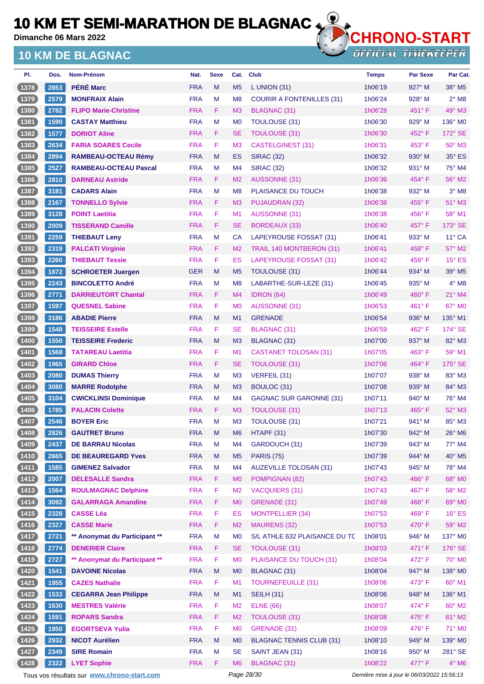**Dimanche 06 Mars 2022**

### **10 KM DE BLAGNAC**



| PI.            | Dos. | Nom-Prénom                    | Nat.       | <b>Sexe</b> | Cat.           | <b>Club</b>                      | <b>Temps</b> | <b>Par Sexe</b> | Par Cat.                  |
|----------------|------|-------------------------------|------------|-------------|----------------|----------------------------------|--------------|-----------------|---------------------------|
| (1378)         | 2853 | <b>PÉRÉ Marc</b>              | <b>FRA</b> | M           | M <sub>5</sub> | L UNION $(31)$                   | 1h06'19      | $927^\circ$ M   | $38^\circ$ M <sub>5</sub> |
| (1379)         | 2579 | <b>MONFRAIX Alain</b>         | <b>FRA</b> | M           | M <sub>8</sub> | <b>COURIR A FONTENILLES (31)</b> | 1h06'24      | 928° M          | $2°$ M <sub>8</sub>       |
| (1380)         | 2782 | <b>FLIPO Marie-Christine</b>  | <b>FRA</b> | F.          | M <sub>3</sub> | BLAGNAC (31)                     | 1h06'28      | $451^{\circ}$ F | $49°$ M3                  |
| (1381)         | 1590 | <b>CASTAY Matthieu</b>        | <b>FRA</b> | M           | M <sub>0</sub> | TOULOUSE (31)                    | 1h06'30      | $929^\circ$ M   | 136° M0                   |
| (1382)         | 1577 | <b>DORIOT Aline</b>           | <b>FRA</b> | F.          | <b>SE</b>      | <b>TOULOUSE (31)</b>             | 1h06'30      | 452°F           | 172° SE                   |
| $\boxed{1383}$ | 2634 | <b>FARIA SOARES Cecile</b>    | <b>FRA</b> | F.          | M <sub>3</sub> | <b>CASTELGINEST (31)</b>         | 1h06'31      | $453^{\circ}$ F | 50° M3                    |
| (1384)         | 2894 | <b>RAMBEAU-OCTEAU Rémy</b>    | <b>FRA</b> | M           | ES             | <b>SIRAC (32)</b>                | 1h06'32      | $930^\circ$ M   | 35° ES                    |
| $(1385)$       | 2527 | <b>RAMBEAU-OCTEAU Pascal</b>  | <b>FRA</b> | M           | M4             | <b>SIRAC (32)</b>                | 1h06'32      | $931^\circ$ M   | 75° M4                    |
| (1386)         | 2810 | <b>DARNEAU Astride</b>        | <b>FRA</b> | F.          | M <sub>2</sub> | AUSSONNE (31)                    | 1h06'36      | 454°F           | 56° M2                    |
| (1387)         | 3181 | <b>CADARS Alain</b>           | <b>FRA</b> | M           | M <sub>8</sub> | PLAISANCE DU TOUCH               | 1h06'38      | $932^\circ$ M   | $3°$ M <sub>8</sub>       |
| (1388)         | 2167 | <b>TONNELLO Sylvie</b>        | <b>FRA</b> | F.          | M3             | PUJAUDRAN (32)                   | 1h06'38      | $455^{\circ}$ F | $51^\circ$ M3             |
| (1389)         | 3128 | <b>POINT Laetitia</b>         | <b>FRA</b> | F           | M <sub>1</sub> | <b>AUSSONNE (31)</b>             | 1h06'38      | $456^{\circ}$ F | 58° M1                    |
| (1390)         | 2009 | <b>TISSERAND Camille</b>      | <b>FRA</b> | F.          | <b>SE</b>      | BORDEAUX (33)                    | 1h06'40      | 457°F           | 173° SE                   |
| $\boxed{1391}$ | 2259 | <b>THIEBAUT Leny</b>          | <b>FRA</b> | M           | CA             | LAPEYROUSE FOSSAT (31)           | 1h06'41      | $933^\circ$ M   | $11^{\circ}$ CA           |
| (1392)         | 2319 | <b>PALCATI Virginie</b>       | <b>FRA</b> | F.          | M <sub>2</sub> | TRAIL 140 MONTBERON (31)         | 1h06'41      | 458°F           | 57° M2                    |
| (1393)         | 2260 | <b>THIEBAUT Tessie</b>        | <b>FRA</b> | F.          | ES             | LAPEYROUSE FOSSAT (31)           | 1h06'42      | $459^{\circ}$ F | $15^\circ$ ES             |
| (1394)         | 1872 | <b>SCHROETER Juergen</b>      | <b>GER</b> | M           | M <sub>5</sub> | TOULOUSE (31)                    | 1h06'44      | 934° M          | 39° M5                    |
| 1395           | 2243 | <b>BINCOLETTO André</b>       | <b>FRA</b> | M           | M <sub>8</sub> | LABARTHE-SUR-LEZE (31)           | 1h06'45      | $935^\circ$ M   | $4^\circ$ M8              |
| (1396)         | 2771 | <b>DARRIEUTORT Chantal</b>    | <b>FRA</b> | F.          | M4             | <b>IDRON</b> (64)                | 1h06'49      | $460^\circ$ F   | $21^\circ$ M4             |
| 1397           | 1597 | <b>QUESNEL Sabine</b>         | <b>FRA</b> | F           | M <sub>0</sub> | <b>AUSSONNE (31)</b>             | 1h06'53      | $461^\circ$ F   | $67^\circ$ MO             |
| (1398)         | 3186 | <b>ABADIE Pierre</b>          | <b>FRA</b> | M           | M1             | <b>GRENADE</b>                   | 1h06'54      | $936^\circ$ M   | 135° M1                   |
| (1399)         | 1548 | <b>TEISSEIRE Estelle</b>      | <b>FRA</b> | F           | <b>SE</b>      | BLAGNAC (31)                     | 1h06'59      | 462°F           | 174° SE                   |
| (1400          | 1550 | <b>TEISSEIRE Frederic</b>     | <b>FRA</b> | M           | M3             | <b>BLAGNAC (31)</b>              | 1h07'00      | 937° M          | 82° M3                    |
| (1401)         | 1568 | <b>TATAREAU Laetitia</b>      | <b>FRA</b> | F           | M <sub>1</sub> | <b>CASTANET TOLOSAN (31)</b>     | 1h07'05      | $463^\circ$ F   | 59° M1                    |
| (1402)         | 1965 | <b>GIRARD Chloe</b>           | <b>FRA</b> | F.          | <b>SE</b>      | TOULOUSE (31)                    | 1h07'06      | $464^{\circ}$ F | $175^\circ$ SE            |
| (1403)         | 2080 | <b>DUMAS Thierry</b>          | <b>FRA</b> | M           | M <sub>3</sub> | VERFEIL (31)                     | 1h07'07      | 938° M          | 83° M3                    |
| (1404)         | 3080 | <b>MARRE Rodolphe</b>         | <b>FRA</b> | M           | M3             | BOULOC (31)                      | 1h07'08      | $939^\circ$ M   | 84° M3                    |
| (1405)         | 3104 | <b>CWICKLINSI Dominique</b>   | <b>FRA</b> | M           | M4             | <b>GAGNAC SUR GARONNE (31)</b>   | 1h07'11      | $940^\circ$ M   | 76° M4                    |
| (1406)         | 1785 | <b>PALACIN Colette</b>        | <b>FRA</b> | F.          | M <sub>3</sub> | TOULOUSE (31)                    | 1h07'13      | $465^{\circ}$ F | 52° M3                    |
| (1407          | 2546 | <b>BOYER Eric</b>             | <b>FRA</b> | M           | M <sub>3</sub> | <b>TOULOUSE (31)</b>             | 1h07'21      | $941^\circ$ M   | 85° M3                    |
| (1408)         | 2826 | <b>GAUTRET Bruno</b>          | <b>FRA</b> | M           | M <sub>6</sub> | HTAPF (31)                       | 1h07'30      | 942° M          | 26° M6                    |
| (1409)         | 2437 | <b>DE BARRAU Nicolas</b>      | <b>FRA</b> | M           | M4             | GARDOUCH (31)                    | 1h07'39      | 943° M          | 77° M4                    |
| (1410)         | 2665 | <b>DE BEAUREGARD Yves</b>     | <b>FRA</b> | ${\sf M}$   | M <sub>5</sub> | <b>PARIS (75)</b>                | 1h07'39      | 944° M          | 40° M5                    |
| (1411)         | 1585 | <b>GIMENEZ Salvador</b>       | <b>FRA</b> | М           | M4             | <b>AUZEVILLE TOLOSAN (31)</b>    | 1h07'43      | $945^\circ$ M   | 78° M4                    |
| (1412)         | 2007 | <b>DELESALLE Sandra</b>       | <b>FRA</b> | F           | M <sub>0</sub> | POMPIGNAN (82)                   | 1h07'43      | 466°F           | 68° M0                    |
| (1413)         | 1564 | <b>ROULMAGNAC Delphine</b>    | <b>FRA</b> | F           | M <sub>2</sub> | <b>VACQUIERS (31)</b>            | 1h07'43      | 467°F           | 58° M2                    |
| (1414)         | 3092 | <b>GALARRAGA Amandine</b>     | <b>FRA</b> | F           | <b>MO</b>      | GRENADE (31)                     | 1h07'49      | 468°F           | 69° M0                    |
| (1415)         | 2328 | <b>CASSE Léa</b>              | <b>FRA</b> | F           | <b>ES</b>      | <b>MONTPELLIER (34)</b>          | 1h07'53      | 469°F           | $16^\circ$ ES             |
| (1416)         | 2327 | <b>CASSE Marie</b>            | <b>FRA</b> | F.          | M <sub>2</sub> | <b>MAURENS (32)</b>              | 1h07'53      | 470° F          | $59^\circ$ M2             |
| 1417           | 2721 | ** Anonymat du Participant ** | <b>FRA</b> | M           | M <sub>0</sub> | S/L ATHLE 632 PLAISANCE DU TC    | 1h08'01      | $946^\circ$ M   | 137° MO                   |
| (1418)         | 2774 | <b>DENERIER Claire</b>        | <b>FRA</b> | F.          | <b>SE</b>      | <b>TOULOUSE (31)</b>             | 1h08'03      | 471°F           | 176° SE                   |
| (1419)         | 2727 | ** Anonymat du Participant ** | <b>FRA</b> | F           | M <sub>0</sub> | PLAISANCE DU TOUCH (31)          | 1h08'04      | 472°F           | 70° M0                    |
| (1420)         | 1541 | <b>DAVOINE Nicolas</b>        | <b>FRA</b> | M           | M <sub>0</sub> | <b>BLAGNAC (31)</b>              | 1h08'04      | 947° M          | 138° MO                   |
| (1421)         | 1955 | <b>CAZES Nathalie</b>         | <b>FRA</b> | F           | M1             | <b>TOURNEFEUILLE (31)</b>        | 1h08'06      | 473° F          | 60° M1                    |
| (1422)         | 1533 | <b>CEGARRA Jean Philippe</b>  | <b>FRA</b> | M           | M1             | <b>SEILH (31)</b>                | 1h08'06      | 948° M          | 136° M1                   |
| (1423)         | 1630 | <b>MESTRES Valérie</b>        | <b>FRA</b> | F           | M <sub>2</sub> | <b>ELNE (66)</b>                 | 1h08'07      | 474° F          | 60° M2                    |
| (1424)         | 1591 | <b>ROPARS Sandra</b>          | <b>FRA</b> | F.          | M <sub>2</sub> | <b>TOULOUSE (31)</b>             | 1h08'08      | 475°F           | 61° M2                    |
| (1425)         | 1950 | <b>EGORTSEVA Yulia</b>        | <b>FRA</b> | F           | M <sub>0</sub> | GRENADE (31)                     | 1h08'09      | 476°F           | 71° M0                    |
| (1426)         | 2932 | <b>NICOT Aurélien</b>         | <b>FRA</b> | M           | M <sub>0</sub> | <b>BLAGNAC TENNIS CLUB (31)</b>  | 1h08'10      | 949° M          | 139° MO                   |
| (1427)         | 2349 | <b>SIRE Romain</b>            | <b>FRA</b> | M           | <b>SE</b>      | SAINT JEAN (31)                  | 1h08'16      | 950° M          | 281° SE                   |
| (1428)         | 2322 | <b>LYET Sophie</b>            | <b>FRA</b> | F.          | M6             | BLAGNAC (31)                     | 1h08'22      | 477°F           | $4^\circ$ M6              |
|                |      |                               |            |             |                |                                  |              |                 |                           |

Tous vos résultats sur **[www.chrono-start.com](https://www.chrono-start.com/)** Page 28/30 Page 28/30 Dernière mise à jour le 06/03/2022 15:56:13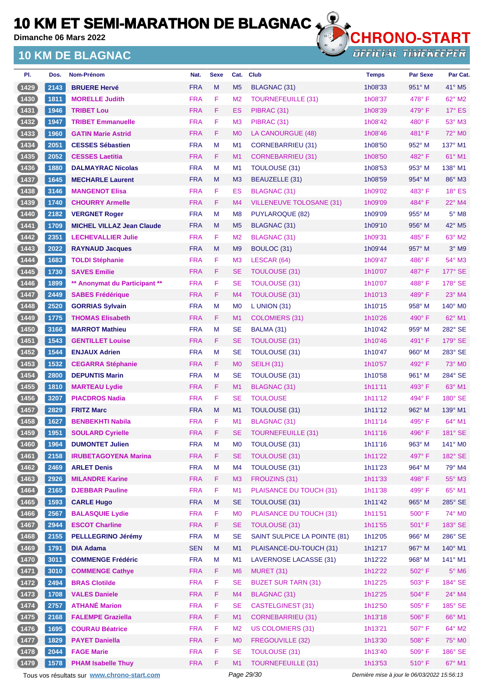**Dimanche 06 Mars 2022**

## **10 KM DE BLAGNAC**



**OFFICIAL TIMEKEEPER** 

| PI.            | Dos. | Nom-Prénom                       | Nat.       | <b>Sexe</b> | Cat.           | <b>Club</b>                     | <b>Temps</b> | <b>Par Sexe</b> | Par Cat.        |
|----------------|------|----------------------------------|------------|-------------|----------------|---------------------------------|--------------|-----------------|-----------------|
| (1429          | 2143 | <b>BRUERE Hervé</b>              | <b>FRA</b> | M           | M <sub>5</sub> | BLAGNAC (31)                    | 1h08'33      | 951° M          | 41° M5          |
| $1430$         | 1811 | <b>MORELLE Judith</b>            | <b>FRA</b> | F           | M <sub>2</sub> | <b>TOURNEFEUILLE (31)</b>       | 1h08'37      | $478^\circ$ F   | $62^\circ$ M2   |
| (1431)         | 1946 | <b>TRIBET Lou</b>                | <b>FRA</b> | F           | ES             | PIBRAC (31)                     | 1h08'39      | $479^\circ$ F   | $17^\circ$ ES   |
| (1432)         | 1947 | <b>TRIBET Emmanuelle</b>         | <b>FRA</b> | F           | M <sub>3</sub> | PIBRAC (31)                     | 1h08'42      | $480^\circ$ F   | 53° M3          |
| 1433           | 1960 | <b>GATIN Marie Astrid</b>        | <b>FRA</b> | F           | M <sub>0</sub> | LA CANOURGUE (48)               | 1h08'46      | 481°F           | 72° M0          |
| (1434)         | 2051 | <b>CESSES Sébastien</b>          | <b>FRA</b> | М           | M <sub>1</sub> | CORNEBARRIEU (31)               | 1h08'50      | 952° M          | 137° M1         |
| (1435)         | 2052 | <b>CESSES Laetitia</b>           | <b>FRA</b> | F           | M1             | <b>CORNEBARRIEU (31)</b>        | 1h08'50      | 482° F          | 61° M1          |
| 1436           | 1880 | <b>DALMAYRAC Nicolas</b>         | <b>FRA</b> | М           | M <sub>1</sub> | <b>TOULOUSE (31)</b>            | 1h08'53      | $953^\circ$ M   | 138° M1         |
| (1437          | 1645 | <b>MECHARLE Laurent</b>          | <b>FRA</b> | M           | M <sub>3</sub> | BEAUZELLE (31)                  | 1h08'59      | 954° M          | 86° M3          |
| 1438           | 3146 | <b>MANGENOT Elisa</b>            | <b>FRA</b> | F           | ES             | <b>BLAGNAC (31)</b>             | 1h09'02      | $483^\circ$ F   | $18°$ ES        |
| (1439)         | 1740 | <b>CHOURRY Armelle</b>           | <b>FRA</b> | F           | M4             | <b>VILLENEUVE TOLOSANE (31)</b> | 1h09'09      | 484°F           | $22^{\circ}$ M4 |
| $1440$         | 2182 | <b>VERGNET Roger</b>             | <b>FRA</b> | M           | M <sub>8</sub> | PUYLAROQUE (82)                 | 1h09'09      | 955° M          | $5^\circ$ M8    |
| (1441)         | 1709 | <b>MICHEL VILLAZ Jean Claude</b> | <b>FRA</b> | M           | M <sub>5</sub> | BLAGNAC (31)                    | 1h09'10      | 956° M          | 42° M5          |
| $1442$         | 2351 | <b>LECHEVALLIER Julie</b>        | <b>FRA</b> | F           | M <sub>2</sub> | <b>BLAGNAC (31)</b>             | 1h09'31      | 485°F           | 63° M2          |
| 1443           | 2022 | <b>RAYNAUD Jacques</b>           | <b>FRA</b> | M           | M <sub>9</sub> | BOULOC (31)                     | 1h09'44      | 957° M          | $3°$ M9         |
| 1444           | 1683 | <b>TOLDI Stéphanie</b>           | <b>FRA</b> | F           | M <sub>3</sub> | LESCAR (64)                     | 1h09'47      | $486^\circ$ F   | 54° M3          |
| 1445           | 1730 | <b>SAVES Emilie</b>              | <b>FRA</b> | F           | <b>SE</b>      | <b>TOULOUSE (31)</b>            | 1h10'07      | 487°F           | $177^\circ$ SE  |
| 1446           | 1899 | ** Anonymat du Participant **    | <b>FRA</b> | F           | <b>SE</b>      | <b>TOULOUSE (31)</b>            | 1h10'07      | 488°F           | 178° SE         |
| (1447          | 2449 | <b>SABES Frédérique</b>          | <b>FRA</b> | F           | M4             | TOULOUSE (31)                   | 1h10'13      | $489^\circ$ F   | $23^\circ$ M4   |
| 1448           | 2520 | <b>GORRIAS Sylvain</b>           | <b>FRA</b> | M           | M <sub>0</sub> | L UNION (31)                    | 1h10'15      | 958° M          | 140° M0         |
| (1449)         | 1775 | <b>THOMAS Elisabeth</b>          | <b>FRA</b> | F           | M1             | COLOMIERS (31)                  | 1h10'26      | 490° F          | 62° M1          |
| 1450           | 3166 | <b>MARROT Mathieu</b>            | <b>FRA</b> | M           | <b>SE</b>      | BALMA (31)                      | 1h10'42      | 959° M          | 282° SE         |
| (1451          | 1543 | <b>GENTILLET Louise</b>          | <b>FRA</b> | F           | <b>SE</b>      | TOULOUSE (31)                   | 1h10'46      | 491°F           | $179^\circ$ SE  |
| $1452$         | 1544 | <b>ENJAUX Adrien</b>             | <b>FRA</b> | М           | <b>SE</b>      | TOULOUSE (31)                   | 1h10'47      | $960^\circ$ M   | 283° SE         |
| (1453)         | 1532 | <b>CEGARRA Stéphanie</b>         | <b>FRA</b> | F           | M <sub>0</sub> | <b>SEILH (31)</b>               | 1h10'57      | 492° F          | 73° M0          |
| 1454           | 2800 | <b>DEPUNTIS Marin</b>            | <b>FRA</b> | M           | <b>SE</b>      | TOULOUSE (31)                   | 1h10'58      | 961° M          | 284° SE         |
| (1455)         | 1810 | <b>MARTEAU Lydie</b>             | <b>FRA</b> | F           | M1             | BLAGNAC (31)                    | 1h11'11      | 493° F          | 63° M1          |
| $1456$         | 3207 | <b>PIACDROS Nadia</b>            | <b>FRA</b> | F           | <b>SE</b>      | <b>TOULOUSE</b>                 | 1h11'12      | 494° F          | 180° SE         |
| (1457          | 2829 | <b>FRITZ Marc</b>                | <b>FRA</b> | M           | M1             | TOULOUSE (31)                   | 1h11'12      | 962° M          | 139° M1         |
| 1458           | 1627 | <b>BENBEKHTI Nabila</b>          | <b>FRA</b> | F           | M1             | BLAGNAC (31)                    | 1h11'14      | 495°F           | $64^{\circ}$ M1 |
| (1459)         | 1951 | <b>SOULARD Cyrielle</b>          | <b>FRA</b> | F           | <b>SE</b>      | <b>TOURNEFEUILLE (31)</b>       | 1h11'16      | 496°F           | 181° SE         |
| (1460)         | 1964 | <b>DUMONTET Julien</b>           | <b>FRA</b> | M           | M <sub>0</sub> | <b>TOULOUSE (31)</b>            | 1h11'16      | 963° M          | 141° MO         |
| (1461)         | 2158 | <b>IRUBETAGOYENA Marina</b>      | <b>FRA</b> | F           | <b>SE</b>      | <b>TOULOUSE (31)</b>            | 1h11'22      | 497° F          | 182° SE         |
| $1462$         | 2469 | <b>ARLET Denis</b>               | <b>FRA</b> | M           | M4             | TOULOUSE (31)                   | 1h11'23      | 964° M          | 79° M4          |
| (1463)         | 2926 | <b>MILANDRE Karine</b>           | <b>FRA</b> | F.          | M <sub>3</sub> | FROUZINS (31)                   | 1h11'33      | 498°F           | 55° M3          |
| (1464)         | 2165 | <b>DJEBBAR Pauline</b>           | <b>FRA</b> | F           | M1             | PLAISANCE DU TOUCH (31)         | 1h11'38      | 499°F           | 65° M1          |
| (1465)         | 1593 | <b>CARLE Hugo</b>                | <b>FRA</b> | M           | <b>SE</b>      | TOULOUSE (31)                   | 1h11'42      | 965° M          | 285° SE         |
| (1466)         | 2567 | <b>BALASQUIE Lydie</b>           | <b>FRA</b> | F           | M <sub>0</sub> | PLAISANCE DU TOUCH (31)         | 1h11'51      | 500° F          | 74° M0          |
| (1467          | 2944 | <b>ESCOT Charline</b>            | <b>FRA</b> | F           | <b>SE</b>      | <b>TOULOUSE (31)</b>            | 1h11'55      | 501° F          | 183° SE         |
| 1468           | 2155 | <b>PELLLEGRINO Jérémy</b>        | <b>FRA</b> | M           | <b>SE</b>      | SAINT SULPICE LA POINTE (81)    | 1h12'05      | $966^\circ$ M   | 286° SE         |
| (1469)         | 1791 | <b>DIA Adama</b>                 | <b>SEN</b> | M           | M1             | PLAISANCE-DU-TOUCH (31)         | 1h12'17      | 967° M          | 140° M1         |
| (1470)         | 3011 | <b>COMMENGE Frédéric</b>         | <b>FRA</b> | M           | M1             | LAVERNOSE LACASSE (31)          | 1h12'22      | 968° M          | 141° M1         |
| (1471)         | 3010 | <b>COMMENGE Cathye</b>           | <b>FRA</b> | F           | M <sub>6</sub> | MURET (31)                      | 1h12'22      | 502° F          | $5^\circ$ M6    |
| (1472)         | 2494 | <b>BRAS Clotilde</b>             | <b>FRA</b> | F           | <b>SE</b>      | <b>BUZET SUR TARN (31)</b>      | 1h12'25      | 503° F          | 184° SE         |
| (1473)         | 1708 | <b>VALES Daniele</b>             | <b>FRA</b> | F           | M4             | <b>BLAGNAC (31)</b>             | 1h12'25      | 504°F           | 24° M4          |
| (1474)         | 2757 | <b>ATHANÉ Marion</b>             | <b>FRA</b> | F           | <b>SE</b>      | <b>CASTELGINEST (31)</b>        | 1h12'50      | $505^{\circ}$ F | 185° SE         |
| (1475)         | 2168 | <b>FALEMPE Graziella</b>         | <b>FRA</b> | F           | M1             | <b>CORNEBARRIEU (31)</b>        | 1h13'18      | 506°F           | 66° M1          |
| (1476)         | 1695 | <b>COURAU Béatrice</b>           | <b>FRA</b> | F           | M <sub>2</sub> | <b>US COLOMIERS (31)</b>        | 1h13'21      | 507°F           | 64° M2          |
| (1477)         | 1829 | <b>PAYET Daniella</b>            | <b>FRA</b> | F           | M <sub>0</sub> | FREGOUVILLE (32)                | 1h13'30      | 508°F           | 75° M0          |
| $\boxed{1478}$ | 2044 | <b>FAGE Marie</b>                | <b>FRA</b> | F           | <b>SE</b>      | <b>TOULOUSE (31)</b>            | 1h13'40      | 509°F           | 186° SE         |
| (1479)         | 1578 | <b>PHAM Isabelle Thuy</b>        | <b>FRA</b> | F           | M1             | <b>TOURNEFEUILLE (31)</b>       | 1h13'53      | 510°F           | 67° M1          |
|                |      |                                  |            |             |                |                                 |              |                 |                 |

Tous vos résultats sur **[www.chrono-start.com](https://www.chrono-start.com/)** Page 29/30 Page 29/30 Dernière mise à jour le 06/03/2022 15:56:13